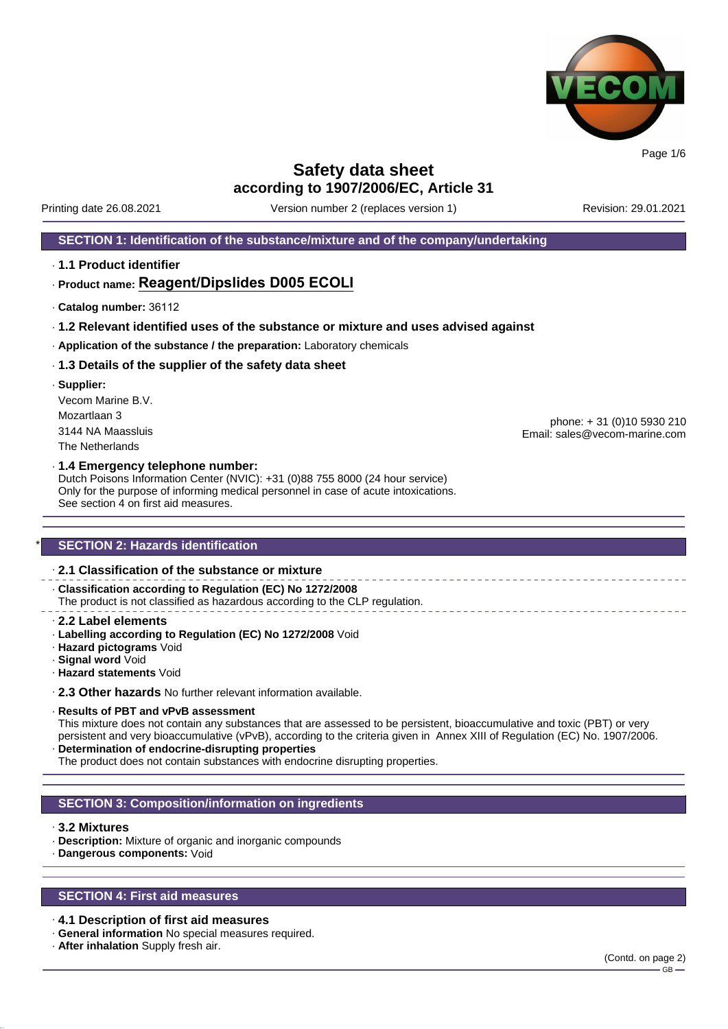

Printing date 26.08.2021 Version number 2 (replaces version 1) Revision: 29.01.2021

### **SECTION 1: Identification of the substance/mixture and of the company/undertaking**

· **1.1 Product identifier**

### · **Product name: Reagent/Dipslides D005 ECOLI**

- · **Catalog number:** 36112
- · **1.2 Relevant identified uses of the substance or mixture and uses advised against**
- · **Application of the substance / the preparation:** Laboratory chemicals

#### · **1.3 Details of the supplier of the safety data sheet**

· **Supplier:** Vecom Marine B.V. Mozartlaan 3 3144 NA Maassluis The Netherlands

phone: + 31 (0)10 5930 210 Email: sales@vecom-marine.com

#### · **1.4 Emergency telephone number:**

Dutch Poisons Information Center (NVIC): +31 (0)88 755 8000 (24 hour service) Only for the purpose of informing medical personnel in case of acute intoxications. See section 4 on first aid measures.

### **SECTION 2: Hazards identification**

### · **2.1 Classification of the substance or mixture**

· **Classification according to Regulation (EC) No 1272/2008** The product is not classified as hazardous according to the CLP regulation.

- · **2.2 Label elements**
- · **Labelling according to Regulation (EC) No 1272/2008** Void
- · **Hazard pictograms** Void
- · **Signal word** Void
- · **Hazard statements** Void

· **2.3 Other hazards** No further relevant information available.

#### · **Results of PBT and vPvB assessment**

This mixture does not contain any substances that are assessed to be persistent, bioaccumulative and toxic (PBT) or very persistent and very bioaccumulative (vPvB), according to the criteria given in Annex XIII of Regulation (EC) No. 1907/2006. · **Determination of endocrine-disrupting properties**

The product does not contain substances with endocrine disrupting properties.

### **SECTION 3: Composition/information on ingredients**

#### · **3.2 Mixtures**

- · **Description:** Mixture of organic and inorganic compounds
- · **Dangerous components:** Void

### **SECTION 4: First aid measures**

- · **4.1 Description of first aid measures**
- · **General information** No special measures required.
- · **After inhalation** Supply fresh air.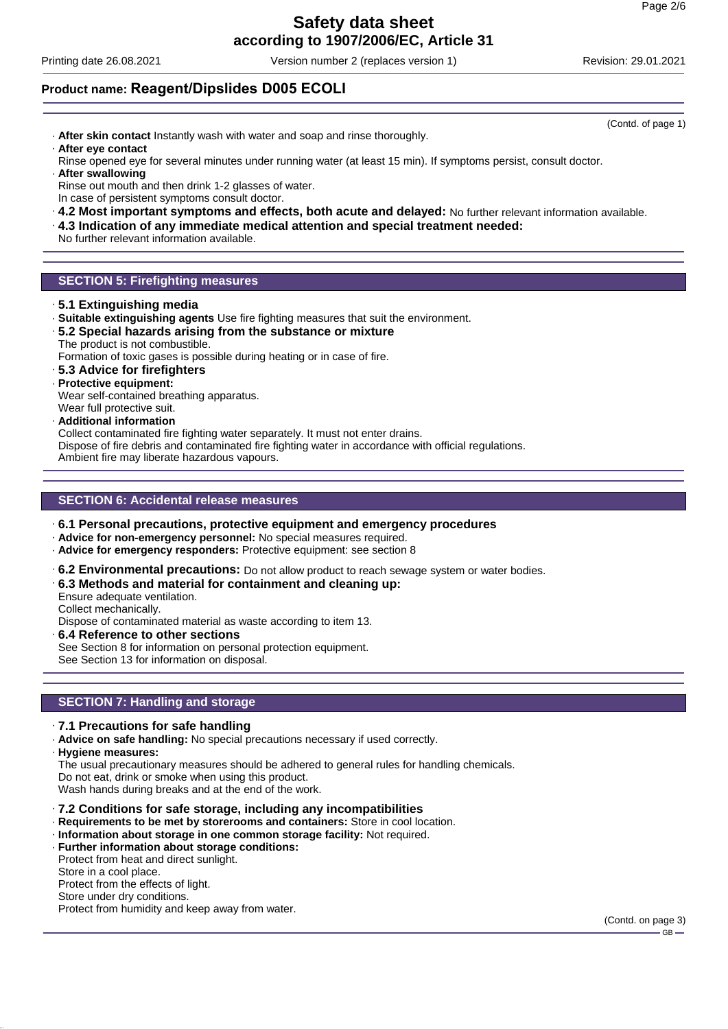Printing date 26.08.2021 Version number 2 (replaces version 1) Revision: 29.01.2021

(Contd. of page 1)

### **Product name: Reagent/Dipslides D005 ECOLI**

- · **After skin contact** Instantly wash with water and soap and rinse thoroughly. · **After eye contact**
- Rinse opened eye for several minutes under running water (at least 15 min). If symptoms persist, consult doctor.
- · **After swallowing** Rinse out mouth and then drink 1-2 glasses of water. In case of persistent symptoms consult doctor.
- · **4.2 Most important symptoms and effects, both acute and delayed:** No further relevant information available.
- · **4.3 Indication of any immediate medical attention and special treatment needed:**
- No further relevant information available.

### **SECTION 5: Firefighting measures**

- · **5.1 Extinguishing media**
- · **Suitable extinguishing agents** Use fire fighting measures that suit the environment.
- · **5.2 Special hazards arising from the substance or mixture** The product is not combustible.

Formation of toxic gases is possible during heating or in case of fire.

- · **5.3 Advice for firefighters**
- · **Protective equipment:**
- Wear self-contained breathing apparatus.
- Wear full protective suit.
- · **Additional information**

Collect contaminated fire fighting water separately. It must not enter drains.

Dispose of fire debris and contaminated fire fighting water in accordance with official regulations. Ambient fire may liberate hazardous vapours.

### **SECTION 6: Accidental release measures**

- · **6.1 Personal precautions, protective equipment and emergency procedures**
- · **Advice for non-emergency personnel:** No special measures required.
- · **Advice for emergency responders:** Protective equipment: see section 8
- · **6.2 Environmental precautions:** Do not allow product to reach sewage system or water bodies.
- · **6.3 Methods and material for containment and cleaning up:**
- Ensure adequate ventilation.

Collect mechanically.

Dispose of contaminated material as waste according to item 13.

· **6.4 Reference to other sections**

See Section 8 for information on personal protection equipment.

See Section 13 for information on disposal.

### **SECTION 7: Handling and storage**

- · **7.1 Precautions for safe handling**
- · **Advice on safe handling:** No special precautions necessary if used correctly.
- · **Hygiene measures:**

The usual precautionary measures should be adhered to general rules for handling chemicals.

- Do not eat, drink or smoke when using this product.
- Wash hands during breaks and at the end of the work.
- · **7.2 Conditions for safe storage, including any incompatibilities**
- · **Requirements to be met by storerooms and containers:** Store in cool location.
- · **Information about storage in one common storage facility:** Not required.
- · **Further information about storage conditions:**
- Protect from heat and direct sunlight.

Store in a cool place.

Protect from the effects of light.

Store under dry conditions.

Protect from humidity and keep away from water.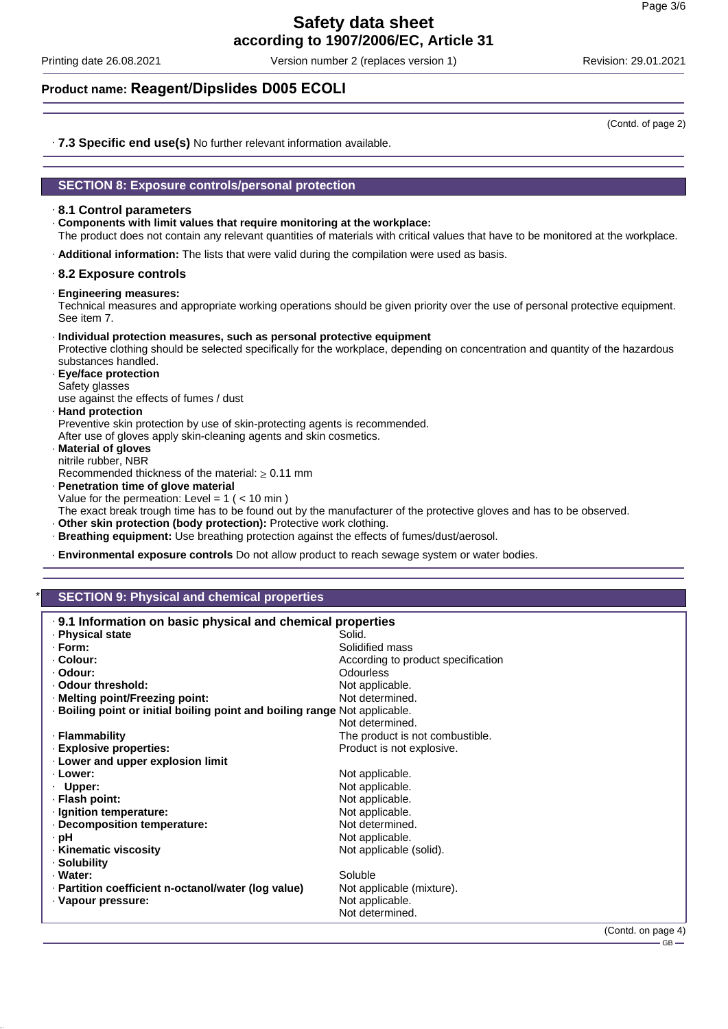Printing date 26.08.2021 Version number 2 (replaces version 1) Revision: 29.01.2021

### **Product name: Reagent/Dipslides D005 ECOLI**

(Contd. of page 2)

· **7.3 Specific end use(s)** No further relevant information available.

### **SECTION 8: Exposure controls/personal protection**

### · **8.1 Control parameters**

· **Components with limit values that require monitoring at the workplace:**

The product does not contain any relevant quantities of materials with critical values that have to be monitored at the workplace.

· **Additional information:** The lists that were valid during the compilation were used as basis.

### · **8.2 Exposure controls**

· **Engineering measures:**

Technical measures and appropriate working operations should be given priority over the use of personal protective equipment. See item 7.

#### · **Individual protection measures, such as personal protective equipment**

Protective clothing should be selected specifically for the workplace, depending on concentration and quantity of the hazardous substances handled.

· **Eye/face protection** Safety glasses use against the effects of fumes / dust

· **Hand protection**

Preventive skin protection by use of skin-protecting agents is recommended. After use of gloves apply skin-cleaning agents and skin cosmetics.

· **Material of gloves** nitrile rubber, NBR

Recommended thickness of the material:  $\geq 0.11$  mm

· **Penetration time of glove material**

Value for the permeation: Level =  $1$  ( <  $10$  min )

- The exact break trough time has to be found out by the manufacturer of the protective gloves and has to be observed.
- · **Other skin protection (body protection):** Protective work clothing.
- · **Breathing equipment:** Use breathing protection against the effects of fumes/dust/aerosol.
- · **Environmental exposure controls** Do not allow product to reach sewage system or water bodies.

### **SECTION 9: Physical and chemical properties**

| . 9.1 Information on basic physical and chemical properties              |                                    |  |  |
|--------------------------------------------------------------------------|------------------------------------|--|--|
| · Physical state                                                         | Solid.                             |  |  |
| $\cdot$ Form:                                                            | Solidified mass                    |  |  |
| ⋅ Colour:                                                                | According to product specification |  |  |
| · Odour:                                                                 | Odourless                          |  |  |
| . Odour threshold:                                                       | Not applicable.                    |  |  |
| · Melting point/Freezing point:                                          | Not determined.                    |  |  |
| Boiling point or initial boiling point and boiling range Not applicable. |                                    |  |  |
|                                                                          | Not determined.                    |  |  |
| · Flammability                                                           | The product is not combustible.    |  |  |
| <b>Explosive properties:</b>                                             | Product is not explosive.          |  |  |
| . Lower and upper explosion limit                                        |                                    |  |  |
| · Lower:                                                                 | Not applicable.                    |  |  |
| $\cdot$ Upper:                                                           | Not applicable.                    |  |  |
| · Flash point:                                                           | Not applicable.                    |  |  |
| · Ignition temperature:                                                  | Not applicable.                    |  |  |
| Decomposition temperature:                                               | Not determined.                    |  |  |
| · pH                                                                     | Not applicable.                    |  |  |
| · Kinematic viscosity                                                    | Not applicable (solid).            |  |  |
| · Solubility                                                             |                                    |  |  |
| · Water:                                                                 | Soluble                            |  |  |
| · Partition coefficient n-octanol/water (log value)                      | Not applicable (mixture).          |  |  |
| · Vapour pressure:                                                       | Not applicable.                    |  |  |
|                                                                          | Not determined.                    |  |  |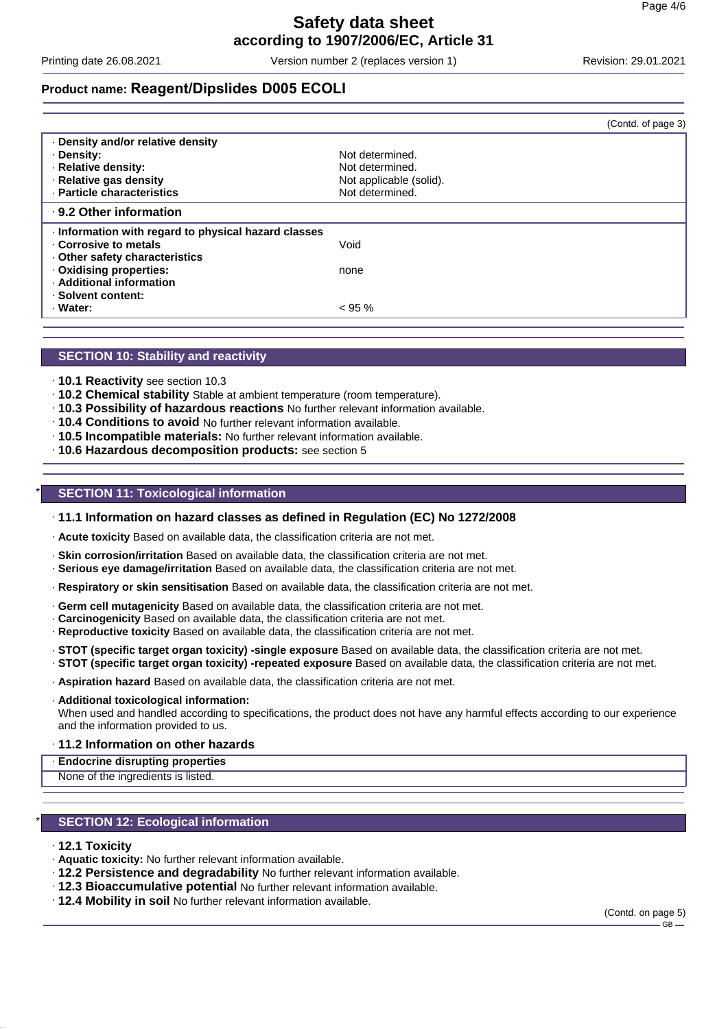Printing date 26.08.2021 Version number 2 (replaces version 1) Revision: 29.01.2021

## **Product name: Reagent/Dipslides D005 ECOLI**

|                         | (Contd. of page 3)                                 |
|-------------------------|----------------------------------------------------|
|                         |                                                    |
| Not determined.         |                                                    |
| Not determined.         |                                                    |
| Not applicable (solid). |                                                    |
| Not determined.         |                                                    |
|                         |                                                    |
|                         |                                                    |
| Void                    |                                                    |
|                         |                                                    |
| none                    |                                                    |
|                         |                                                    |
|                         |                                                    |
| $< 95 \%$               |                                                    |
|                         | Information with regard to physical hazard classes |

### **SECTION 10: Stability and reactivity**

- · **10.1 Reactivity** see section 10.3
- · **10.2 Chemical stability** Stable at ambient temperature (room temperature).
- · **10.3 Possibility of hazardous reactions** No further relevant information available.
- · **10.4 Conditions to avoid** No further relevant information available.
- · **10.5 Incompatible materials:** No further relevant information available.
- · **10.6 Hazardous decomposition products:** see section 5

### **SECTION 11: Toxicological information**

#### · **11.1 Information on hazard classes as defined in Regulation (EC) No 1272/2008**

· **Acute toxicity** Based on available data, the classification criteria are not met.

- · **Skin corrosion/irritation** Based on available data, the classification criteria are not met.
- · **Serious eye damage/irritation** Based on available data, the classification criteria are not met.
- · **Respiratory or skin sensitisation** Based on available data, the classification criteria are not met.
- · **Germ cell mutagenicity** Based on available data, the classification criteria are not met.
- · **Carcinogenicity** Based on available data, the classification criteria are not met.
- · **Reproductive toxicity** Based on available data, the classification criteria are not met.
- · **STOT (specific target organ toxicity) -single exposure** Based on available data, the classification criteria are not met.
- · **STOT (specific target organ toxicity) -repeated exposure** Based on available data, the classification criteria are not met.
- · **Aspiration hazard** Based on available data, the classification criteria are not met.

#### · **Additional toxicological information:**

When used and handled according to specifications, the product does not have any harmful effects according to our experience and the information provided to us.

#### · **11.2 Information on other hazards**

#### · **Endocrine disrupting properties**

None of the ingredients is listed.

### **SECTION 12: Ecological information**

#### · **12.1 Toxicity**

- · **Aquatic toxicity:** No further relevant information available.
- · **12.2 Persistence and degradability** No further relevant information available.
- · **12.3 Bioaccumulative potential** No further relevant information available.
- · **12.4 Mobility in soil** No further relevant information available.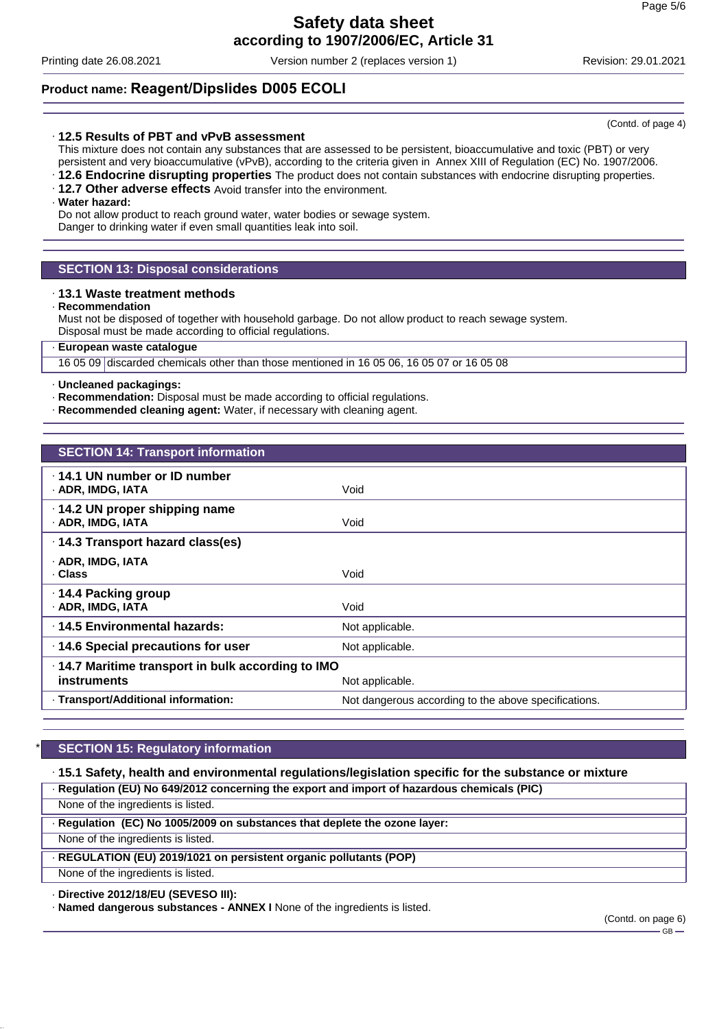Printing date 26.08.2021 Version number 2 (replaces version 1) Revision: 29.01.2021

### **Product name: Reagent/Dipslides D005 ECOLI**

### · **12.5 Results of PBT and vPvB assessment**

This mixture does not contain any substances that are assessed to be persistent, bioaccumulative and toxic (PBT) or very persistent and very bioaccumulative (vPvB), according to the criteria given in Annex XIII of Regulation (EC) No. 1907/2006.

- · **12.6 Endocrine disrupting properties** The product does not contain substances with endocrine disrupting properties.
- · **12.7 Other adverse effects** Avoid transfer into the environment.

### · **Water hazard:**

Do not allow product to reach ground water, water bodies or sewage system. Danger to drinking water if even small quantities leak into soil.

### **SECTION 13: Disposal considerations**

#### · **13.1 Waste treatment methods**

#### · **Recommendation**

Must not be disposed of together with household garbage. Do not allow product to reach sewage system. Disposal must be made according to official regulations.

### · **European waste catalogue**

16 05 09 discarded chemicals other than those mentioned in 16 05 06, 16 05 07 or 16 05 08

#### · **Uncleaned packagings:**

- · **Recommendation:** Disposal must be made according to official regulations.
- · **Recommended cleaning agent:** Water, if necessary with cleaning agent.

| <b>SECTION 14: Transport information</b>           |                                                      |
|----------------------------------------------------|------------------------------------------------------|
|                                                    |                                                      |
| $\cdot$ 14.1 UN number or ID number                |                                                      |
| · ADR, IMDG, IATA                                  | Void                                                 |
| · 14.2 UN proper shipping name                     |                                                      |
| · ADR, IMDG, IATA                                  | Void                                                 |
| · 14.3 Transport hazard class(es)                  |                                                      |
| · ADR, IMDG, IATA                                  |                                                      |
| · Class                                            | Void                                                 |
| · 14.4 Packing group                               |                                                      |
| · ADR, IMDG, IATA                                  | Void                                                 |
| ⋅14.5 Environmental hazards:                       | Not applicable.                                      |
| 14.6 Special precautions for user                  | Not applicable.                                      |
| · 14.7 Maritime transport in bulk according to IMO |                                                      |
| instruments                                        | Not applicable.                                      |
| · Transport/Additional information:                | Not dangerous according to the above specifications. |

### **SECTION 15: Regulatory information**

· **15.1 Safety, health and environmental regulations/legislation specific for the substance or mixture** · **Regulation (EU) No 649/2012 concerning the export and import of hazardous chemicals (PIC)**

None of the ingredients is listed.

· **Regulation (EC) No 1005/2009 on substances that deplete the ozone layer:**

None of the ingredients is listed.

· **REGULATION (EU) 2019/1021 on persistent organic pollutants (POP)**

None of the ingredients is listed.

### · **Directive 2012/18/EU (SEVESO III):**

· **Named dangerous substances - ANNEX I** None of the ingredients is listed.

(Contd. on page 6)  $-$  GB  $-$ 

(Contd. of page 4)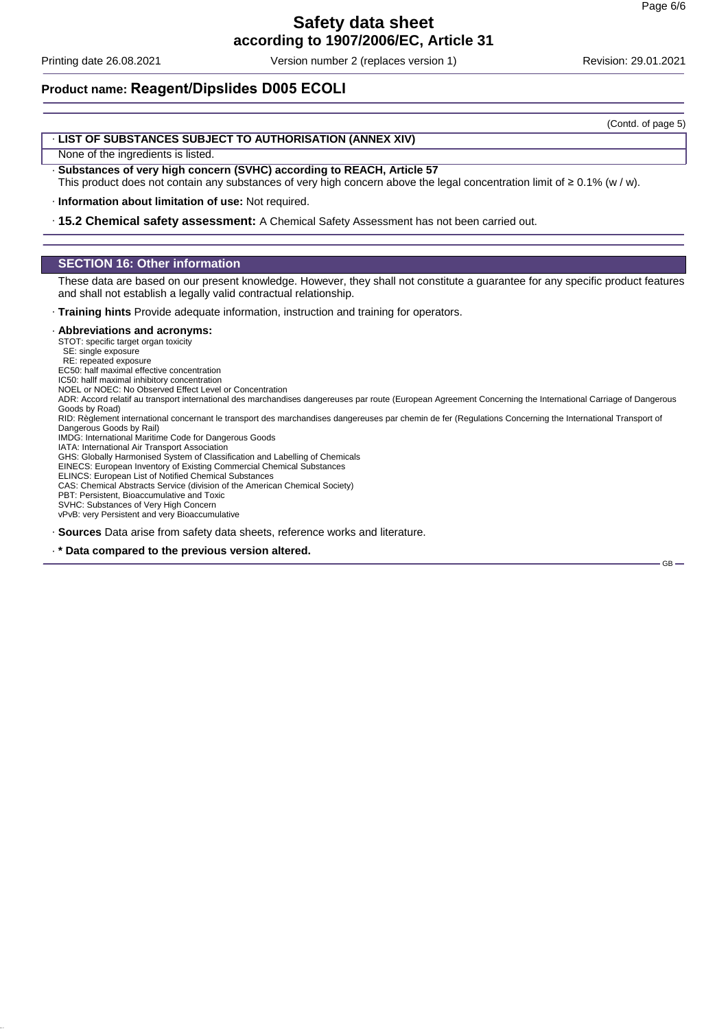GB

### **Safety data sheet according to 1907/2006/EC, Article 31**

Printing date 26.08.2021 Version number 2 (replaces version 1) Revision: 29.01.2021

**Product name: Reagent/Dipslides D005 ECOLI**

### · **LIST OF SUBSTANCES SUBJECT TO AUTHORISATION (ANNEX XIV)**

None of the ingredients is listed.

- · **Substances of very high concern (SVHC) according to REACH, Article 57**
- This product does not contain any substances of very high concern above the legal concentration limit of ≥ 0.1% (w / w).

· **Information about limitation of use:** Not required.

· **15.2 Chemical safety assessment:** A Chemical Safety Assessment has not been carried out.

### **SECTION 16: Other information**

These data are based on our present knowledge. However, they shall not constitute a guarantee for any specific product features and shall not establish a legally valid contractual relationship.

· **Training hints** Provide adequate information, instruction and training for operators.

#### · **Abbreviations and acronyms:**

STOT: specific target organ toxicity

SE: single exposure RE: repeated exposure

EC50: half maximal effective concentration

IC50: hallf maximal inhibitory concentration

- NOEL or NOEC: No Observed Effect Level or Concentration
- ADR: Accord relatif au transport international des marchandises dangereuses par route (European Agreement Concerning the International Carriage of Dangerous Goods by Road)
- RID: Règlement international concernant le transport des marchandises dangereuses par chemin de fer (Regulations Concerning the International Transport of Dangerous Goods by Rail)

IMDG: International Maritime Code for Dangerous Goods

IATA: International Air Transport Association GHS: Globally Harmonised System of Classification and Labelling of Chemicals

EINECS: European Inventory of Existing Commercial Chemical Substances

ELINCS: European List of Notified Chemical Substances

CAS: Chemical Abstracts Service (division of the American Chemical Society)

PBT: Persistent, Bioaccumulative and Toxic SVHC: Substances of Very High Concern

vPvB: very Persistent and very Bioaccumulative

· **Sources** Data arise from safety data sheets, reference works and literature.

· **\* Data compared to the previous version altered.**

(Contd. of page 5)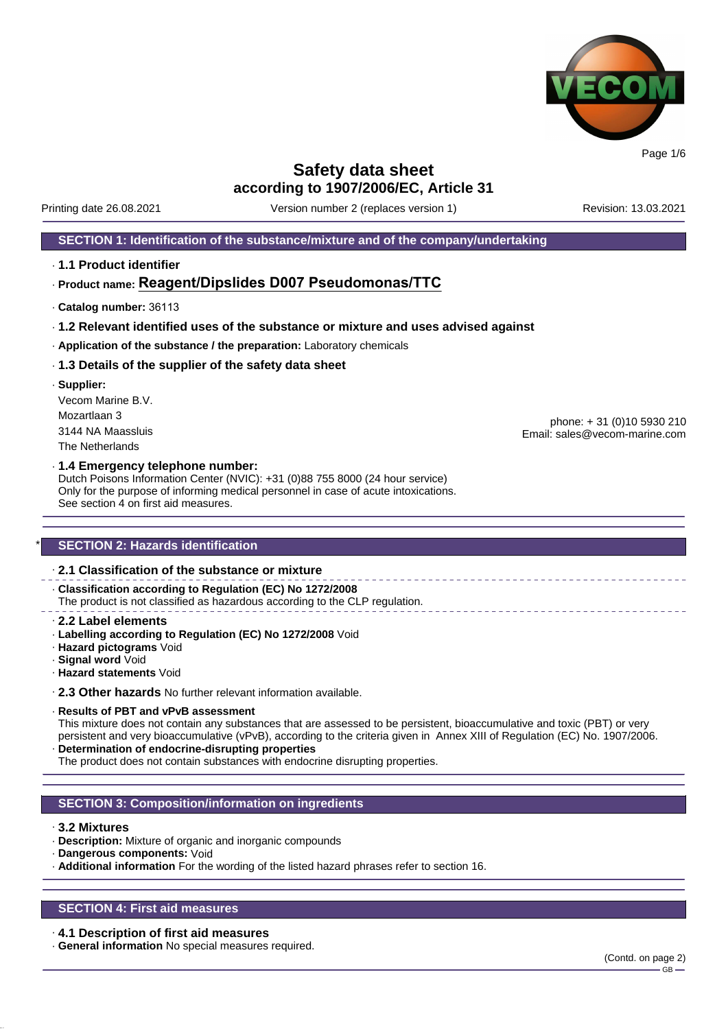

Printing date 26.08.2021 Version number 2 (replaces version 1) Revision: 13.03.2021

### **SECTION 1: Identification of the substance/mixture and of the company/undertaking**

· **1.1 Product identifier**

### · **Product name: Reagent/Dipslides D007 Pseudomonas/TTC**

- · **Catalog number:** 36113
- · **1.2 Relevant identified uses of the substance or mixture and uses advised against**
- · **Application of the substance / the preparation:** Laboratory chemicals

### · **1.3 Details of the supplier of the safety data sheet**

· **Supplier:** Vecom Marine B.V. Mozartlaan 3 3144 NA Maassluis The Netherlands

phone: + 31 (0)10 5930 210 Email: sales@vecom-marine.com

### · **1.4 Emergency telephone number:**

Dutch Poisons Information Center (NVIC): +31 (0)88 755 8000 (24 hour service) Only for the purpose of informing medical personnel in case of acute intoxications. See section 4 on first aid measures.

### **SECTION 2: Hazards identification**

### · **2.1 Classification of the substance or mixture**

· **Classification according to Regulation (EC) No 1272/2008**

The product is not classified as hazardous according to the CLP regulation.

- · **2.2 Label elements**
- · **Labelling according to Regulation (EC) No 1272/2008** Void
- · **Hazard pictograms** Void
- · **Signal word** Void
- · **Hazard statements** Void

· **2.3 Other hazards** No further relevant information available.

#### · **Results of PBT and vPvB assessment**

This mixture does not contain any substances that are assessed to be persistent, bioaccumulative and toxic (PBT) or very persistent and very bioaccumulative (vPvB), according to the criteria given in Annex XIII of Regulation (EC) No. 1907/2006. · **Determination of endocrine-disrupting properties**

The product does not contain substances with endocrine disrupting properties.

### **SECTION 3: Composition/information on ingredients**

### · **3.2 Mixtures**

- · **Description:** Mixture of organic and inorganic compounds
- · **Dangerous components:** Void
- · **Additional information** For the wording of the listed hazard phrases refer to section 16.

### **SECTION 4: First aid measures**

· **4.1 Description of first aid measures**

· **General information** No special measures required.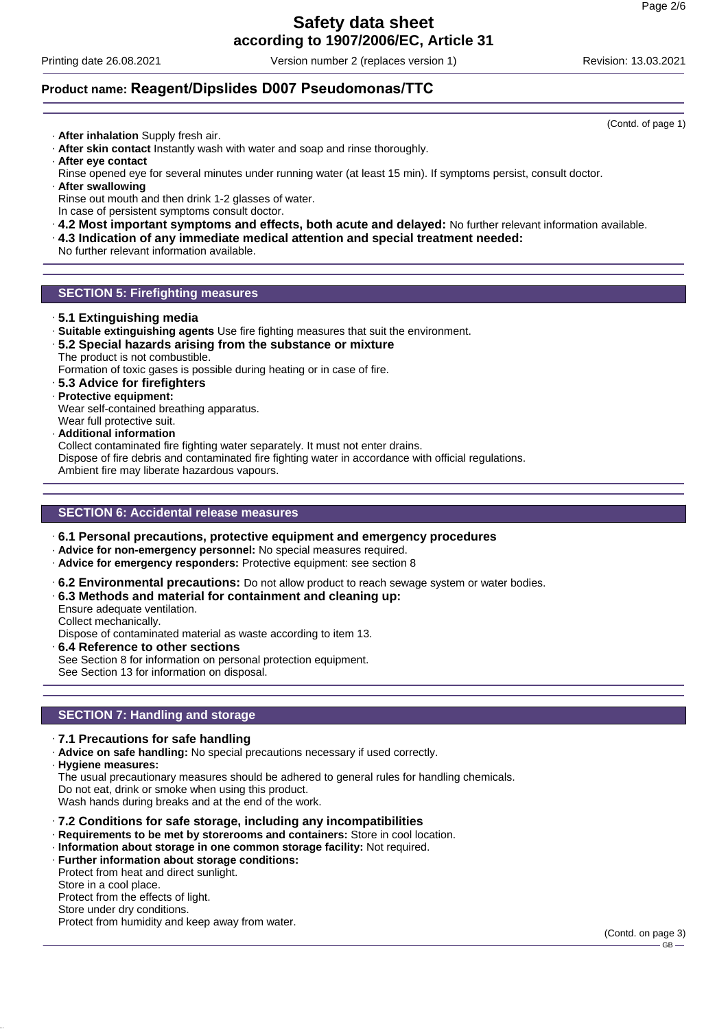Printing date 26.08.2021 Version number 2 (replaces version 1) Revision: 13.03.2021

(Contd. of page 1)

### **Product name: Reagent/Dipslides D007 Pseudomonas/TTC**

- · **After inhalation** Supply fresh air.
- · **After skin contact** Instantly wash with water and soap and rinse thoroughly.
- · **After eye contact**
- Rinse opened eye for several minutes under running water (at least 15 min). If symptoms persist, consult doctor.
- · **After swallowing**
- Rinse out mouth and then drink 1-2 glasses of water.
- In case of persistent symptoms consult doctor.
- · **4.2 Most important symptoms and effects, both acute and delayed:** No further relevant information available.
- · **4.3 Indication of any immediate medical attention and special treatment needed:**
- No further relevant information available.

### **SECTION 5: Firefighting measures**

- · **5.1 Extinguishing media**
- · **Suitable extinguishing agents** Use fire fighting measures that suit the environment.
- · **5.2 Special hazards arising from the substance or mixture** The product is not combustible.
	- Formation of toxic gases is possible during heating or in case of fire.
- · **5.3 Advice for firefighters**
- · **Protective equipment:**

Wear self-contained breathing apparatus.

- Wear full protective suit.
- · **Additional information**

Collect contaminated fire fighting water separately. It must not enter drains.

Dispose of fire debris and contaminated fire fighting water in accordance with official regulations.

Ambient fire may liberate hazardous vapours.

### **SECTION 6: Accidental release measures**

- · **6.1 Personal precautions, protective equipment and emergency procedures**
- · **Advice for non-emergency personnel:** No special measures required.
- · **Advice for emergency responders:** Protective equipment: see section 8
- · **6.2 Environmental precautions:** Do not allow product to reach sewage system or water bodies.
- · **6.3 Methods and material for containment and cleaning up:**
- Ensure adequate ventilation.
- Collect mechanically.

Dispose of contaminated material as waste according to item 13.

· **6.4 Reference to other sections** See Section 8 for information on personal protection equipment. See Section 13 for information on disposal.

### **SECTION 7: Handling and storage**

- · **7.1 Precautions for safe handling**
- · **Advice on safe handling:** No special precautions necessary if used correctly.
- · **Hygiene measures:**

The usual precautionary measures should be adhered to general rules for handling chemicals. Do not eat, drink or smoke when using this product. Wash hands during breaks and at the end of the work.

- · **7.2 Conditions for safe storage, including any incompatibilities**
- · **Requirements to be met by storerooms and containers:** Store in cool location.
- · **Information about storage in one common storage facility:** Not required.
- · **Further information about storage conditions:** Protect from heat and direct sunlight.

Store in a cool place. Protect from the effects of light. Store under dry conditions.

Protect from humidity and keep away from water.

(Contd. on page 3)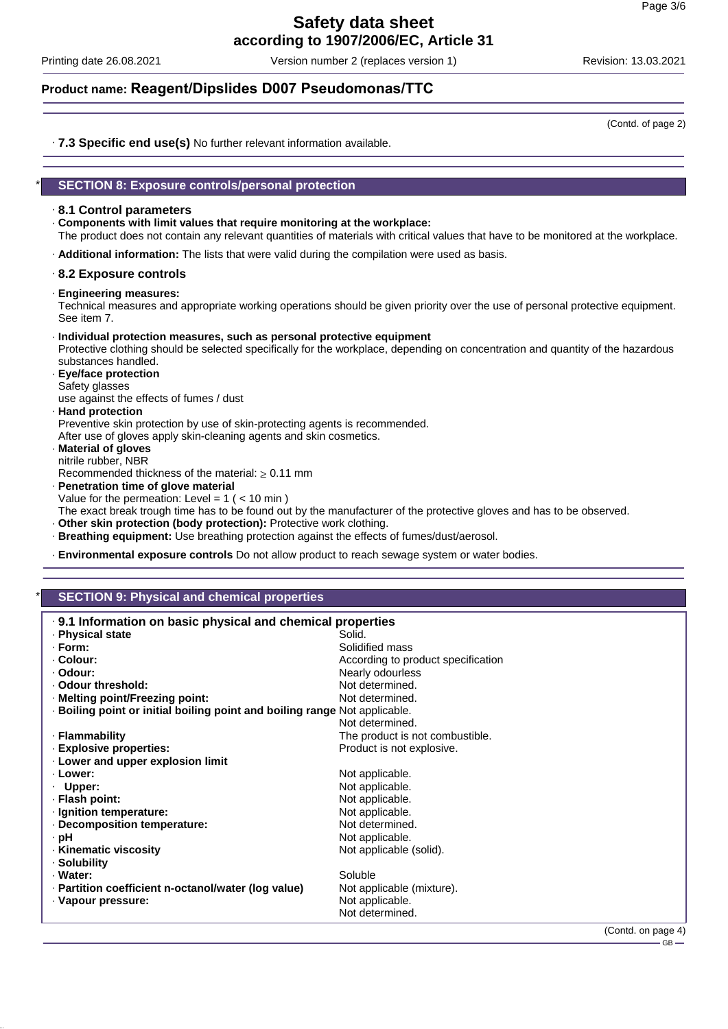Printing date 26.08.2021 Version number 2 (replaces version 1) Revision: 13.03.2021

### **Product name: Reagent/Dipslides D007 Pseudomonas/TTC**

(Contd. of page 2)

· **7.3 Specific end use(s)** No further relevant information available.

### \* **SECTION 8: Exposure controls/personal protection**

### · **8.1 Control parameters**

· **Components with limit values that require monitoring at the workplace:**

The product does not contain any relevant quantities of materials with critical values that have to be monitored at the workplace.

· **Additional information:** The lists that were valid during the compilation were used as basis.

### · **8.2 Exposure controls**

· **Engineering measures:**

Technical measures and appropriate working operations should be given priority over the use of personal protective equipment. See item 7.

#### · **Individual protection measures, such as personal protective equipment**

Protective clothing should be selected specifically for the workplace, depending on concentration and quantity of the hazardous substances handled.

· **Eye/face protection** Safety glasses

use against the effects of fumes / dust

### · **Hand protection**

Preventive skin protection by use of skin-protecting agents is recommended. After use of gloves apply skin-cleaning agents and skin cosmetics.

· **Material of gloves** nitrile rubber, NBR

Recommended thickness of the material:  $\geq 0.11$  mm

· **Penetration time of glove material**

Value for the permeation: Level =  $1$  ( <  $10$  min )

- The exact break trough time has to be found out by the manufacturer of the protective gloves and has to be observed.
- · **Other skin protection (body protection):** Protective work clothing.
- · **Breathing equipment:** Use breathing protection against the effects of fumes/dust/aerosol.
- · **Environmental exposure controls** Do not allow product to reach sewage system or water bodies.

### **SECTION 9: Physical and chemical properties**

| . 9.1 Information on basic physical and chemical properties              |                                    |  |  |
|--------------------------------------------------------------------------|------------------------------------|--|--|
| · Physical state                                                         | Solid.                             |  |  |
| $\cdot$ Form:                                                            | Solidified mass                    |  |  |
| ⋅ Colour:                                                                | According to product specification |  |  |
| · Odour:                                                                 | Nearly odourless                   |  |  |
| . Odour threshold:                                                       | Not determined.                    |  |  |
| · Melting point/Freezing point:                                          | Not determined.                    |  |  |
| Boiling point or initial boiling point and boiling range Not applicable. |                                    |  |  |
|                                                                          | Not determined.                    |  |  |
| · Flammability                                                           | The product is not combustible.    |  |  |
| <b>Explosive properties:</b>                                             | Product is not explosive.          |  |  |
| . Lower and upper explosion limit                                        |                                    |  |  |
| · Lower:                                                                 | Not applicable.                    |  |  |
| $\cdot$ Upper:                                                           | Not applicable.                    |  |  |
| · Flash point:                                                           | Not applicable.                    |  |  |
| · Ignition temperature:                                                  | Not applicable.                    |  |  |
| Decomposition temperature:                                               | Not determined.                    |  |  |
| · pH                                                                     | Not applicable.                    |  |  |
| · Kinematic viscosity                                                    | Not applicable (solid).            |  |  |
| · Solubility                                                             |                                    |  |  |
| · Water:                                                                 | Soluble                            |  |  |
| · Partition coefficient n-octanol/water (log value)                      | Not applicable (mixture).          |  |  |
| · Vapour pressure:                                                       | Not applicable.                    |  |  |
|                                                                          | Not determined.                    |  |  |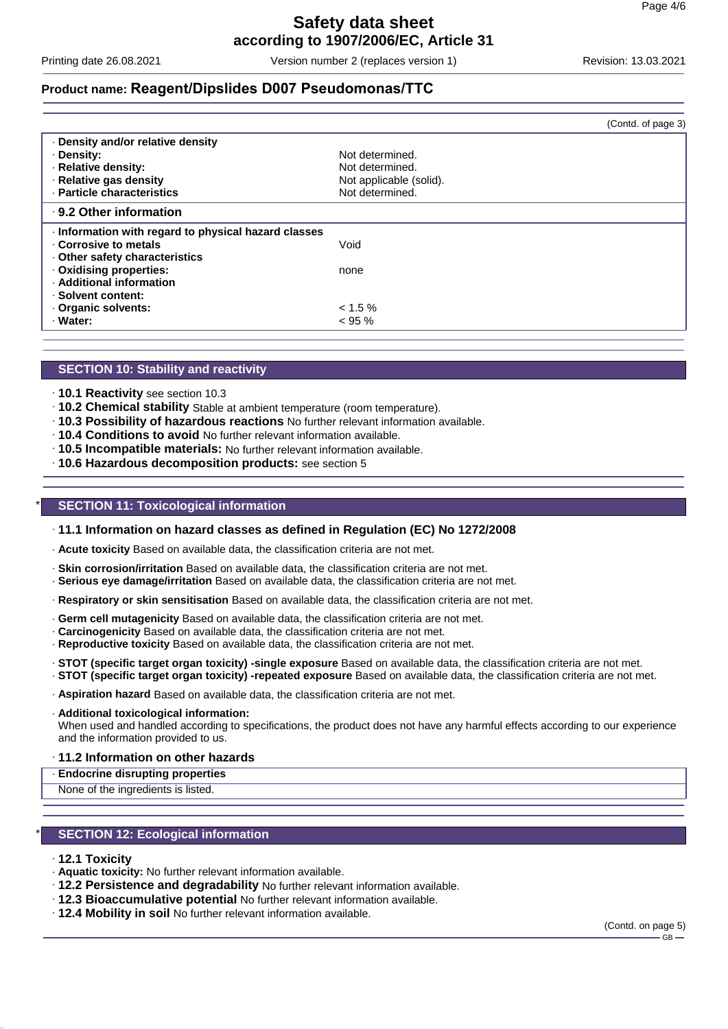Printing date 26.08.2021 Version number 2 (replaces version 1) Revision: 13.03.2021

### **Product name: Reagent/Dipslides D007 Pseudomonas/TTC**

|                                                    | (Contd. of page 3)      |
|----------------------------------------------------|-------------------------|
| Density and/or relative density                    |                         |
| · Density:                                         | Not determined.         |
| · Relative density:                                | Not determined.         |
| · Relative gas density                             | Not applicable (solid). |
| · Particle characteristics                         | Not determined.         |
| ⋅ 9.2 Other information                            |                         |
| Information with regard to physical hazard classes |                         |
| Corrosive to metals                                | Void                    |
| Other safety characteristics                       |                         |
| Oxidising properties:                              | none                    |
| · Additional information                           |                         |
| · Solvent content:                                 |                         |
| Organic solvents:                                  | $< 1.5 \%$              |
| · Water:                                           | $< 95 \%$               |

### **SECTION 10: Stability and reactivity**

- · **10.1 Reactivity** see section 10.3
- · **10.2 Chemical stability** Stable at ambient temperature (room temperature).
- · **10.3 Possibility of hazardous reactions** No further relevant information available.
- · **10.4 Conditions to avoid** No further relevant information available.
- · **10.5 Incompatible materials:** No further relevant information available.
- · **10.6 Hazardous decomposition products:** see section 5

### **SECTION 11: Toxicological information**

#### · **11.1 Information on hazard classes as defined in Regulation (EC) No 1272/2008**

- · **Acute toxicity** Based on available data, the classification criteria are not met.
- · **Skin corrosion/irritation** Based on available data, the classification criteria are not met.
- · **Serious eye damage/irritation** Based on available data, the classification criteria are not met.
- · **Respiratory or skin sensitisation** Based on available data, the classification criteria are not met.
- · **Germ cell mutagenicity** Based on available data, the classification criteria are not met.
- · **Carcinogenicity** Based on available data, the classification criteria are not met.
- · **Reproductive toxicity** Based on available data, the classification criteria are not met.
- · **STOT (specific target organ toxicity) -single exposure** Based on available data, the classification criteria are not met.
- · **STOT (specific target organ toxicity) -repeated exposure** Based on available data, the classification criteria are not met.
- · **Aspiration hazard** Based on available data, the classification criteria are not met.
- · **Additional toxicological information:**

When used and handled according to specifications, the product does not have any harmful effects according to our experience and the information provided to us.

#### · **11.2 Information on other hazards**

- · **Endocrine disrupting properties**
- None of the ingredients is listed.

### **SECTION 12: Ecological information**

- · **12.1 Toxicity**
- · **Aquatic toxicity:** No further relevant information available.
- · **12.2 Persistence and degradability** No further relevant information available.
- · **12.3 Bioaccumulative potential** No further relevant information available.
- · **12.4 Mobility in soil** No further relevant information available.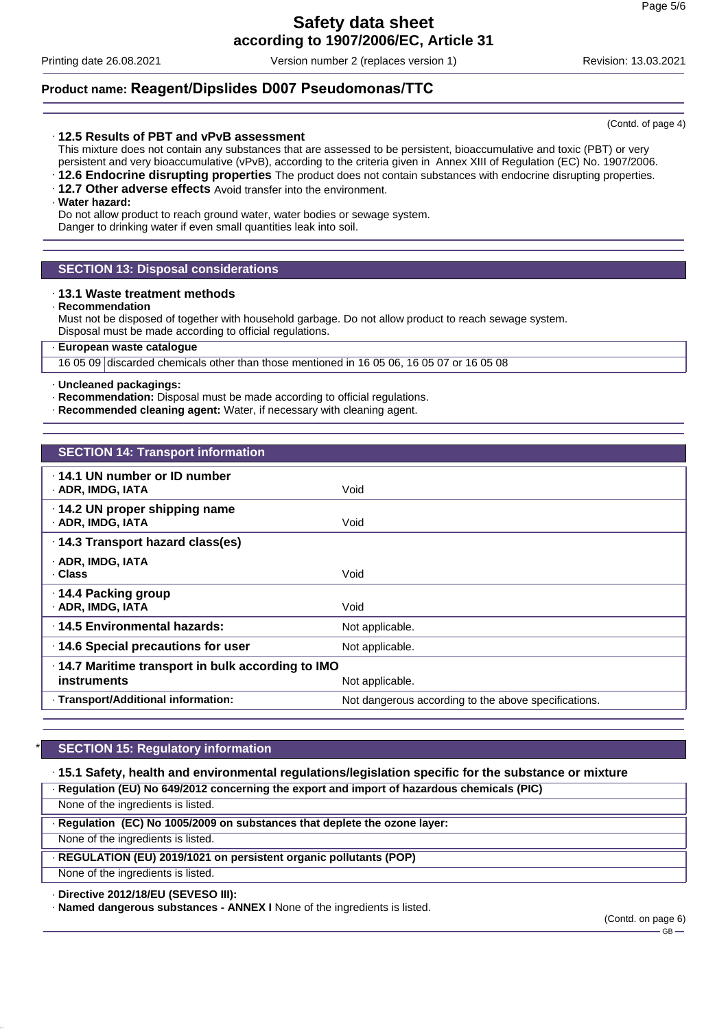Printing date 26.08.2021 Version number 2 (replaces version 1) Revision: 13.03.2021

### **Product name: Reagent/Dipslides D007 Pseudomonas/TTC**

### · **12.5 Results of PBT and vPvB assessment**

This mixture does not contain any substances that are assessed to be persistent, bioaccumulative and toxic (PBT) or very persistent and very bioaccumulative (vPvB), according to the criteria given in Annex XIII of Regulation (EC) No. 1907/2006.

- · **12.6 Endocrine disrupting properties** The product does not contain substances with endocrine disrupting properties.
- · **12.7 Other adverse effects** Avoid transfer into the environment.

#### · **Water hazard:**

Do not allow product to reach ground water, water bodies or sewage system. Danger to drinking water if even small quantities leak into soil.

### **SECTION 13: Disposal considerations**

#### · **13.1 Waste treatment methods**

#### · **Recommendation**

Must not be disposed of together with household garbage. Do not allow product to reach sewage system. Disposal must be made according to official regulations.

### · **European waste catalogue**

16 05 09 discarded chemicals other than those mentioned in 16 05 06, 16 05 07 or 16 05 08

#### · **Uncleaned packagings:**

- · **Recommendation:** Disposal must be made according to official regulations.
- · **Recommended cleaning agent:** Water, if necessary with cleaning agent.

| <b>SECTION 14: Transport information</b>           |                                                      |
|----------------------------------------------------|------------------------------------------------------|
| .14.1 UN number or ID number                       |                                                      |
| · ADR, IMDG, IATA                                  | Void                                                 |
| · 14.2 UN proper shipping name                     |                                                      |
| · ADR, IMDG, IATA                                  | Void                                                 |
| · 14.3 Transport hazard class(es)                  |                                                      |
| · ADR, IMDG, IATA                                  |                                                      |
| · Class                                            | Void                                                 |
| · 14.4 Packing group                               |                                                      |
| · ADR, IMDG, IATA                                  | Void                                                 |
| ⋅14.5 Environmental hazards:                       | Not applicable.                                      |
| 14.6 Special precautions for user                  | Not applicable.                                      |
| · 14.7 Maritime transport in bulk according to IMO |                                                      |
| instruments                                        | Not applicable.                                      |
| · Transport/Additional information:                | Not dangerous according to the above specifications. |

### **SECTION 15: Regulatory information**

· **15.1 Safety, health and environmental regulations/legislation specific for the substance or mixture** · **Regulation (EU) No 649/2012 concerning the export and import of hazardous chemicals (PIC)**

None of the ingredients is listed.

· **Regulation (EC) No 1005/2009 on substances that deplete the ozone layer:**

None of the ingredients is listed.

· **REGULATION (EU) 2019/1021 on persistent organic pollutants (POP)**

None of the ingredients is listed.

### · **Directive 2012/18/EU (SEVESO III):**

· **Named dangerous substances - ANNEX I** None of the ingredients is listed.

(Contd. on page 6)  $-$  GB  $-$ 

(Contd. of page 4)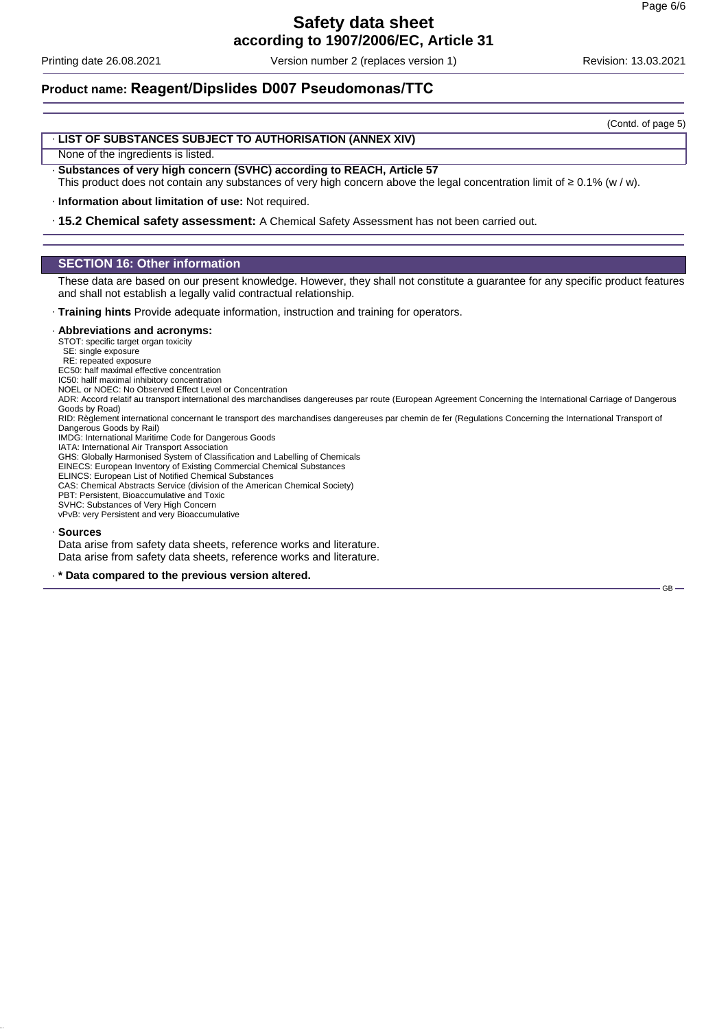Printing date 26.08.2021 Version number 2 (replaces version 1) Revision: 13.03.2021

### **Product name: Reagent/Dipslides D007 Pseudomonas/TTC**

(Contd. of page 5)

GB-

### · **LIST OF SUBSTANCES SUBJECT TO AUTHORISATION (ANNEX XIV)**

None of the ingredients is listed.

- · **Substances of very high concern (SVHC) according to REACH, Article 57**
- This product does not contain any substances of very high concern above the legal concentration limit of ≥ 0.1% (w / w).

· **Information about limitation of use:** Not required.

· **15.2 Chemical safety assessment:** A Chemical Safety Assessment has not been carried out.

### **SECTION 16: Other information**

These data are based on our present knowledge. However, they shall not constitute a guarantee for any specific product features and shall not establish a legally valid contractual relationship.

· **Training hints** Provide adequate information, instruction and training for operators.

#### · **Abbreviations and acronyms:**

STOT: specific target organ toxicity

SE: single exposure RE: repeated exposure

EC50: half maximal effective concentration

IC50: hallf maximal inhibitory concentration

NOEL or NOEC: No Observed Effect Level or Concentration

ADR: Accord relatif au transport international des marchandises dangereuses par route (European Agreement Concerning the International Carriage of Dangerous Goods by Road)

RID: Règlement international concernant le transport des marchandises dangereuses par chemin de fer (Regulations Concerning the International Transport of Dangerous Goods by Rail)

IMDG: International Maritime Code for Dangerous Goods

IATA: International Air Transport Association GHS: Globally Harmonised System of Classification and Labelling of Chemicals

EINECS: European Inventory of Existing Commercial Chemical Substances

ELINCS: European List of Notified Chemical Substances

CAS: Chemical Abstracts Service (division of the American Chemical Society)

PBT: Persistent, Bioaccumulative and Toxic

SVHC: Substances of Very High Concern vPvB: very Persistent and very Bioaccumulative

#### · **Sources**

Data arise from safety data sheets, reference works and literature. Data arise from safety data sheets, reference works and literature.

· **\* Data compared to the previous version altered.**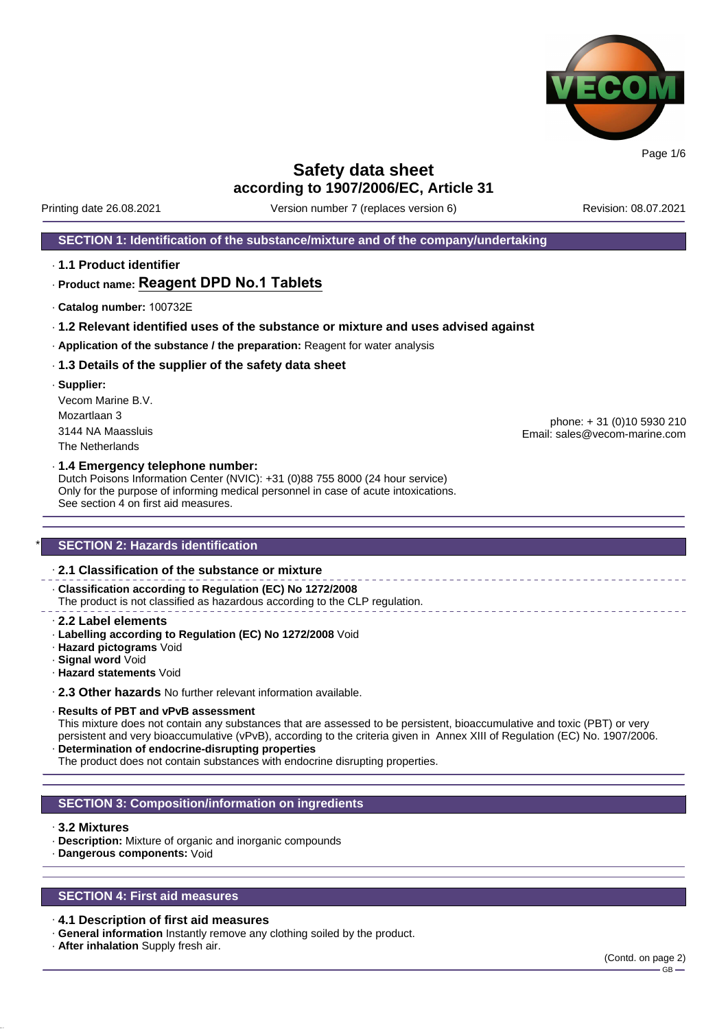

Printing date 26.08.2021 Version number 7 (replaces version 6) Revision: 08.07.2021

### **SECTION 1: Identification of the substance/mixture and of the company/undertaking**

· **1.1 Product identifier**

### · **Product name: Reagent DPD No.1 Tablets**

- · **Catalog number:** 100732E
- · **1.2 Relevant identified uses of the substance or mixture and uses advised against**
- · **Application of the substance / the preparation:** Reagent for water analysis

### · **1.3 Details of the supplier of the safety data sheet**

· **Supplier:** Vecom Marine B.V. Mozartlaan 3 3144 NA Maassluis The Netherlands

phone: + 31 (0)10 5930 210 Email: sales@vecom-marine.com

#### · **1.4 Emergency telephone number:**

Dutch Poisons Information Center (NVIC): +31 (0)88 755 8000 (24 hour service) Only for the purpose of informing medical personnel in case of acute intoxications. See section 4 on first aid measures.

### **SECTION 2: Hazards identification**

### · **2.1 Classification of the substance or mixture**

· **Classification according to Regulation (EC) No 1272/2008**

The product is not classified as hazardous according to the CLP regulation.

- · **2.2 Label elements**
- · **Labelling according to Regulation (EC) No 1272/2008** Void
- · **Hazard pictograms** Void
- · **Signal word** Void
- · **Hazard statements** Void

· **2.3 Other hazards** No further relevant information available.

#### · **Results of PBT and vPvB assessment**

This mixture does not contain any substances that are assessed to be persistent, bioaccumulative and toxic (PBT) or very persistent and very bioaccumulative (vPvB), according to the criteria given in Annex XIII of Regulation (EC) No. 1907/2006. · **Determination of endocrine-disrupting properties**

The product does not contain substances with endocrine disrupting properties.

### **SECTION 3: Composition/information on ingredients**

### · **3.2 Mixtures**

- · **Description:** Mixture of organic and inorganic compounds
- · **Dangerous components:** Void

### **SECTION 4: First aid measures**

#### · **4.1 Description of first aid measures**

- · **General information** Instantly remove any clothing soiled by the product.
- · **After inhalation** Supply fresh air.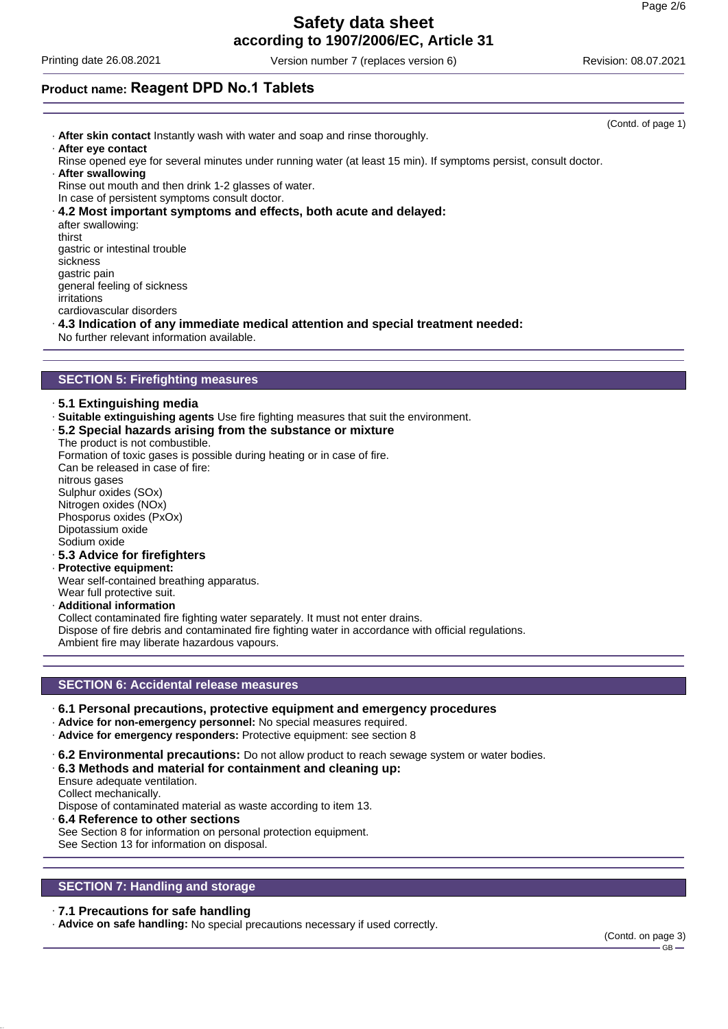# **Safety data sheet**

**according to 1907/2006/EC, Article 31**

Printing date 26.08.2021 Version number 7 (replaces version 6) Revision: 08.07.2021

### **Product name: Reagent DPD No.1 Tablets**

(Contd. of page 1) · **After skin contact** Instantly wash with water and soap and rinse thoroughly. · **After eye contact** Rinse opened eye for several minutes under running water (at least 15 min). If symptoms persist, consult doctor. · **After swallowing** Rinse out mouth and then drink 1-2 glasses of water. In case of persistent symptoms consult doctor. · **4.2 Most important symptoms and effects, both acute and delayed:** after swallowing: thirst gastric or intestinal trouble sickness gastric pain general feeling of sickness irritations cardiovascular disorders · **4.3 Indication of any immediate medical attention and special treatment needed:** No further relevant information available.

### **SECTION 5: Firefighting measures**

· **5.1 Extinguishing media**

- · **Suitable extinguishing agents** Use fire fighting measures that suit the environment.
- · **5.2 Special hazards arising from the substance or mixture**
- The product is not combustible.

Formation of toxic gases is possible during heating or in case of fire.

Can be released in case of fire: nitrous gases Sulphur oxides (SOx) Nitrogen oxides (NOx) Phosporus oxides (PxOx) Dipotassium oxide Sodium oxide

- · **5.3 Advice for firefighters**
- · **Protective equipment:**

Wear self-contained breathing apparatus. Wear full protective suit.

· **Additional information**

Collect contaminated fire fighting water separately. It must not enter drains. Dispose of fire debris and contaminated fire fighting water in accordance with official regulations. Ambient fire may liberate hazardous vapours.

### **SECTION 6: Accidental release measures**

- · **6.1 Personal precautions, protective equipment and emergency procedures**
- · **Advice for non-emergency personnel:** No special measures required.
- · **Advice for emergency responders:** Protective equipment: see section 8
- · **6.2 Environmental precautions:** Do not allow product to reach sewage system or water bodies.

### · **6.3 Methods and material for containment and cleaning up:**

Ensure adequate ventilation.

Collect mechanically.

Dispose of contaminated material as waste according to item 13.

· **6.4 Reference to other sections**

See Section 8 for information on personal protection equipment.

See Section 13 for information on disposal.

### **SECTION 7: Handling and storage**

### · **7.1 Precautions for safe handling**

· **Advice on safe handling:** No special precautions necessary if used correctly.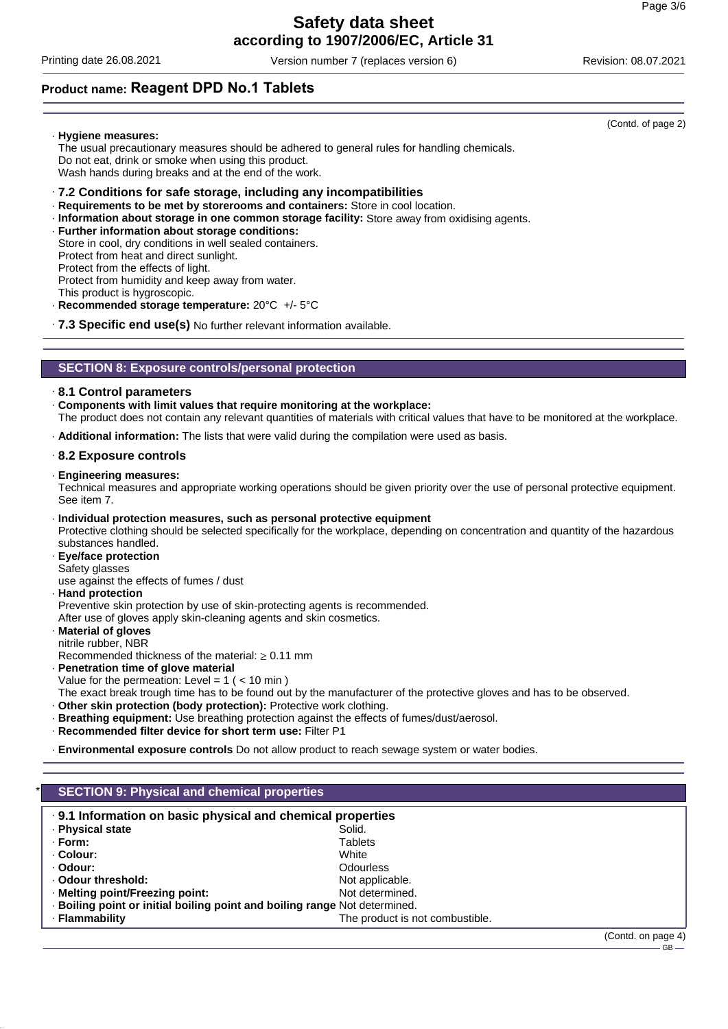# **Safety data sheet**

**according to 1907/2006/EC, Article 31**

Printing date 26.08.2021 Version number 7 (replaces version 6) Revision: 08.07.2021

(Contd. of page 2)

### **Product name: Reagent DPD No.1 Tablets**

### · **Hygiene measures:**

The usual precautionary measures should be adhered to general rules for handling chemicals. Do not eat, drink or smoke when using this product. Wash hands during breaks and at the end of the work.

- · **7.2 Conditions for safe storage, including any incompatibilities**
- · **Requirements to be met by storerooms and containers:** Store in cool location.
- · **Information about storage in one common storage facility:** Store away from oxidising agents.
- · **Further information about storage conditions:**
- Store in cool, dry conditions in well sealed containers.
- Protect from heat and direct sunlight.
- Protect from the effects of light.

Protect from humidity and keep away from water.

- This product is hygroscopic. · **Recommended storage temperature:** 20°C +/- 5°C
- · **7.3 Specific end use(s)** No further relevant information available.

### **SECTION 8: Exposure controls/personal protection**

### · **8.1 Control parameters**

### · **Components with limit values that require monitoring at the workplace:**

The product does not contain any relevant quantities of materials with critical values that have to be monitored at the workplace.

· **Additional information:** The lists that were valid during the compilation were used as basis.

### · **8.2 Exposure controls**

· **Engineering measures:**

Technical measures and appropriate working operations should be given priority over the use of personal protective equipment. See item 7.

- · **Individual protection measures, such as personal protective equipment** Protective clothing should be selected specifically for the workplace, depending on concentration and quantity of the hazardous substances handled.
- · **Eye/face protection** Safety glasses
- use against the effects of fumes / dust
- · **Hand protection** Preventive skin protection by use of skin-protecting agents is recommended.

After use of gloves apply skin-cleaning agents and skin cosmetics.

· **Material of gloves**

nitrile rubber, NBR

Recommended thickness of the material:  $\geq 0.11$  mm

- · **Penetration time of glove material**
- Value for the permeation: Level =  $1$  ( <  $10$  min )

The exact break trough time has to be found out by the manufacturer of the protective gloves and has to be observed.

- · **Other skin protection (body protection):** Protective work clothing.
- · **Breathing equipment:** Use breathing protection against the effects of fumes/dust/aerosol.
- · **Recommended filter device for short term use:** Filter P1
- · **Environmental exposure controls** Do not allow product to reach sewage system or water bodies.

| <b>SECTION 9: Physical and chemical properties</b><br>.9.1 Information on basic physical and chemical properties |                                 |                    |
|------------------------------------------------------------------------------------------------------------------|---------------------------------|--------------------|
| · Physical state                                                                                                 | Solid.                          |                    |
| · Form:                                                                                                          | <b>Tablets</b>                  |                    |
| · Colour:                                                                                                        | White                           |                    |
| · Odour:                                                                                                         | Odourless                       |                    |
| . Odour threshold:                                                                                               | Not applicable.                 |                    |
| · Melting point/Freezing point:                                                                                  | Not determined.                 |                    |
| · Boiling point or initial boiling point and boiling range Not determined.                                       |                                 |                    |
| · Flammability                                                                                                   | The product is not combustible. |                    |
|                                                                                                                  |                                 | (Contd. on page 4) |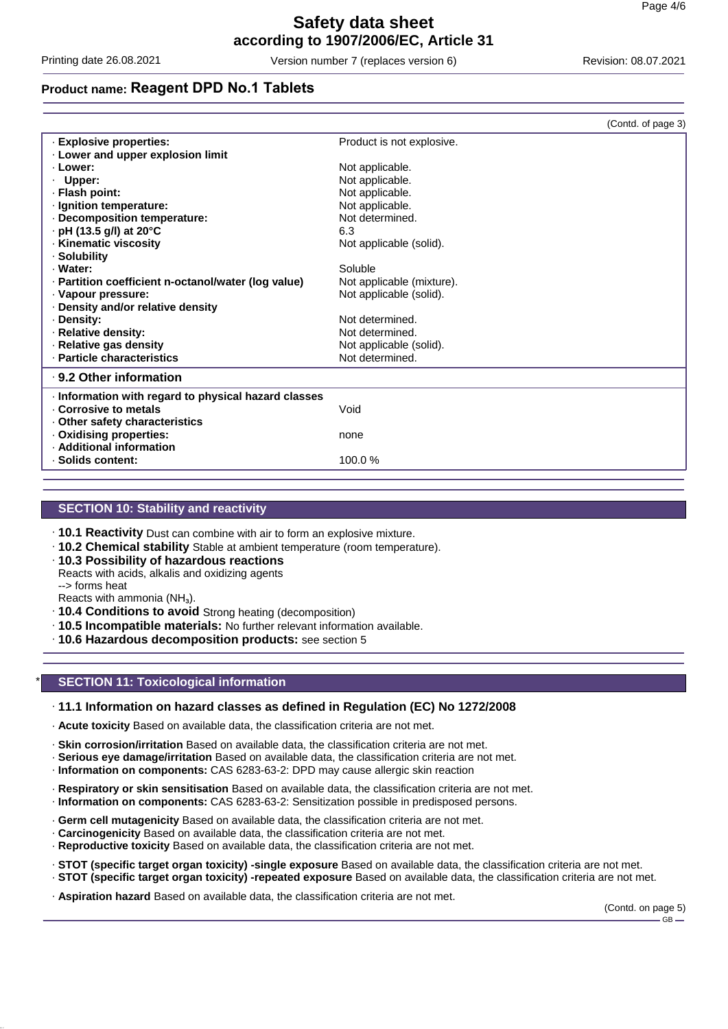Printing date 26.08.2021 Version number 7 (replaces version 6) Revision: 08.07.2021

### **Product name: Reagent DPD No.1 Tablets**

|                                                      | (Contd. of page 3)        |
|------------------------------------------------------|---------------------------|
| · Explosive properties:                              | Product is not explosive. |
| . Lower and upper explosion limit                    |                           |
| · Lower:                                             | Not applicable.           |
| · Upper:                                             | Not applicable.           |
| · Flash point:                                       | Not applicable.           |
| · Ignition temperature:                              | Not applicable.           |
| · Decomposition temperature:                         | Not determined.           |
| · pH (13.5 g/l) at 20°C                              | 6.3                       |
| · Kinematic viscosity                                | Not applicable (solid).   |
| · Solubility                                         |                           |
| · Water:                                             | Soluble                   |
| - Partition coefficient n-octanol/water (log value)  | Not applicable (mixture). |
| · Vapour pressure:                                   | Not applicable (solid).   |
| . Density and/or relative density                    |                           |
| · Density:                                           | Not determined.           |
| · Relative density:                                  | Not determined.           |
| · Relative gas density                               | Not applicable (solid).   |
| · Particle characteristics                           | Not determined.           |
| ⋅ 9.2 Other information                              |                           |
| · Information with regard to physical hazard classes |                           |
| . Corrosive to metals                                | Void                      |
| Other safety characteristics                         |                           |
| . Oxidising properties:                              | none                      |
| · Additional information                             |                           |
| · Solids content:                                    | 100.0%                    |
|                                                      |                           |

### **SECTION 10: Stability and reactivity**

· **10.1 Reactivity** Dust can combine with air to form an explosive mixture.

- · **10.2 Chemical stability** Stable at ambient temperature (room temperature).
- · **10.3 Possibility of hazardous reactions** Reacts with acids, alkalis and oxidizing agents --> forms heat

Reacts with ammonia (NH₃).

- · **10.4 Conditions to avoid** Strong heating (decomposition)
- · **10.5 Incompatible materials:** No further relevant information available.
- · **10.6 Hazardous decomposition products:** see section 5

### **SECTION 11: Toxicological information**

### · **11.1 Information on hazard classes as defined in Regulation (EC) No 1272/2008**

· **Acute toxicity** Based on available data, the classification criteria are not met.

- · **Skin corrosion/irritation** Based on available data, the classification criteria are not met.
- · **Serious eye damage/irritation** Based on available data, the classification criteria are not met.
- · **Information on components:** CAS 6283-63-2: DPD may cause allergic skin reaction
- · **Respiratory or skin sensitisation** Based on available data, the classification criteria are not met.
- · **Information on components:** CAS 6283-63-2: Sensitization possible in predisposed persons.
- · **Germ cell mutagenicity** Based on available data, the classification criteria are not met.
- · **Carcinogenicity** Based on available data, the classification criteria are not met.
- · **Reproductive toxicity** Based on available data, the classification criteria are not met.
- · **STOT (specific target organ toxicity) -single exposure** Based on available data, the classification criteria are not met.
- · **STOT (specific target organ toxicity) -repeated exposure** Based on available data, the classification criteria are not met.
- · **Aspiration hazard** Based on available data, the classification criteria are not met.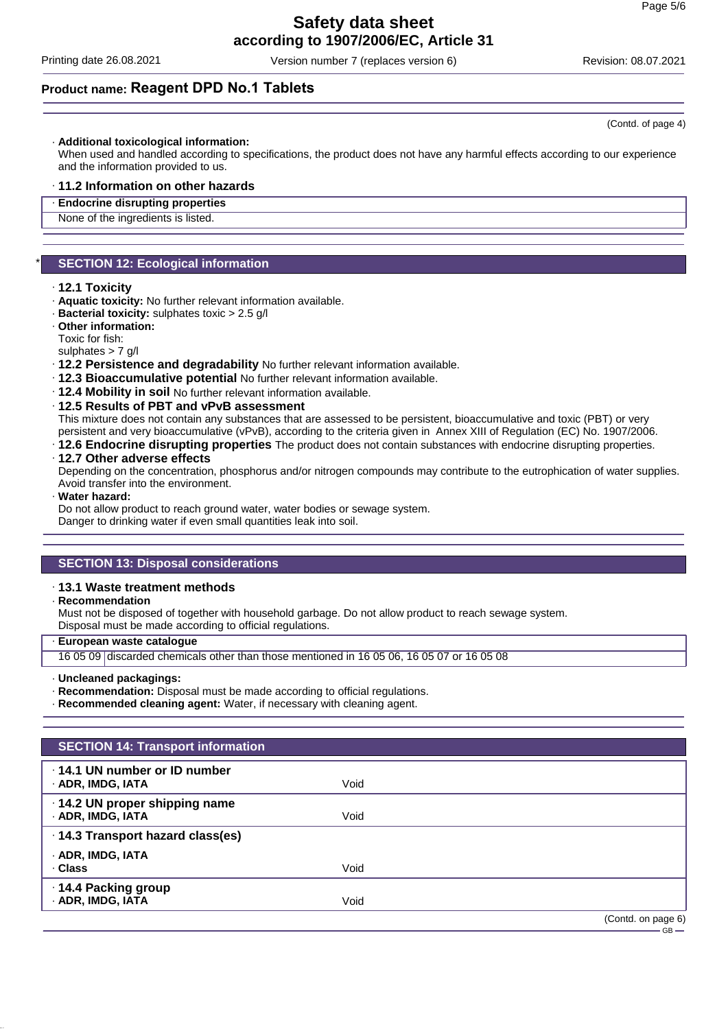# **Safety data sheet**

**according to 1907/2006/EC, Article 31**

Printing date 26.08.2021 Version number 7 (replaces version 6) Revision: 08.07.2021

(Contd. of page 4)

### **Product name: Reagent DPD No.1 Tablets**

#### · **Additional toxicological information:**

When used and handled according to specifications, the product does not have any harmful effects according to our experience and the information provided to us.

#### · **11.2 Information on other hazards**

· **Endocrine disrupting properties**

None of the ingredients is listed.

### **SECTION 12: Ecological information**

### · **12.1 Toxicity**

- · **Aquatic toxicity:** No further relevant information available.
- · **Bacterial toxicity:** sulphates toxic > 2.5 g/l
- · **Other information:** Toxic for fish:

sulphates > 7 g/l

- · **12.2 Persistence and degradability** No further relevant information available.
- · **12.3 Bioaccumulative potential** No further relevant information available.
- · **12.4 Mobility in soil** No further relevant information available.

#### · **12.5 Results of PBT and vPvB assessment**

This mixture does not contain any substances that are assessed to be persistent, bioaccumulative and toxic (PBT) or very persistent and very bioaccumulative (vPvB), according to the criteria given in Annex XIII of Regulation (EC) No. 1907/2006.

· **12.6 Endocrine disrupting properties** The product does not contain substances with endocrine disrupting properties.

### · **12.7 Other adverse effects**

Depending on the concentration, phosphorus and/or nitrogen compounds may contribute to the eutrophication of water supplies. Avoid transfer into the environment.

· **Water hazard:**

Do not allow product to reach ground water, water bodies or sewage system.

Danger to drinking water if even small quantities leak into soil.

### **SECTION 13: Disposal considerations**

### · **13.1 Waste treatment methods**

#### · **Recommendation**

Must not be disposed of together with household garbage. Do not allow product to reach sewage system. Disposal must be made according to official regulations.

### · **European waste catalogue**

16 05 09 discarded chemicals other than those mentioned in 16 05 06, 16 05 07 or 16 05 08

#### · **Uncleaned packagings:**

· **Recommendation:** Disposal must be made according to official regulations.

· **Recommended cleaning agent:** Water, if necessary with cleaning agent.

| <b>SECTION 14: Transport information</b>                 |      |                    |
|----------------------------------------------------------|------|--------------------|
| $\cdot$ 14.1 UN number or ID number<br>· ADR, IMDG, IATA | Void |                    |
| · 14.2 UN proper shipping name<br>· ADR, IMDG, IATA      | Void |                    |
| · 14.3 Transport hazard class(es)                        |      |                    |
| · ADR, IMDG, IATA<br>. Class                             | Void |                    |
| 14.4 Packing group<br>· ADR, IMDG, IATA                  | Void |                    |
|                                                          |      | (Contd. on page 6) |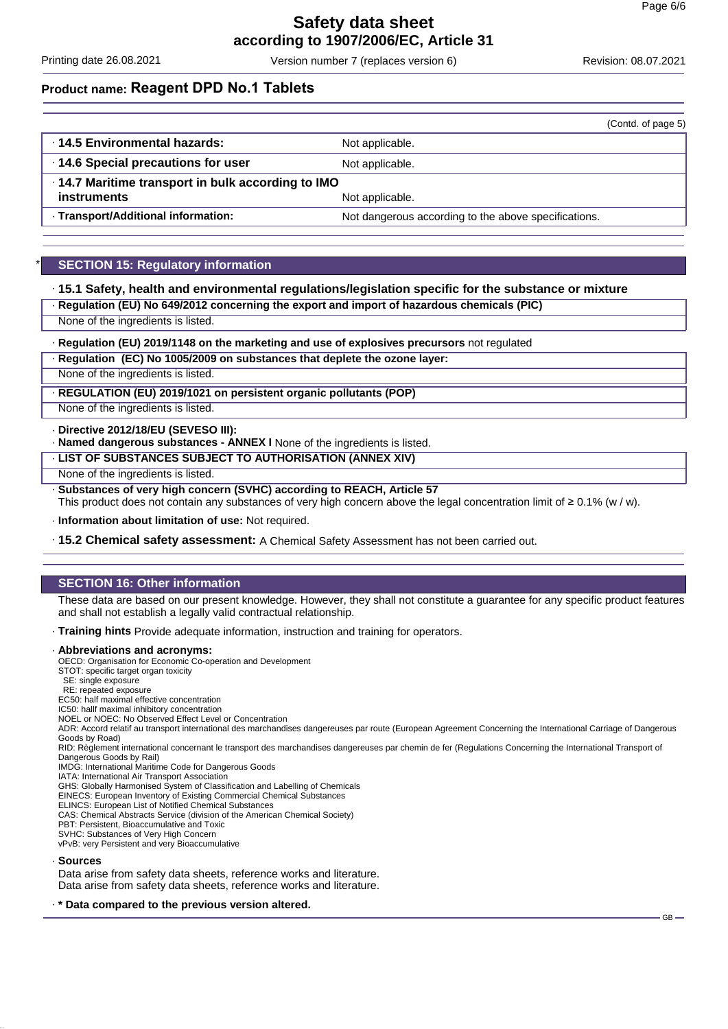Printing date 26.08.2021 Version number 7 (replaces version 6) Revision: 08.07.2021

## **Product name: Reagent DPD No.1 Tablets**

|                                                   | (Contd. of page 5)                                   |  |
|---------------------------------------------------|------------------------------------------------------|--|
| 14.5 Environmental hazards:                       | Not applicable.                                      |  |
| 14.6 Special precautions for user                 | Not applicable.                                      |  |
| .14.7 Maritime transport in bulk according to IMO |                                                      |  |
| instruments                                       | Not applicable.                                      |  |
| <b>Transport/Additional information:</b>          | Not dangerous according to the above specifications. |  |

### **SECTION 15: Regulatory information**

### · **15.1 Safety, health and environmental regulations/legislation specific for the substance or mixture**

- · **Regulation (EU) No 649/2012 concerning the export and import of hazardous chemicals (PIC)**
- None of the ingredients is listed.

#### · **Regulation (EU) 2019/1148 on the marketing and use of explosives precursors** not regulated

### · **Regulation (EC) No 1005/2009 on substances that deplete the ozone layer:**

None of the ingredients is listed.

### · **REGULATION (EU) 2019/1021 on persistent organic pollutants (POP)**

None of the ingredients is listed.

· **Directive 2012/18/EU (SEVESO III):**

· **Named dangerous substances - ANNEX I** None of the ingredients is listed.

#### · **LIST OF SUBSTANCES SUBJECT TO AUTHORISATION (ANNEX XIV)**

None of the ingredients is listed.

· **Substances of very high concern (SVHC) according to REACH, Article 57**

This product does not contain any substances of very high concern above the legal concentration limit of ≥ 0.1% (w / w).

· **Information about limitation of use:** Not required.

· **15.2 Chemical safety assessment:** A Chemical Safety Assessment has not been carried out.

### **SECTION 16: Other information**

These data are based on our present knowledge. However, they shall not constitute a guarantee for any specific product features and shall not establish a legally valid contractual relationship.

· **Training hints** Provide adequate information, instruction and training for operators.

#### · **Abbreviations and acronyms:**

OECD: Organisation for Economic Co-operation and Development

- STOT: specific target organ toxicity SE: single exposure
- RE: repeated exposure

EC50: half maximal effective concentration

IC50: hallf maximal inhibitory concentration

NOEL or NOEC: No Observed Effect Level or Concentration

ADR: Accord relatif au transport international des marchandises dangereuses par route (European Agreement Concerning the International Carriage of Dangerous Goods by Road)

RID: Règlement international concernant le transport des marchandises dangereuses par chemin de fer (Regulations Concerning the International Transport of Dangerous Goods by Rail)

IMDG: International Maritime Code for Dangerous Goods

IATA: International Air Transport Association

GHS: Globally Harmonised System of Classification and Labelling of Chemicals

EINECS: European Inventory of Existing Commercial Chemical Substances ELINCS: European List of Notified Chemical Substances

CAS: Chemical Abstracts Service (division of the American Chemical Society)

PBT: Persistent, Bioaccumulative and Toxic

SVHC: Substances of Very High Concern

vPvB: very Persistent and very Bioaccumulative

#### · **Sources**

Data arise from safety data sheets, reference works and literature. Data arise from safety data sheets, reference works and literature.

#### · **\* Data compared to the previous version altered.**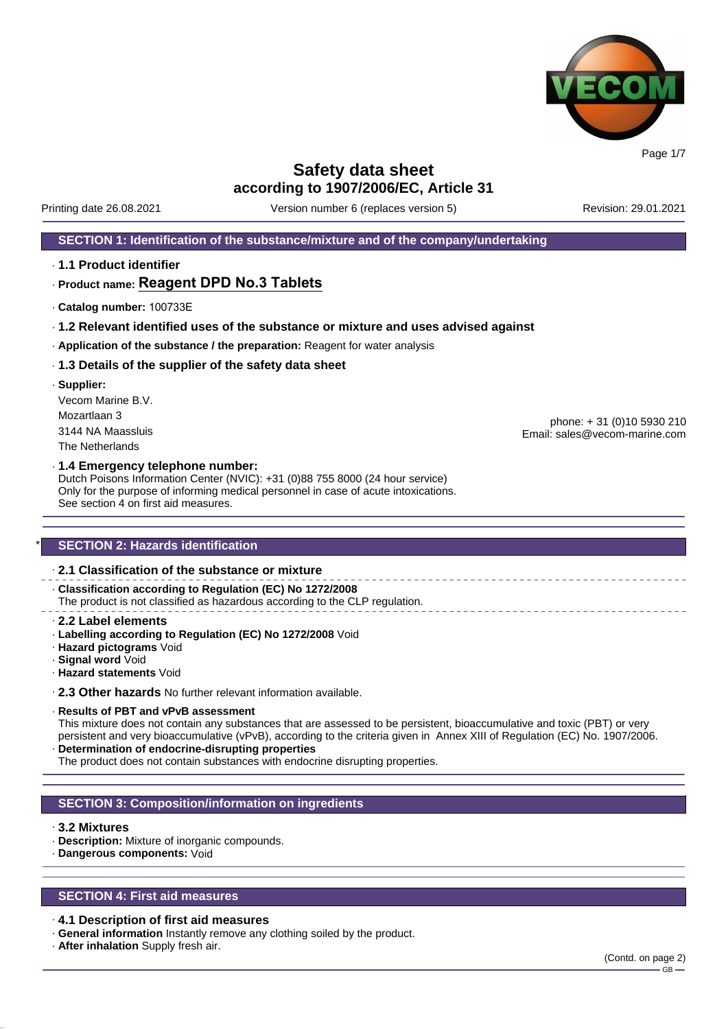

Printing date 26.08.2021 Version number 6 (replaces version 5) Revision: 29.01.2021

### **SECTION 1: Identification of the substance/mixture and of the company/undertaking**

· **1.1 Product identifier**

### · **Product name: Reagent DPD No.3 Tablets**

- · **Catalog number:** 100733E
- · **1.2 Relevant identified uses of the substance or mixture and uses advised against**
- · **Application of the substance / the preparation:** Reagent for water analysis

### · **1.3 Details of the supplier of the safety data sheet**

· **Supplier:** Vecom Marine B.V. Mozartlaan 3 3144 NA Maassluis The Netherlands

phone: + 31 (0)10 5930 210 Email: sales@vecom-marine.com

#### · **1.4 Emergency telephone number:**

Dutch Poisons Information Center (NVIC): +31 (0)88 755 8000 (24 hour service) Only for the purpose of informing medical personnel in case of acute intoxications. See section 4 on first aid measures.

### **SECTION 2: Hazards identification**

### · **2.1 Classification of the substance or mixture**

· **Classification according to Regulation (EC) No 1272/2008** The product is not classified as hazardous according to the CLP regulation.

- · **2.2 Label elements**
- · **Labelling according to Regulation (EC) No 1272/2008** Void
- · **Hazard pictograms** Void
- · **Signal word** Void
- · **Hazard statements** Void

· **2.3 Other hazards** No further relevant information available.

#### · **Results of PBT and vPvB assessment**

This mixture does not contain any substances that are assessed to be persistent, bioaccumulative and toxic (PBT) or very persistent and very bioaccumulative (vPvB), according to the criteria given in Annex XIII of Regulation (EC) No. 1907/2006. · **Determination of endocrine-disrupting properties**

The product does not contain substances with endocrine disrupting properties.

### **SECTION 3: Composition/information on ingredients**

### · **3.2 Mixtures**

- · **Description:** Mixture of inorganic compounds.
- · **Dangerous components:** Void

### **SECTION 4: First aid measures**

### · **4.1 Description of first aid measures**

- · **General information** Instantly remove any clothing soiled by the product.
- · **After inhalation** Supply fresh air.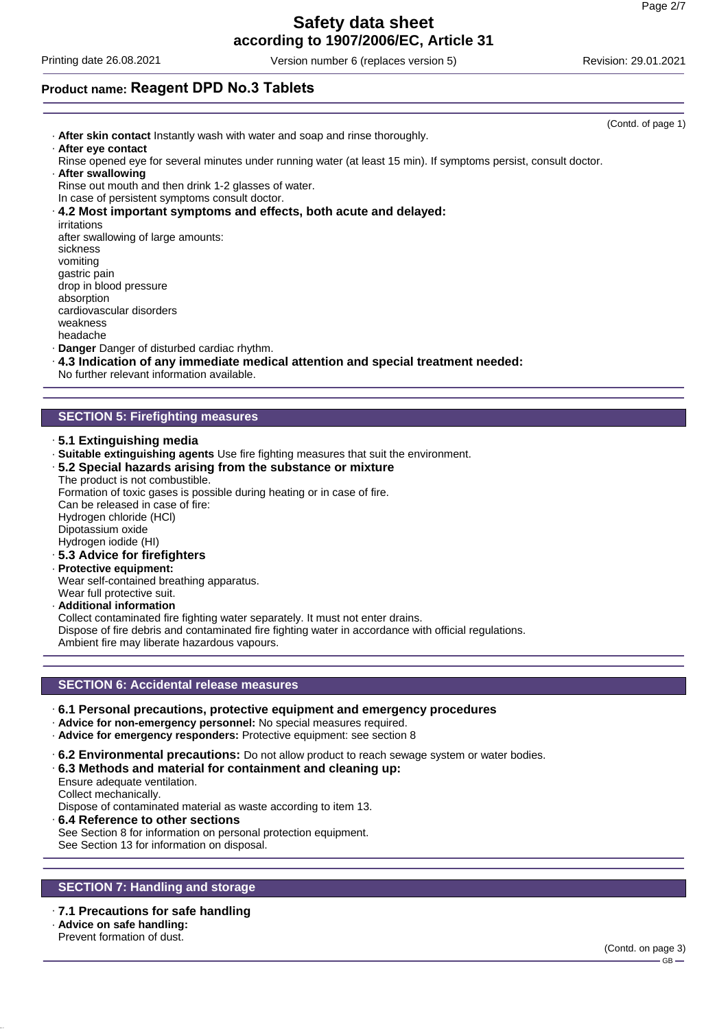## **Safety data sheet**

**according to 1907/2006/EC, Article 31**

Printing date 26.08.2021 Version number 6 (replaces version 5) Revision: 29.01.2021

### **Product name: Reagent DPD No.3 Tablets**

(Contd. of page 1) · **After skin contact** Instantly wash with water and soap and rinse thoroughly. · **After eye contact** Rinse opened eye for several minutes under running water (at least 15 min). If symptoms persist, consult doctor. · **After swallowing** Rinse out mouth and then drink 1-2 glasses of water. In case of persistent symptoms consult doctor. · **4.2 Most important symptoms and effects, both acute and delayed:** irritations after swallowing of large amounts: sickness vomiting gastric pain drop in blood pressure absorption cardiovascular disorders weakness headache · **Danger** Danger of disturbed cardiac rhythm. · **4.3 Indication of any immediate medical attention and special treatment needed:** No further relevant information available.

### **SECTION 5: Firefighting measures**

- · **5.1 Extinguishing media**
- · **Suitable extinguishing agents** Use fire fighting measures that suit the environment.
- · **5.2 Special hazards arising from the substance or mixture** The product is not combustible.

Formation of toxic gases is possible during heating or in case of fire. Can be released in case of fire: Hydrogen chloride (HCl) Dipotassium oxide Hydrogen iodide (HI) · **5.3 Advice for firefighters**

· **Protective equipment:**

Wear self-contained breathing apparatus. Wear full protective suit.

· **Additional information**

Collect contaminated fire fighting water separately. It must not enter drains. Dispose of fire debris and contaminated fire fighting water in accordance with official regulations. Ambient fire may liberate hazardous vapours.

### **SECTION 6: Accidental release measures**

- · **6.1 Personal precautions, protective equipment and emergency procedures**
- · **Advice for non-emergency personnel:** No special measures required.
- · **Advice for emergency responders:** Protective equipment: see section 8
- · **6.2 Environmental precautions:** Do not allow product to reach sewage system or water bodies.
- · **6.3 Methods and material for containment and cleaning up:**
- Ensure adequate ventilation.
- Collect mechanically.

Dispose of contaminated material as waste according to item 13.

· **6.4 Reference to other sections** See Section 8 for information on personal protection equipment. See Section 13 for information on disposal.

### **SECTION 7: Handling and storage**

### · **7.1 Precautions for safe handling**

- · **Advice on safe handling:**
- Prevent formation of dust.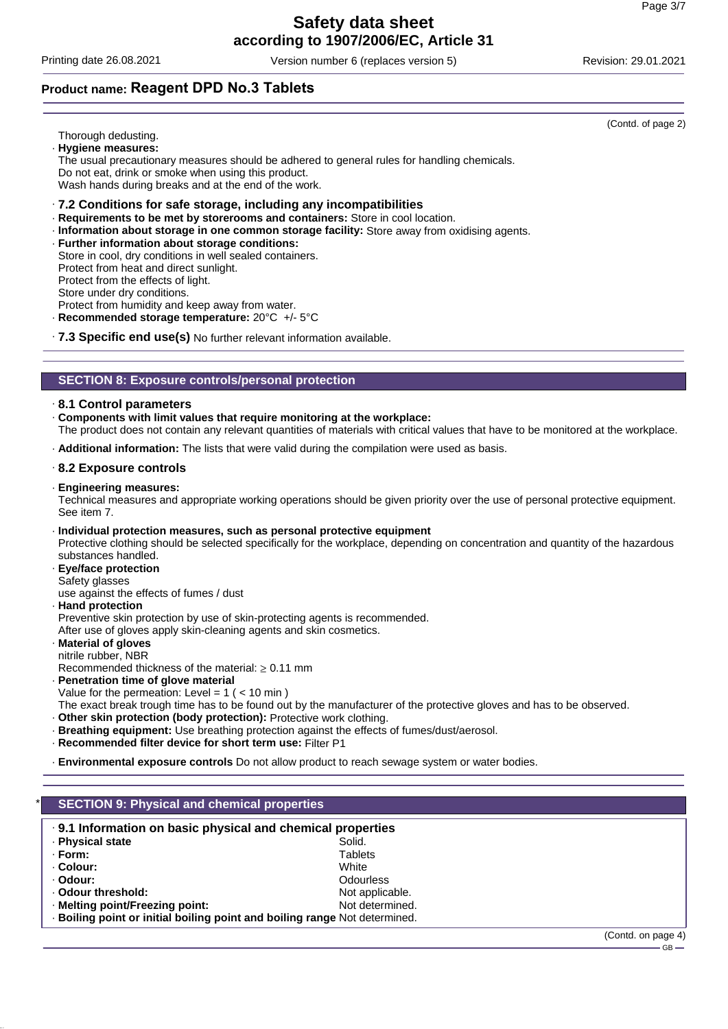Printing date 26.08.2021 Version number 6 (replaces version 5) Revision: 29.01.2021

### **Product name: Reagent DPD No.3 Tablets**

Thorough dedusting.

- · **Hygiene measures:**
- The usual precautionary measures should be adhered to general rules for handling chemicals. Do not eat, drink or smoke when using this product.

Wash hands during breaks and at the end of the work.

### · **7.2 Conditions for safe storage, including any incompatibilities**

- · **Requirements to be met by storerooms and containers:** Store in cool location.
- · **Information about storage in one common storage facility:** Store away from oxidising agents.
- · **Further information about storage conditions:**
- Store in cool, dry conditions in well sealed containers.

Protect from heat and direct sunlight.

Protect from the effects of light.

Store under dry conditions.

Protect from humidity and keep away from water.

- · **Recommended storage temperature:** 20°C +/- 5°C
- · **7.3 Specific end use(s)** No further relevant information available.

### **SECTION 8: Exposure controls/personal protection**

### · **8.1 Control parameters**

· **Components with limit values that require monitoring at the workplace:**

The product does not contain any relevant quantities of materials with critical values that have to be monitored at the workplace.

· **Additional information:** The lists that were valid during the compilation were used as basis.

### · **8.2 Exposure controls**

### · **Engineering measures:**

Technical measures and appropriate working operations should be given priority over the use of personal protective equipment. See item 7.

- · **Individual protection measures, such as personal protective equipment** Protective clothing should be selected specifically for the workplace, depending on concentration and quantity of the hazardous substances handled.
- · **Eye/face protection**
- Safety glasses

use against the effects of fumes / dust

· **Hand protection**

Preventive skin protection by use of skin-protecting agents is recommended.

After use of gloves apply skin-cleaning agents and skin cosmetics.

· **Material of gloves** nitrile rubber, NBR

Recommended thickness of the material:  $\geq 0.11$  mm

· **Penetration time of glove material**

Value for the permeation: Level =  $1$  ( <  $10$  min)

The exact break trough time has to be found out by the manufacturer of the protective gloves and has to be observed.

· **Other skin protection (body protection):** Protective work clothing.

- · **Breathing equipment:** Use breathing protection against the effects of fumes/dust/aerosol.
- · **Recommended filter device for short term use:** Filter P1

· **Environmental exposure controls** Do not allow product to reach sewage system or water bodies.

| .9.1 Information on basic physical and chemical properties                 |                  |  |
|----------------------------------------------------------------------------|------------------|--|
| · Physical state                                                           | Solid.           |  |
| · Form:                                                                    | Tablets          |  |
| ⋅ Colour:                                                                  | White            |  |
| · Odour:                                                                   | <b>Odourless</b> |  |
| . Odour threshold:                                                         | Not applicable.  |  |
| · Melting point/Freezing point:                                            | Not determined.  |  |
| · Boiling point or initial boiling point and boiling range Not determined. |                  |  |

(Contd. of page 2)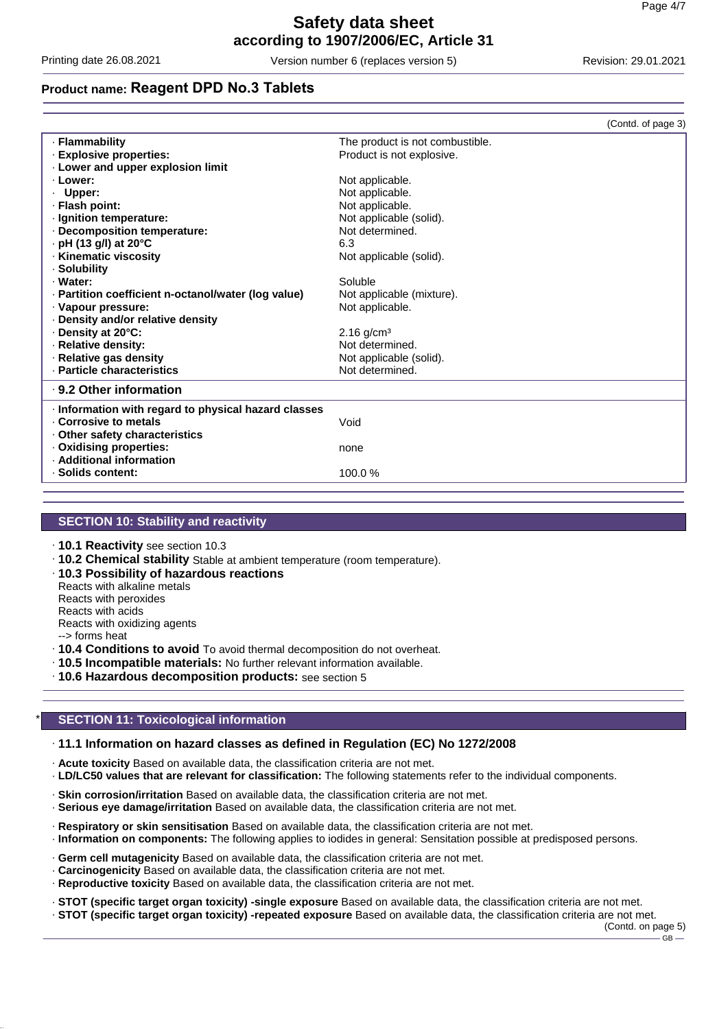Printing date 26.08.2021 Version number 6 (replaces version 5) Revision: 29.01.2021

### **Product name: Reagent DPD No.3 Tablets**

|                                                      |                                 | (Contd. of page 3) |
|------------------------------------------------------|---------------------------------|--------------------|
| · Flammability                                       | The product is not combustible. |                    |
| · Explosive properties:                              | Product is not explosive.       |                    |
| . Lower and upper explosion limit                    |                                 |                    |
| · Lower:                                             | Not applicable.                 |                    |
| · Upper:                                             | Not applicable.                 |                    |
| · Flash point:                                       | Not applicable.                 |                    |
| · Ignition temperature:                              | Not applicable (solid).         |                    |
| · Decomposition temperature:                         | Not determined.                 |                    |
| $\cdot$ pH (13 g/l) at 20 $^{\circ}$ C               | 6.3                             |                    |
| · Kinematic viscosity                                | Not applicable (solid).         |                    |
| · Solubility                                         |                                 |                    |
| · Water:                                             | Soluble                         |                    |
| · Partition coefficient n-octanol/water (log value)  | Not applicable (mixture).       |                    |
| · Vapour pressure:                                   | Not applicable.                 |                    |
| · Density and/or relative density                    |                                 |                    |
| Density at 20°C:                                     | $2.16$ g/cm <sup>3</sup>        |                    |
| · Relative density:                                  | Not determined.                 |                    |
| · Relative gas density                               | Not applicable (solid).         |                    |
| · Particle characteristics                           | Not determined.                 |                    |
| ⋅ 9.2 Other information                              |                                 |                    |
| · Information with regard to physical hazard classes |                                 |                    |
| . Corrosive to metals                                | Void                            |                    |
| Other safety characteristics                         |                                 |                    |
| · Oxidising properties:                              | none                            |                    |
| · Additional information                             |                                 |                    |
| · Solids content:                                    | 100.0%                          |                    |

### **SECTION 10: Stability and reactivity**

- · **10.1 Reactivity** see section 10.3
- · **10.2 Chemical stability** Stable at ambient temperature (room temperature).
- · **10.3 Possibility of hazardous reactions**
- Reacts with alkaline metals

Reacts with peroxides

Reacts with acids Reacts with oxidizing agents

--> forms heat

· **10.4 Conditions to avoid** To avoid thermal decomposition do not overheat.

· **10.5 Incompatible materials:** No further relevant information available.

· **10.6 Hazardous decomposition products:** see section 5

### **SECTION 11: Toxicological information**

#### · **11.1 Information on hazard classes as defined in Regulation (EC) No 1272/2008**

- · **Acute toxicity** Based on available data, the classification criteria are not met.
- · **LD/LC50 values that are relevant for classification:** The following statements refer to the individual components.
- · **Skin corrosion/irritation** Based on available data, the classification criteria are not met.
- · **Serious eye damage/irritation** Based on available data, the classification criteria are not met.
- · **Respiratory or skin sensitisation** Based on available data, the classification criteria are not met.
- · **Information on components:** The following applies to iodides in general: Sensitation possible at predisposed persons.
- · **Germ cell mutagenicity** Based on available data, the classification criteria are not met.
- · **Carcinogenicity** Based on available data, the classification criteria are not met.
- · **Reproductive toxicity** Based on available data, the classification criteria are not met.
- · **STOT (specific target organ toxicity) -single exposure** Based on available data, the classification criteria are not met.

· **STOT (specific target organ toxicity) -repeated exposure** Based on available data, the classification criteria are not met.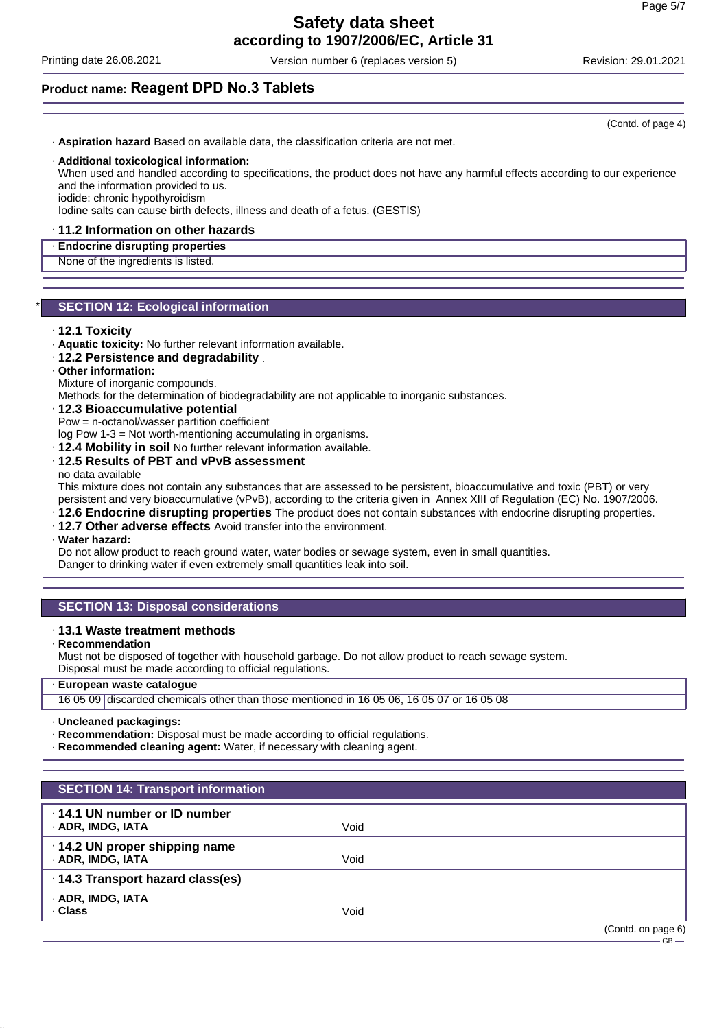Printing date 26.08.2021 Version number 6 (replaces version 5) Revision: 29.01.2021

### **Product name: Reagent DPD No.3 Tablets**

· **Aspiration hazard** Based on available data, the classification criteria are not met.

### · **Additional toxicological information:**

When used and handled according to specifications, the product does not have any harmful effects according to our experience and the information provided to us.

iodide: chronic hypothyroidism

Iodine salts can cause birth defects, illness and death of a fetus. (GESTIS)

### · **11.2 Information on other hazards**

### · **Endocrine disrupting properties**

None of the ingredients is listed.

### **SECTION 12: Ecological information**

#### · **12.1 Toxicity**

- · **Aquatic toxicity:** No further relevant information available.
- · **12.2 Persistence and degradability** .

### · **Other information:**

Mixture of inorganic compounds.

Methods for the determination of biodegradability are not applicable to inorganic substances.

### · **12.3 Bioaccumulative potential**

Pow = n-octanol/wasser partition coefficient

log Pow 1-3 = Not worth-mentioning accumulating in organisms.

· **12.4 Mobility in soil** No further relevant information available.

· **12.5 Results of PBT and vPvB assessment**

no data available

This mixture does not contain any substances that are assessed to be persistent, bioaccumulative and toxic (PBT) or very persistent and very bioaccumulative (vPvB), according to the criteria given in Annex XIII of Regulation (EC) No. 1907/2006.

- · **12.6 Endocrine disrupting properties** The product does not contain substances with endocrine disrupting properties.
- · **12.7 Other adverse effects** Avoid transfer into the environment.

### · **Water hazard:**

Do not allow product to reach ground water, water bodies or sewage system, even in small quantities. Danger to drinking water if even extremely small quantities leak into soil.

### **SECTION 13: Disposal considerations**

### · **13.1 Waste treatment methods**

· **Recommendation**

Must not be disposed of together with household garbage. Do not allow product to reach sewage system. Disposal must be made according to official regulations.

### · **European waste catalogue**

16 05 09 discarded chemicals other than those mentioned in 16 05 06, 16 05 07 or 16 05 08

· **Uncleaned packagings:**

- · **Recommendation:** Disposal must be made according to official regulations.
- · **Recommended cleaning agent:** Water, if necessary with cleaning agent.

| <b>SECTION 14: Transport information</b>                  |      |                    |
|-----------------------------------------------------------|------|--------------------|
| 14.1 UN number or ID number<br>· ADR, IMDG, IATA          | Void |                    |
| $\cdot$ 14.2 UN proper shipping name<br>· ADR, IMDG, IATA | Void |                    |
| · 14.3 Transport hazard class(es)                         |      |                    |
| · ADR, IMDG, IATA<br>. Class                              | Void |                    |
|                                                           |      | (Contd. on page 6) |

(Contd. of page 4)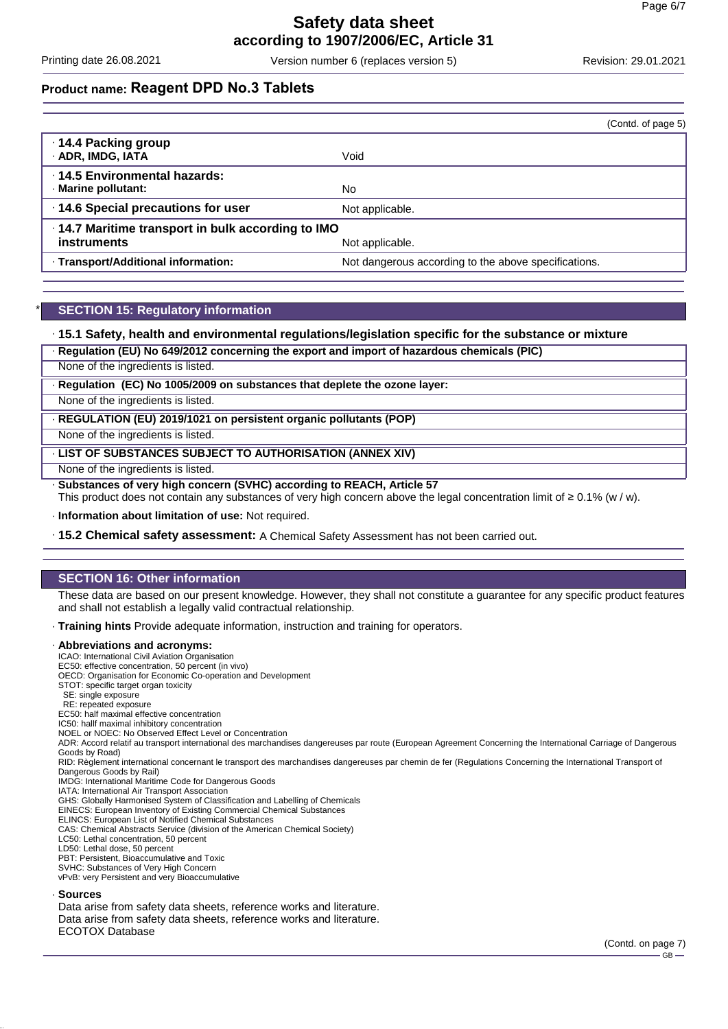Printing date 26.08.2021 Version number 6 (replaces version 5) Revision: 29.01.2021

### **Product name: Reagent DPD No.3 Tablets**

|                                                                         | (Contd. of page 5)                                   |
|-------------------------------------------------------------------------|------------------------------------------------------|
| 14.4 Packing group<br>· ADR, IMDG, IATA                                 | Void                                                 |
| ⋅14.5 Environmental hazards:<br>· Marine pollutant:                     | No.                                                  |
| 14.6 Special precautions for user                                       | Not applicable.                                      |
| .14.7 Maritime transport in bulk according to IMO<br><b>instruments</b> | Not applicable.                                      |
| · Transport/Additional information:                                     | Not dangerous according to the above specifications. |

### **SECTION 15: Regulatory information**

### · **15.1 Safety, health and environmental regulations/legislation specific for the substance or mixture**

· **Regulation (EU) No 649/2012 concerning the export and import of hazardous chemicals (PIC)**

None of the ingredients is listed.

· **Regulation (EC) No 1005/2009 on substances that deplete the ozone layer:**

None of the ingredients is listed.

· **REGULATION (EU) 2019/1021 on persistent organic pollutants (POP)**

None of the ingredients is listed.

· **LIST OF SUBSTANCES SUBJECT TO AUTHORISATION (ANNEX XIV)**

None of the ingredients is listed.

· **Substances of very high concern (SVHC) according to REACH, Article 57**

This product does not contain any substances of very high concern above the legal concentration limit of ≥ 0.1% (w / w).

· **Information about limitation of use:** Not required.

· **15.2 Chemical safety assessment:** A Chemical Safety Assessment has not been carried out.

### **SECTION 16: Other information**

These data are based on our present knowledge. However, they shall not constitute a guarantee for any specific product features and shall not establish a legally valid contractual relationship.

· **Training hints** Provide adequate information, instruction and training for operators.

#### · **Abbreviations and acronyms:**

ICAO: International Civil Aviation Organisation

EC50: effective concentration, 50 percent (in vivo)

OECD: Organisation for Economic Co-operation and Development STOT: specific target organ toxicity

- 
- SE: single exposure RE: repeated exposure

EC50: half maximal effective concentration

IC50: hallf maximal inhibitory concentration

NOEL or NOEC: No Observed Effect Level or Concentration

ADR: Accord relatif au transport international des marchandises dangereuses par route (European Agreement Concerning the International Carriage of Dangerous Goods by Road)

RID: Règlement international concernant le transport des marchandises dangereuses par chemin de fer (Regulations Concerning the International Transport of Dangerous Goods by Rail)

IMDG: International Maritime Code for Dangerous Goods

IATA: International Air Transport Association GHS: Globally Harmonised System of Classification and Labelling of Chemicals

EINECS: European Inventory of Existing Commercial Chemical Substances

ELINCS: European List of Notified Chemical Substances

CAS: Chemical Abstracts Service (division of the American Chemical Society)

LC50: Lethal concentration, 50 percent

LD50: Lethal dose, 50 percent

PBT: Persistent, Bioaccumulative and Toxic SVHC: Substances of Very High Concern

vPvB: very Persistent and very Bioaccumulative

#### · **Sources**

Data arise from safety data sheets, reference works and literature. Data arise from safety data sheets, reference works and literature. ECOTOX Database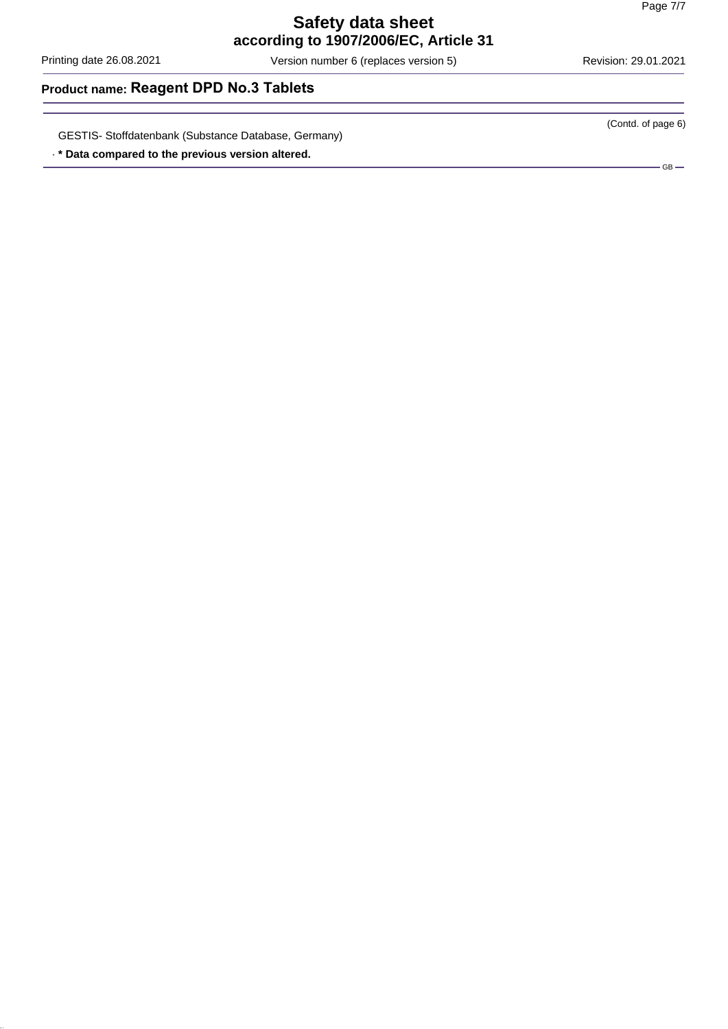Printing date 26.08.2021 Version number 6 (replaces version 5) Revision: 29.01.2021

(Contd. of page 6)

### **Product name: Reagent DPD No.3 Tablets**

GESTIS- Stoffdatenbank (Substance Database, Germany)

· **\* Data compared to the previous version altered.**

 $-$  GB  $-$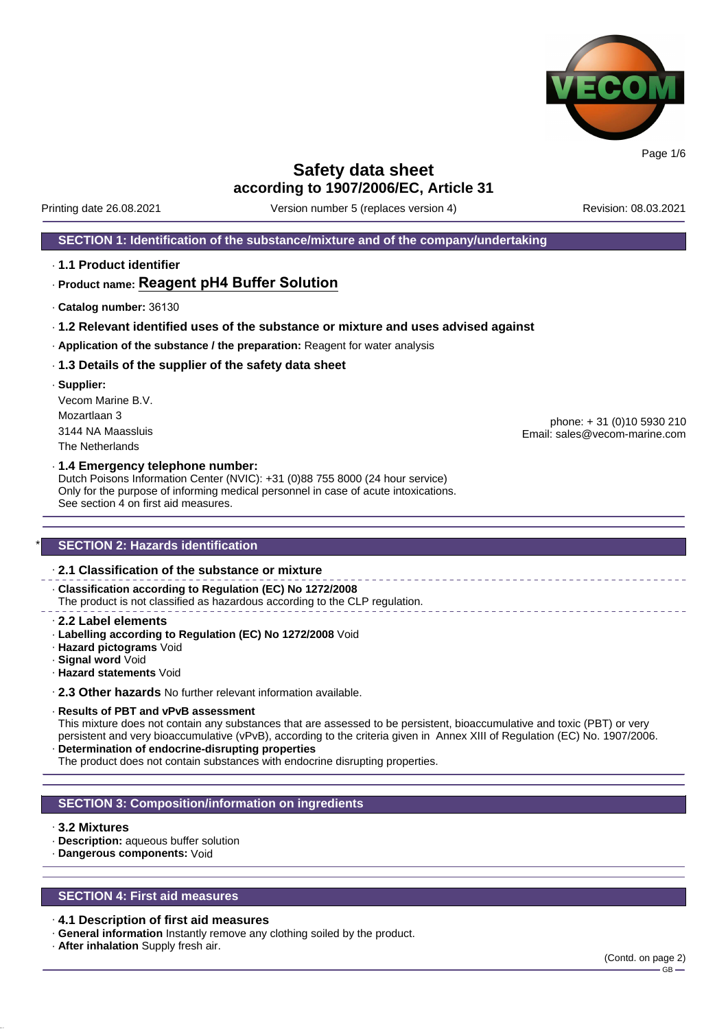

Printing date 26.08.2021 Version number 5 (replaces version 4) Revision: 08.03.2021

### **SECTION 1: Identification of the substance/mixture and of the company/undertaking**

· **1.1 Product identifier**

### · **Product name: Reagent pH4 Buffer Solution**

- · **Catalog number:** 36130
- · **1.2 Relevant identified uses of the substance or mixture and uses advised against**
- · **Application of the substance / the preparation:** Reagent for water analysis

#### · **1.3 Details of the supplier of the safety data sheet**

· **Supplier:** Vecom Marine B.V. Mozartlaan 3 3144 NA Maassluis The Netherlands

phone: + 31 (0)10 5930 210 Email: sales@vecom-marine.com

#### · **1.4 Emergency telephone number:**

Dutch Poisons Information Center (NVIC): +31 (0)88 755 8000 (24 hour service) Only for the purpose of informing medical personnel in case of acute intoxications. See section 4 on first aid measures.

### **SECTION 2: Hazards identification**

### · **2.1 Classification of the substance or mixture**

· **Classification according to Regulation (EC) No 1272/2008** The product is not classified as hazardous according to the CLP regulation.

- · **2.2 Label elements**
- · **Labelling according to Regulation (EC) No 1272/2008** Void
- · **Hazard pictograms** Void
- · **Signal word** Void
- · **Hazard statements** Void

· **2.3 Other hazards** No further relevant information available.

#### · **Results of PBT and vPvB assessment**

This mixture does not contain any substances that are assessed to be persistent, bioaccumulative and toxic (PBT) or very persistent and very bioaccumulative (vPvB), according to the criteria given in Annex XIII of Regulation (EC) No. 1907/2006. · **Determination of endocrine-disrupting properties**

The product does not contain substances with endocrine disrupting properties.

### **SECTION 3: Composition/information on ingredients**

#### · **3.2 Mixtures**

- · **Description:** aqueous buffer solution
- · **Dangerous components:** Void

### **SECTION 4: First aid measures**

#### · **4.1 Description of first aid measures**

- · **General information** Instantly remove any clothing soiled by the product.
- · **After inhalation** Supply fresh air.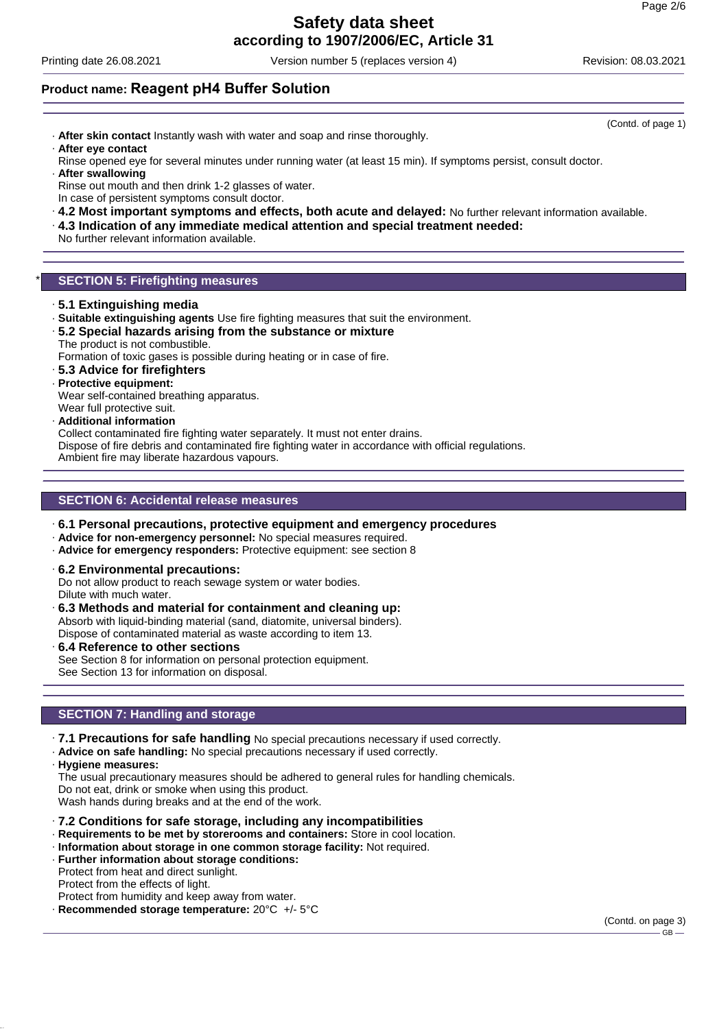# **Safety data sheet**

**according to 1907/2006/EC, Article 31**

Printing date 26.08.2021 Version number 5 (replaces version 4) Revision: 08.03.2021

### **Product name: Reagent pH4 Buffer Solution**

- · **After skin contact** Instantly wash with water and soap and rinse thoroughly. · **After eye contact**
- Rinse opened eye for several minutes under running water (at least 15 min). If symptoms persist, consult doctor.
- · **After swallowing** Rinse out mouth and then drink 1-2 glasses of water. In case of persistent symptoms consult doctor.
- · **4.2 Most important symptoms and effects, both acute and delayed:** No further relevant information available.
- · **4.3 Indication of any immediate medical attention and special treatment needed:**

No further relevant information available.

### **SECTION 5: Firefighting measures**

- · **5.1 Extinguishing media**
- · **Suitable extinguishing agents** Use fire fighting measures that suit the environment.
- · **5.2 Special hazards arising from the substance or mixture** The product is not combustible.

Formation of toxic gases is possible during heating or in case of fire.

- · **5.3 Advice for firefighters**
- · **Protective equipment:**
- Wear self-contained breathing apparatus.
- Wear full protective suit.
- · **Additional information**

Collect contaminated fire fighting water separately. It must not enter drains.

Dispose of fire debris and contaminated fire fighting water in accordance with official regulations. Ambient fire may liberate hazardous vapours.

### **SECTION 6: Accidental release measures**

- · **6.1 Personal precautions, protective equipment and emergency procedures**
- · **Advice for non-emergency personnel:** No special measures required.
- · **Advice for emergency responders:** Protective equipment: see section 8
- · **6.2 Environmental precautions:**

Do not allow product to reach sewage system or water bodies. Dilute with much water.

- · **6.3 Methods and material for containment and cleaning up:** Absorb with liquid-binding material (sand, diatomite, universal binders). Dispose of contaminated material as waste according to item 13.
- · **6.4 Reference to other sections** See Section 8 for information on personal protection equipment. See Section 13 for information on disposal.

### **SECTION 7: Handling and storage**

- · **7.1 Precautions for safe handling** No special precautions necessary if used correctly.
- · **Advice on safe handling:** No special precautions necessary if used correctly.
- · **Hygiene measures:**

The usual precautionary measures should be adhered to general rules for handling chemicals. Do not eat, drink or smoke when using this product. Wash hands during breaks and at the end of the work.

- · **7.2 Conditions for safe storage, including any incompatibilities**
- · **Requirements to be met by storerooms and containers:** Store in cool location.
- · **Information about storage in one common storage facility:** Not required.
- · **Further information about storage conditions:** Protect from heat and direct sunlight.

Protect from the effects of light.

Protect from humidity and keep away from water. · **Recommended storage temperature:** 20°C +/- 5°C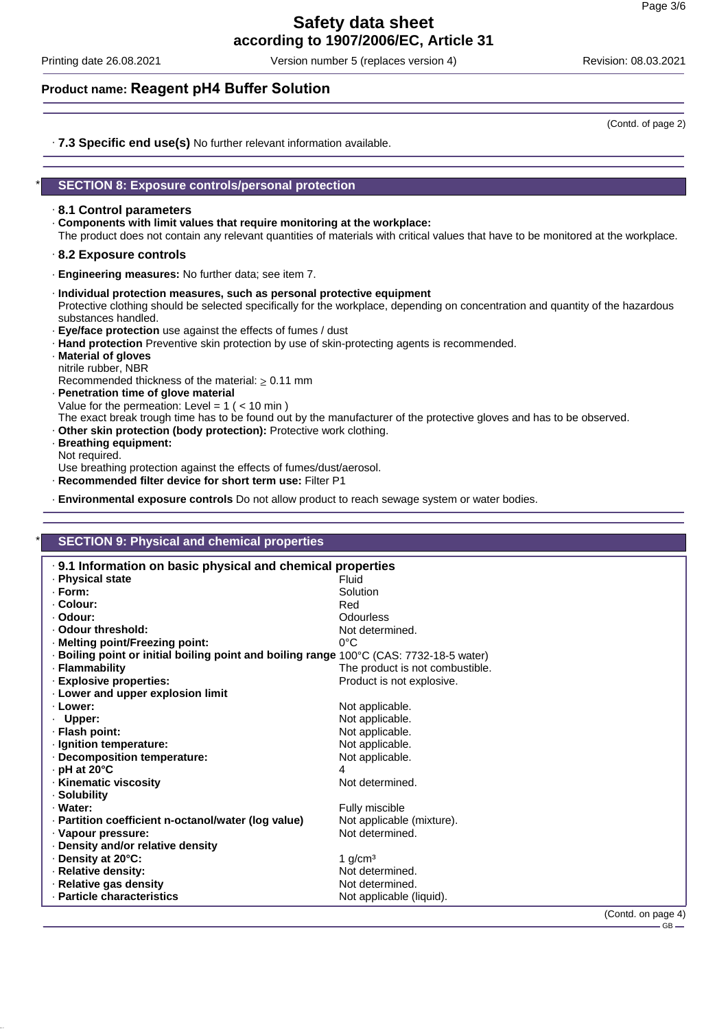Printing date 26.08.2021 Version number 5 (replaces version 4) Revision: 08.03.2021

### **Product name: Reagent pH4 Buffer Solution**

· **7.3 Specific end use(s)** No further relevant information available.

### \* **SECTION 8: Exposure controls/personal protection**

### · **8.1 Control parameters**

- · **Components with limit values that require monitoring at the workplace:**
- The product does not contain any relevant quantities of materials with critical values that have to be monitored at the workplace.
- · **8.2 Exposure controls**
- · **Engineering measures:** No further data; see item 7.
- · **Individual protection measures, such as personal protective equipment** Protective clothing should be selected specifically for the workplace, depending on concentration and quantity of the hazardous substances handled.
- · **Eye/face protection** use against the effects of fumes / dust
- · **Hand protection** Preventive skin protection by use of skin-protecting agents is recommended.
- · **Material of gloves** nitrile rubber, NBR
- Recommended thickness of the material:  $\geq 0.11$  mm
- · **Penetration time of glove material** Value for the permeation: Level =  $1$  ( <  $10$  min ) The exact break trough time has to be found out by the manufacturer of the protective gloves and has to be observed.
- · **Other skin protection (body protection):** Protective work clothing.
- · **Breathing equipment:** Not required.

Use breathing protection against the effects of fumes/dust/aerosol.

· **Recommended filter device for short term use:** Filter P1

· **Environmental exposure controls** Do not allow product to reach sewage system or water bodies.

| .9.1 Information on basic physical and chemical properties<br>· Physical state<br>Fluid<br>· Form:<br>Solution<br>· Colour:<br>Red<br><b>Odourless</b><br>· Odour:<br>· Odour threshold:<br>Not determined.<br>$0^{\circ}$ C<br>· Melting point/Freezing point:<br>· Boiling point or initial boiling point and boiling range 100°C (CAS: 7732-18-5 water)<br>· Flammability<br>The product is not combustible.<br>· Explosive properties:<br>Product is not explosive.<br>· Lower and upper explosion limit<br>· Lower:<br>Not applicable.<br>Not applicable.<br>· Upper:<br>· Flash point:<br>Not applicable.<br>· Ignition temperature:<br>Not applicable.<br>Decomposition temperature:<br>Not applicable.<br>$\cdot$ pH at 20 $\degree$ C<br>· Kinematic viscosity<br>Not determined.<br>· Solubility<br>· Water:<br>Fully miscible<br>· Partition coefficient n-octanol/water (log value)<br>Not applicable (mixture).<br>Not determined.<br>· Vapour pressure:<br>Density and/or relative density<br>Density at 20°C:<br>1 $q/cm3$<br>· Relative density:<br>Not determined.<br>· Relative gas density<br>Not determined. | <b>SECTION 9: Physical and chemical properties</b> |                          |
|----------------------------------------------------------------------------------------------------------------------------------------------------------------------------------------------------------------------------------------------------------------------------------------------------------------------------------------------------------------------------------------------------------------------------------------------------------------------------------------------------------------------------------------------------------------------------------------------------------------------------------------------------------------------------------------------------------------------------------------------------------------------------------------------------------------------------------------------------------------------------------------------------------------------------------------------------------------------------------------------------------------------------------------------------------------------------------------------------------------------------------|----------------------------------------------------|--------------------------|
|                                                                                                                                                                                                                                                                                                                                                                                                                                                                                                                                                                                                                                                                                                                                                                                                                                                                                                                                                                                                                                                                                                                                  |                                                    |                          |
|                                                                                                                                                                                                                                                                                                                                                                                                                                                                                                                                                                                                                                                                                                                                                                                                                                                                                                                                                                                                                                                                                                                                  |                                                    |                          |
|                                                                                                                                                                                                                                                                                                                                                                                                                                                                                                                                                                                                                                                                                                                                                                                                                                                                                                                                                                                                                                                                                                                                  |                                                    |                          |
|                                                                                                                                                                                                                                                                                                                                                                                                                                                                                                                                                                                                                                                                                                                                                                                                                                                                                                                                                                                                                                                                                                                                  |                                                    |                          |
|                                                                                                                                                                                                                                                                                                                                                                                                                                                                                                                                                                                                                                                                                                                                                                                                                                                                                                                                                                                                                                                                                                                                  |                                                    |                          |
|                                                                                                                                                                                                                                                                                                                                                                                                                                                                                                                                                                                                                                                                                                                                                                                                                                                                                                                                                                                                                                                                                                                                  |                                                    |                          |
|                                                                                                                                                                                                                                                                                                                                                                                                                                                                                                                                                                                                                                                                                                                                                                                                                                                                                                                                                                                                                                                                                                                                  |                                                    |                          |
|                                                                                                                                                                                                                                                                                                                                                                                                                                                                                                                                                                                                                                                                                                                                                                                                                                                                                                                                                                                                                                                                                                                                  |                                                    |                          |
|                                                                                                                                                                                                                                                                                                                                                                                                                                                                                                                                                                                                                                                                                                                                                                                                                                                                                                                                                                                                                                                                                                                                  |                                                    |                          |
|                                                                                                                                                                                                                                                                                                                                                                                                                                                                                                                                                                                                                                                                                                                                                                                                                                                                                                                                                                                                                                                                                                                                  |                                                    |                          |
|                                                                                                                                                                                                                                                                                                                                                                                                                                                                                                                                                                                                                                                                                                                                                                                                                                                                                                                                                                                                                                                                                                                                  |                                                    |                          |
|                                                                                                                                                                                                                                                                                                                                                                                                                                                                                                                                                                                                                                                                                                                                                                                                                                                                                                                                                                                                                                                                                                                                  |                                                    |                          |
|                                                                                                                                                                                                                                                                                                                                                                                                                                                                                                                                                                                                                                                                                                                                                                                                                                                                                                                                                                                                                                                                                                                                  |                                                    |                          |
|                                                                                                                                                                                                                                                                                                                                                                                                                                                                                                                                                                                                                                                                                                                                                                                                                                                                                                                                                                                                                                                                                                                                  |                                                    |                          |
|                                                                                                                                                                                                                                                                                                                                                                                                                                                                                                                                                                                                                                                                                                                                                                                                                                                                                                                                                                                                                                                                                                                                  |                                                    |                          |
|                                                                                                                                                                                                                                                                                                                                                                                                                                                                                                                                                                                                                                                                                                                                                                                                                                                                                                                                                                                                                                                                                                                                  |                                                    |                          |
|                                                                                                                                                                                                                                                                                                                                                                                                                                                                                                                                                                                                                                                                                                                                                                                                                                                                                                                                                                                                                                                                                                                                  |                                                    |                          |
|                                                                                                                                                                                                                                                                                                                                                                                                                                                                                                                                                                                                                                                                                                                                                                                                                                                                                                                                                                                                                                                                                                                                  |                                                    |                          |
|                                                                                                                                                                                                                                                                                                                                                                                                                                                                                                                                                                                                                                                                                                                                                                                                                                                                                                                                                                                                                                                                                                                                  |                                                    |                          |
|                                                                                                                                                                                                                                                                                                                                                                                                                                                                                                                                                                                                                                                                                                                                                                                                                                                                                                                                                                                                                                                                                                                                  |                                                    |                          |
|                                                                                                                                                                                                                                                                                                                                                                                                                                                                                                                                                                                                                                                                                                                                                                                                                                                                                                                                                                                                                                                                                                                                  |                                                    |                          |
|                                                                                                                                                                                                                                                                                                                                                                                                                                                                                                                                                                                                                                                                                                                                                                                                                                                                                                                                                                                                                                                                                                                                  |                                                    |                          |
|                                                                                                                                                                                                                                                                                                                                                                                                                                                                                                                                                                                                                                                                                                                                                                                                                                                                                                                                                                                                                                                                                                                                  |                                                    |                          |
|                                                                                                                                                                                                                                                                                                                                                                                                                                                                                                                                                                                                                                                                                                                                                                                                                                                                                                                                                                                                                                                                                                                                  |                                                    |                          |
|                                                                                                                                                                                                                                                                                                                                                                                                                                                                                                                                                                                                                                                                                                                                                                                                                                                                                                                                                                                                                                                                                                                                  |                                                    |                          |
|                                                                                                                                                                                                                                                                                                                                                                                                                                                                                                                                                                                                                                                                                                                                                                                                                                                                                                                                                                                                                                                                                                                                  |                                                    |                          |
|                                                                                                                                                                                                                                                                                                                                                                                                                                                                                                                                                                                                                                                                                                                                                                                                                                                                                                                                                                                                                                                                                                                                  | · Particle characteristics                         | Not applicable (liquid). |

(Contd. of page 2)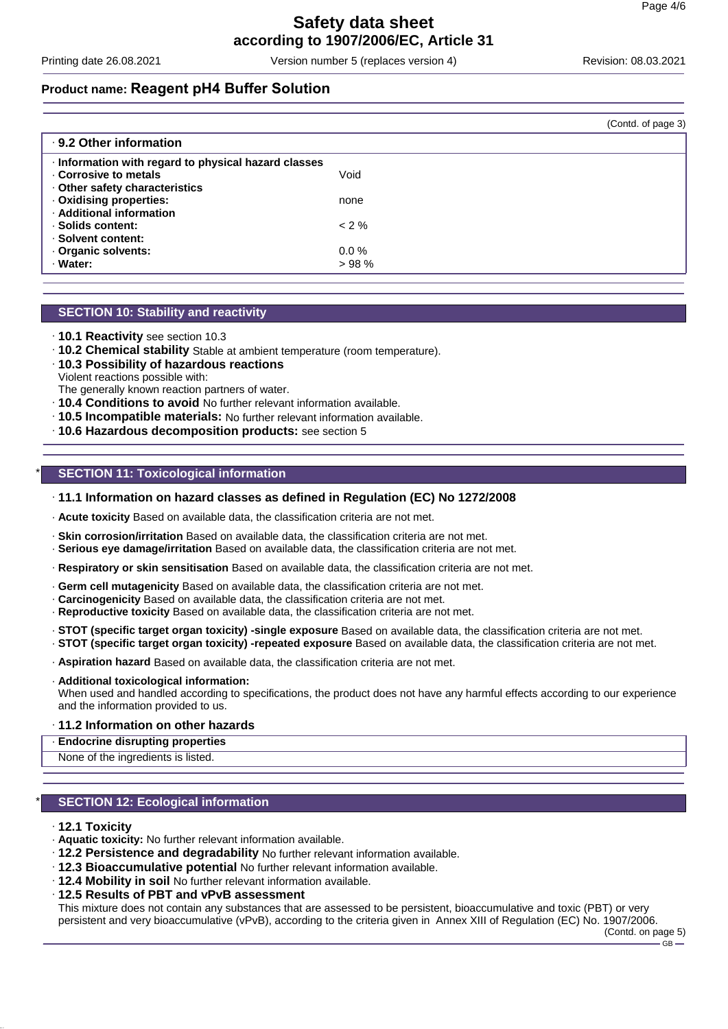Printing date 26.08.2021 Version number 5 (replaces version 4) Revision: 08.03.2021

### **Product name: Reagent pH4 Buffer Solution**

|                                                      |          | (Contd. of page 3) |
|------------------------------------------------------|----------|--------------------|
| ⋅ 9.2 Other information                              |          |                    |
| · Information with regard to physical hazard classes |          |                    |
| Corrosive to metals                                  | Void     |                    |
| Other safety characteristics                         |          |                    |
| · Oxidising properties:                              | none     |                    |
| · Additional information                             |          |                    |
| · Solids content:                                    | $< 2 \%$ |                    |
| · Solvent content:                                   |          |                    |
| Organic solvents:                                    | $0.0 \%$ |                    |
| · Water:                                             | >98%     |                    |
|                                                      |          |                    |

### **SECTION 10: Stability and reactivity**

- · **10.1 Reactivity** see section 10.3
- · **10.2 Chemical stability** Stable at ambient temperature (room temperature).
- · **10.3 Possibility of hazardous reactions**
- Violent reactions possible with: The generally known reaction partners of water.
- · **10.4 Conditions to avoid** No further relevant information available.
- · **10.5 Incompatible materials:** No further relevant information available.
- · **10.6 Hazardous decomposition products:** see section 5

### **SECTION 11: Toxicological information**

### · **11.1 Information on hazard classes as defined in Regulation (EC) No 1272/2008**

· **Acute toxicity** Based on available data, the classification criteria are not met.

- · **Skin corrosion/irritation** Based on available data, the classification criteria are not met.
- · **Serious eye damage/irritation** Based on available data, the classification criteria are not met.
- · **Respiratory or skin sensitisation** Based on available data, the classification criteria are not met.
- · **Germ cell mutagenicity** Based on available data, the classification criteria are not met.
- · **Carcinogenicity** Based on available data, the classification criteria are not met.
- · **Reproductive toxicity** Based on available data, the classification criteria are not met.
- · **STOT (specific target organ toxicity) -single exposure** Based on available data, the classification criteria are not met. · **STOT (specific target organ toxicity) -repeated exposure** Based on available data, the classification criteria are not met.
- · **Aspiration hazard** Based on available data, the classification criteria are not met.
- · **Additional toxicological information:**

When used and handled according to specifications, the product does not have any harmful effects according to our experience and the information provided to us.

#### · **11.2 Information on other hazards**

· **Endocrine disrupting properties**

None of the ingredients is listed.

### **SECTION 12: Ecological information**

#### · **12.1 Toxicity**

- · **Aquatic toxicity:** No further relevant information available.
- · **12.2 Persistence and degradability** No further relevant information available.
- · **12.3 Bioaccumulative potential** No further relevant information available.
- · **12.4 Mobility in soil** No further relevant information available.
- · **12.5 Results of PBT and vPvB assessment**

This mixture does not contain any substances that are assessed to be persistent, bioaccumulative and toxic (PBT) or very persistent and very bioaccumulative (vPvB), according to the criteria given in Annex XIII of Regulation (EC) No. 1907/2006.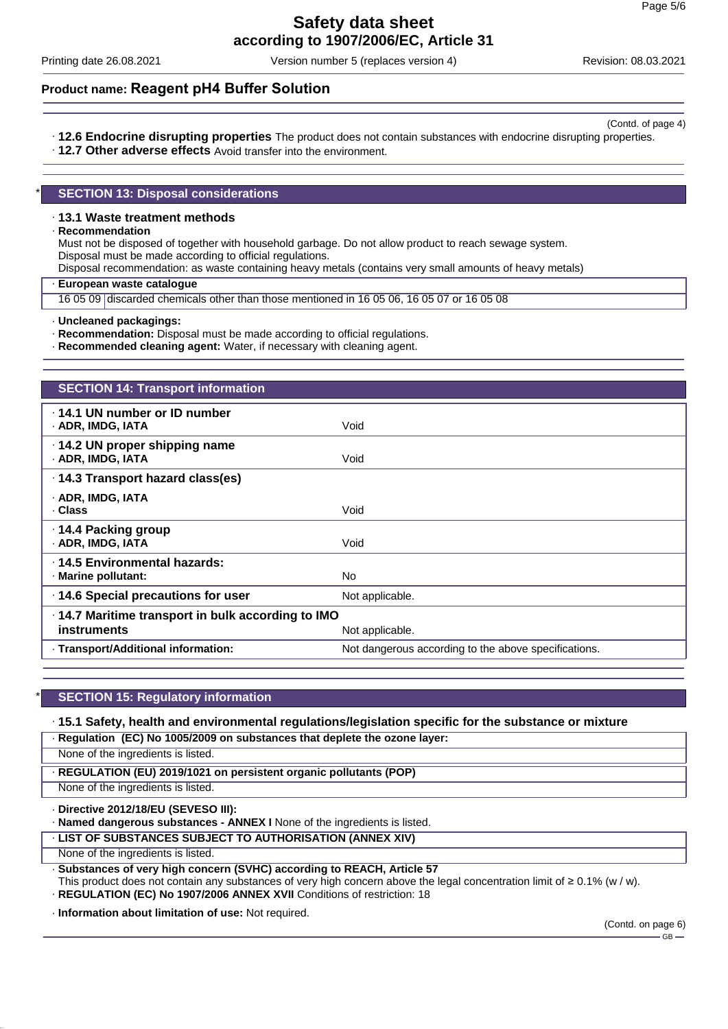Printing date 26.08.2021 Version number 5 (replaces version 4) Revision: 08.03.2021

(Contd. of page 4)

### **Product name: Reagent pH4 Buffer Solution**

- · **12.6 Endocrine disrupting properties** The product does not contain substances with endocrine disrupting properties.
- · **12.7 Other adverse effects** Avoid transfer into the environment.

### **SECTION 13: Disposal considerations**

### · **13.1 Waste treatment methods**

#### · **Recommendation**

Must not be disposed of together with household garbage. Do not allow product to reach sewage system. Disposal must be made according to official regulations.

Disposal recommendation: as waste containing heavy metals (contains very small amounts of heavy metals)

#### · **European waste catalogue**

16 05 09 discarded chemicals other than those mentioned in 16 05 06, 16 05 07 or 16 05 08

· **Recommendation:** Disposal must be made according to official regulations.

· **Recommended cleaning agent:** Water, if necessary with cleaning agent.

| <b>SECTION 14: Transport information</b>                                |                                                      |
|-------------------------------------------------------------------------|------------------------------------------------------|
| $\cdot$ 14.1 UN number or ID number<br>· ADR, IMDG, IATA                | Void                                                 |
| $\cdot$ 14.2 UN proper shipping name<br>· ADR, IMDG, IATA               | Void                                                 |
| · 14.3 Transport hazard class(es)                                       |                                                      |
| · ADR, IMDG, IATA<br>· Class                                            | Void                                                 |
| ⋅ 14.4 Packing group<br>· ADR, IMDG, IATA                               | Void                                                 |
| ⋅14.5 Environmental hazards:<br>· Marine pollutant:                     | No.                                                  |
| 14.6 Special precautions for user                                       | Not applicable.                                      |
| .14.7 Maritime transport in bulk according to IMO<br><b>instruments</b> | Not applicable.                                      |
| · Transport/Additional information:                                     | Not dangerous according to the above specifications. |
|                                                                         |                                                      |

### **SECTION 15: Regulatory information**

### · **15.1 Safety, health and environmental regulations/legislation specific for the substance or mixture**

· **Regulation (EC) No 1005/2009 on substances that deplete the ozone layer:**

None of the ingredients is listed.

· **REGULATION (EU) 2019/1021 on persistent organic pollutants (POP)**

None of the ingredients is listed.

· **Directive 2012/18/EU (SEVESO III):**

· **Named dangerous substances - ANNEX I** None of the ingredients is listed.

· **LIST OF SUBSTANCES SUBJECT TO AUTHORISATION (ANNEX XIV)**

None of the ingredients is listed.

· **Substances of very high concern (SVHC) according to REACH, Article 57**

This product does not contain any substances of very high concern above the legal concentration limit of ≥ 0.1% (w / w). · **REGULATION (EC) No 1907/2006 ANNEX XVII** Conditions of restriction: 18

· **Information about limitation of use:** Not required.

<sup>·</sup> **Uncleaned packagings:**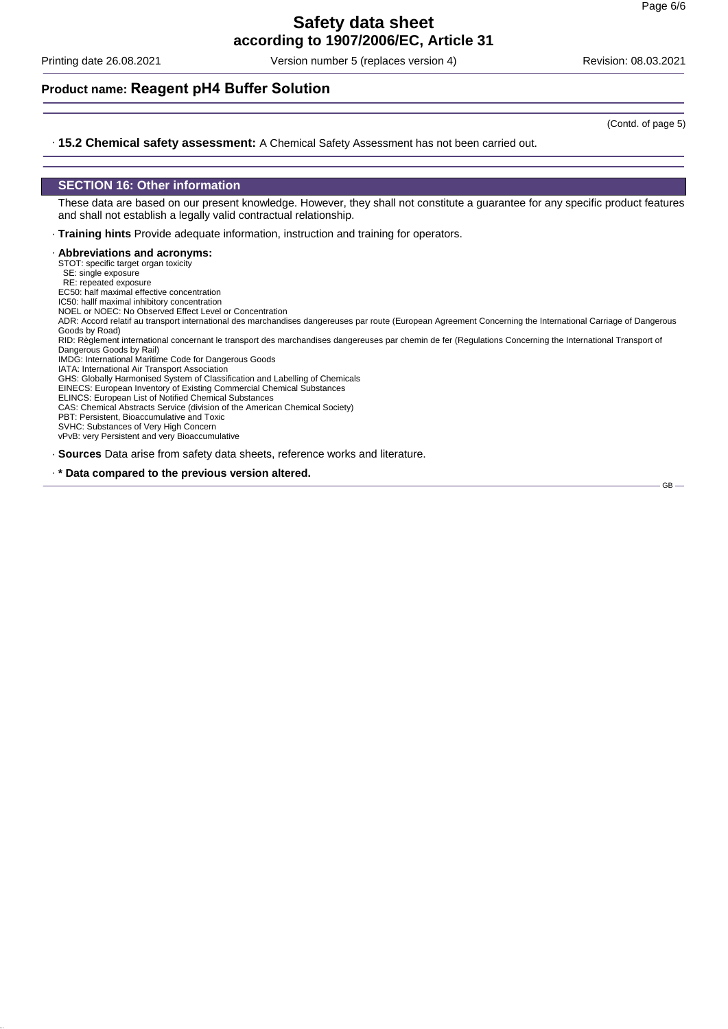Printing date 26.08.2021 Version number 5 (replaces version 4) Revision: 08.03.2021

### **Product name: Reagent pH4 Buffer Solution**

(Contd. of page 5)

#### · **15.2 Chemical safety assessment:** A Chemical Safety Assessment has not been carried out.

#### **SECTION 16: Other information**

These data are based on our present knowledge. However, they shall not constitute a guarantee for any specific product features and shall not establish a legally valid contractual relationship.

· **Training hints** Provide adequate information, instruction and training for operators.

· **Abbreviations and acronyms:**

STOT: specific target organ toxicity

SE: single exposure

RE: repeated exposure EC50: half maximal effective concentration

IC50: hallf maximal inhibitory concentration

NOEL or NOEC: No Observed Effect Level or Concentration

ADR: Accord relatif au transport international des marchandises dangereuses par route (European Agreement Concerning the International Carriage of Dangerous

Goods by Road)<br>RID: Règlement international concernant le transport des marchandises dangereuses par chemin de fer (Regulations Concerning the International Transport of Dangerous Goods by Rail)

IMDG: International Maritime Code for Dangerous Goods

IATA: International Air Transport Association

GHS: Globally Harmonised System of Classification and Labelling of Chemicals EINECS: European Inventory of Existing Commercial Chemical Substances

ELINCS: European List of Notified Chemical Substances

CAS: Chemical Abstracts Service (division of the American Chemical Society)

PBT: Persistent, Bioaccumulative and Toxic

SVHC: Substances of Very High Concern

vPvB: very Persistent and very Bioaccumulative

· **Sources** Data arise from safety data sheets, reference works and literature.

· **\* Data compared to the previous version altered.**

 $GB -$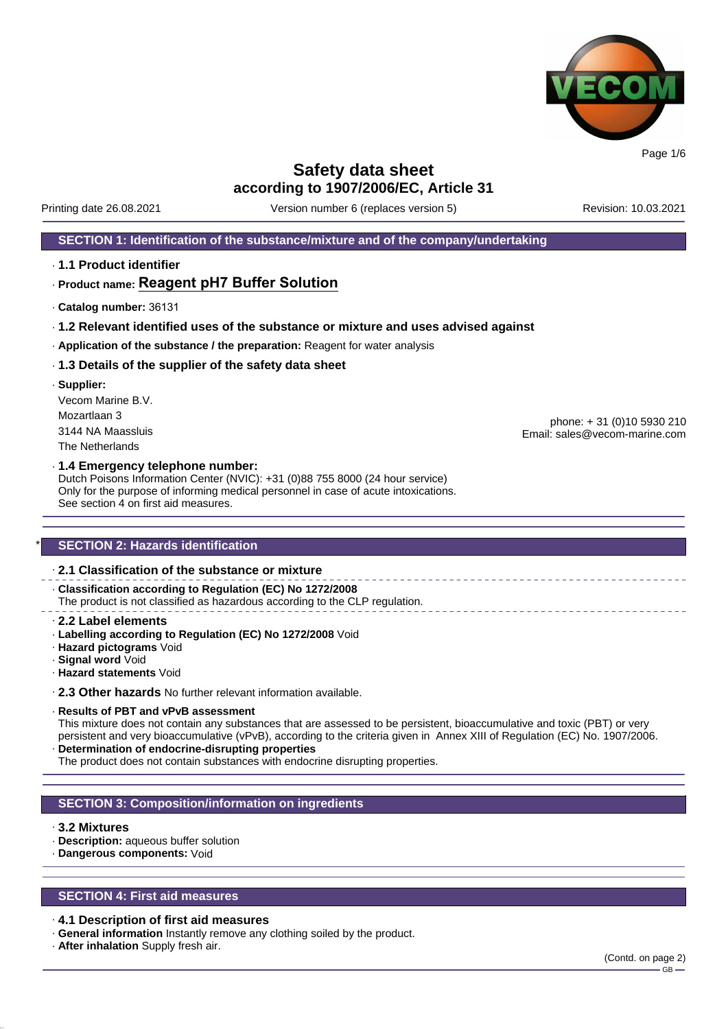

**Safety data sheet**

**according to 1907/2006/EC, Article 31** Printing date 26.08.2021 Version number 6 (replaces version 5) Revision: 10.03.2021

### **SECTION 1: Identification of the substance/mixture and of the company/undertaking**

· **1.1 Product identifier**

### · **Product name: Reagent pH7 Buffer Solution**

- · **Catalog number:** 36131
- · **1.2 Relevant identified uses of the substance or mixture and uses advised against**
- · **Application of the substance / the preparation:** Reagent for water analysis

#### · **1.3 Details of the supplier of the safety data sheet**

· **Supplier:** Vecom Marine B.V. Mozartlaan 3 3144 NA Maassluis The Netherlands

phone: + 31 (0)10 5930 210 Email: sales@vecom-marine.com

#### · **1.4 Emergency telephone number:**

Dutch Poisons Information Center (NVIC): +31 (0)88 755 8000 (24 hour service) Only for the purpose of informing medical personnel in case of acute intoxications. See section 4 on first aid measures.

### **SECTION 2: Hazards identification**

### · **2.1 Classification of the substance or mixture**

· **Classification according to Regulation (EC) No 1272/2008** The product is not classified as hazardous according to the CLP regulation.

- · **2.2 Label elements**
- · **Labelling according to Regulation (EC) No 1272/2008** Void
- · **Hazard pictograms** Void
- · **Signal word** Void
- · **Hazard statements** Void

· **2.3 Other hazards** No further relevant information available.

#### · **Results of PBT and vPvB assessment**

This mixture does not contain any substances that are assessed to be persistent, bioaccumulative and toxic (PBT) or very persistent and very bioaccumulative (vPvB), according to the criteria given in Annex XIII of Regulation (EC) No. 1907/2006. · **Determination of endocrine-disrupting properties**

The product does not contain substances with endocrine disrupting properties.

### **SECTION 3: Composition/information on ingredients**

### · **3.2 Mixtures**

- · **Description:** aqueous buffer solution
- · **Dangerous components:** Void

### **SECTION 4: First aid measures**

#### · **4.1 Description of first aid measures**

- · **General information** Instantly remove any clothing soiled by the product.
- · **After inhalation** Supply fresh air.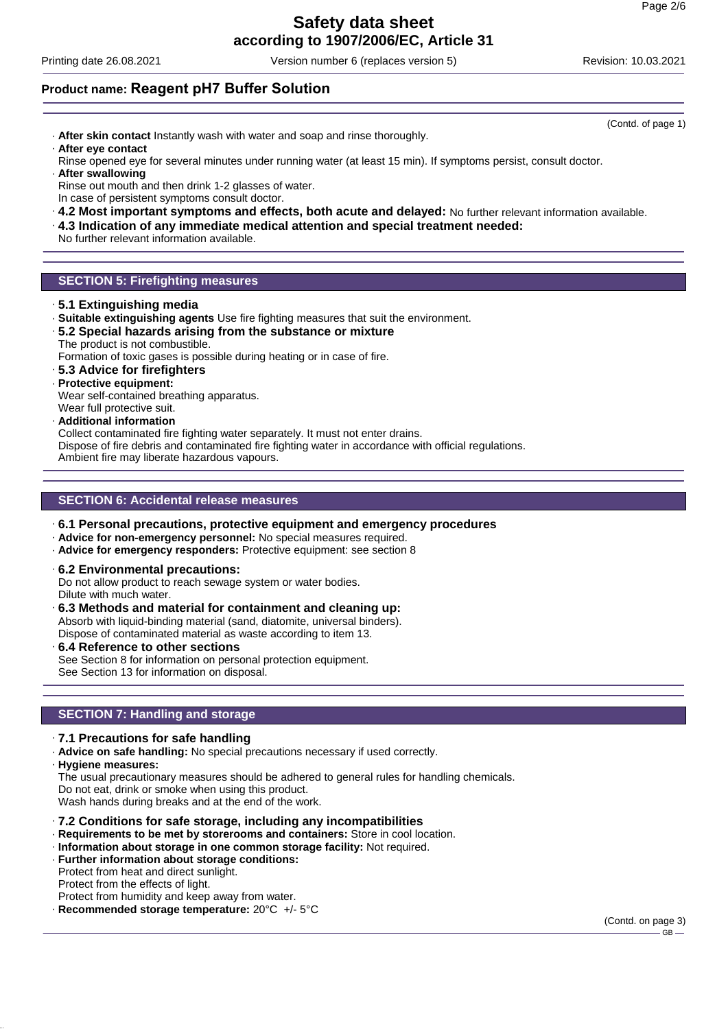# **Safety data sheet**

**according to 1907/2006/EC, Article 31**

Printing date 26.08.2021 Version number 6 (replaces version 5) Revision: 10.03.2021

### **Product name: Reagent pH7 Buffer Solution**

- · **After skin contact** Instantly wash with water and soap and rinse thoroughly. · **After eye contact**
- Rinse opened eye for several minutes under running water (at least 15 min). If symptoms persist, consult doctor.
- · **After swallowing** Rinse out mouth and then drink 1-2 glasses of water. In case of persistent symptoms consult doctor.
- · **4.2 Most important symptoms and effects, both acute and delayed:** No further relevant information available.
- · **4.3 Indication of any immediate medical attention and special treatment needed:**
- No further relevant information available.

### **SECTION 5: Firefighting measures**

- · **5.1 Extinguishing media**
- · **Suitable extinguishing agents** Use fire fighting measures that suit the environment.
- · **5.2 Special hazards arising from the substance or mixture** The product is not combustible.

Formation of toxic gases is possible during heating or in case of fire.

- · **5.3 Advice for firefighters**
- · **Protective equipment:**
- Wear self-contained breathing apparatus.
- Wear full protective suit.
- · **Additional information**

Collect contaminated fire fighting water separately. It must not enter drains.

Dispose of fire debris and contaminated fire fighting water in accordance with official regulations. Ambient fire may liberate hazardous vapours.

### **SECTION 6: Accidental release measures**

- · **6.1 Personal precautions, protective equipment and emergency procedures**
- · **Advice for non-emergency personnel:** No special measures required.
- · **Advice for emergency responders:** Protective equipment: see section 8
- · **6.2 Environmental precautions:**

Do not allow product to reach sewage system or water bodies. Dilute with much water.

- · **6.3 Methods and material for containment and cleaning up:** Absorb with liquid-binding material (sand, diatomite, universal binders). Dispose of contaminated material as waste according to item 13.
- · **6.4 Reference to other sections** See Section 8 for information on personal protection equipment. See Section 13 for information on disposal.

### **SECTION 7: Handling and storage**

- · **7.1 Precautions for safe handling**
- · **Advice on safe handling:** No special precautions necessary if used correctly.
- · **Hygiene measures:**

The usual precautionary measures should be adhered to general rules for handling chemicals. Do not eat, drink or smoke when using this product. Wash hands during breaks and at the end of the work.

- · **7.2 Conditions for safe storage, including any incompatibilities**
- · **Requirements to be met by storerooms and containers:** Store in cool location.
- · **Information about storage in one common storage facility:** Not required.
- · **Further information about storage conditions:** Protect from heat and direct sunlight.

Protect from the effects of light.

Protect from humidity and keep away from water.

· **Recommended storage temperature:** 20°C +/- 5°C

(Contd. on page 3)

(Contd. of page 1)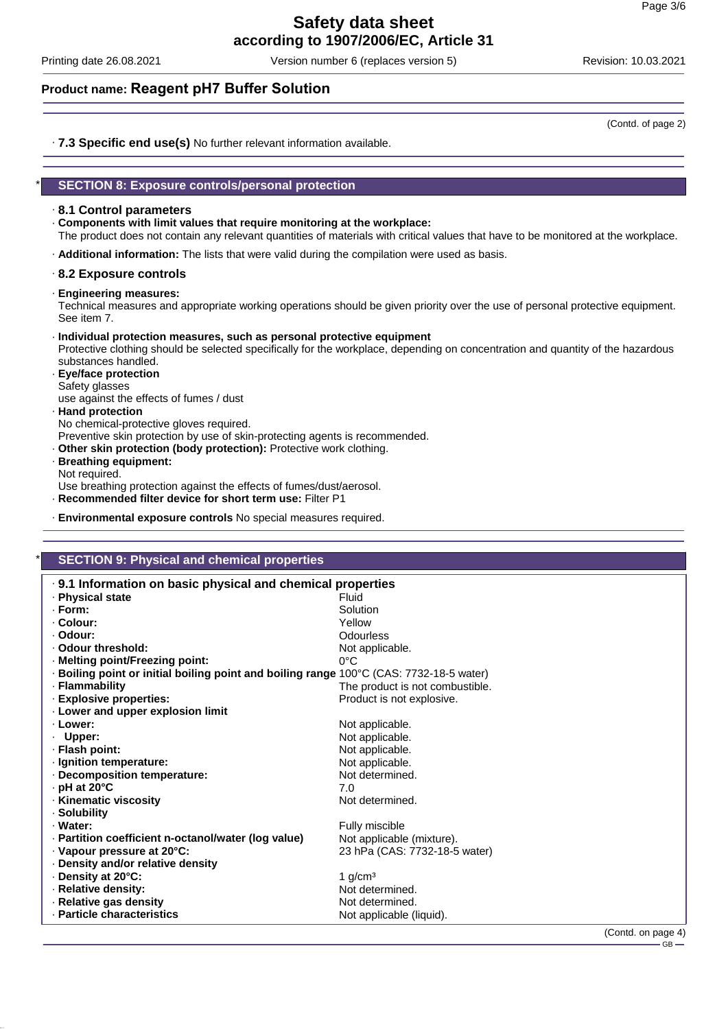Printing date 26.08.2021 Version number 6 (replaces version 5) Revision: 10.03.2021

### **Product name: Reagent pH7 Buffer Solution**

(Contd. of page 2)

· **7.3 Specific end use(s)** No further relevant information available.

### \* **SECTION 8: Exposure controls/personal protection**

### · **8.1 Control parameters**

· **Components with limit values that require monitoring at the workplace:**

The product does not contain any relevant quantities of materials with critical values that have to be monitored at the workplace.

· **Additional information:** The lists that were valid during the compilation were used as basis.

### · **8.2 Exposure controls**

· **Engineering measures:**

Technical measures and appropriate working operations should be given priority over the use of personal protective equipment. See item 7.

#### · **Individual protection measures, such as personal protective equipment**

Protective clothing should be selected specifically for the workplace, depending on concentration and quantity of the hazardous substances handled.

· **Eye/face protection** Safety glasses use against the effects of fumes / dust

### · **Hand protection**

No chemical-protective gloves required.

Preventive skin protection by use of skin-protecting agents is recommended.

- · **Other skin protection (body protection):** Protective work clothing.
- · **Breathing equipment:** Not required.

Use breathing protection against the effects of fumes/dust/aerosol.

- · **Recommended filter device for short term use:** Filter P1
- · **Environmental exposure controls** No special measures required.

### **SECTION 9: Physical and chemical properties**

| .9.1 Information on basic physical and chemical properties                              |                                 |
|-----------------------------------------------------------------------------------------|---------------------------------|
| ⋅ Physical state                                                                        | Fluid                           |
| · Form:                                                                                 | Solution                        |
| · Colour:                                                                               | Yellow                          |
| · Odour:                                                                                | Odourless                       |
| · Odour threshold:                                                                      | Not applicable.                 |
| · Melting point/Freezing point:                                                         | $0^{\circ}$ C                   |
| · Boiling point or initial boiling point and boiling range 100°C (CAS: 7732-18-5 water) |                                 |
| · Flammability                                                                          | The product is not combustible. |
| · Explosive properties:                                                                 | Product is not explosive.       |
| . Lower and upper explosion limit                                                       |                                 |
| · Lower:                                                                                | Not applicable.                 |
| · Upper:                                                                                | Not applicable.                 |
| · Flash point:                                                                          | Not applicable.                 |
| · Ignition temperature:                                                                 | Not applicable.                 |
| · Decomposition temperature:                                                            | Not determined.                 |
| $\cdot$ pH at 20 $\degree$ C                                                            | 7.0                             |
| · Kinematic viscosity                                                                   | Not determined.                 |
| · Solubility                                                                            |                                 |
| · Water:                                                                                | Fully miscible                  |
| · Partition coefficient n-octanol/water (log value)                                     | Not applicable (mixture).       |
| $\cdot$ Vapour pressure at 20 $^{\circ}$ C:                                             | 23 hPa (CAS: 7732-18-5 water)   |
| · Density and/or relative density                                                       |                                 |
| ⋅ Density at 20°C:                                                                      | 1 $g/cm3$                       |
| · Relative density:                                                                     | Not determined.                 |
| · Relative gas density                                                                  | Not determined.                 |
| · Particle characteristics                                                              | Not applicable (liquid).        |
|                                                                                         | $\sim$ $\sim$                   |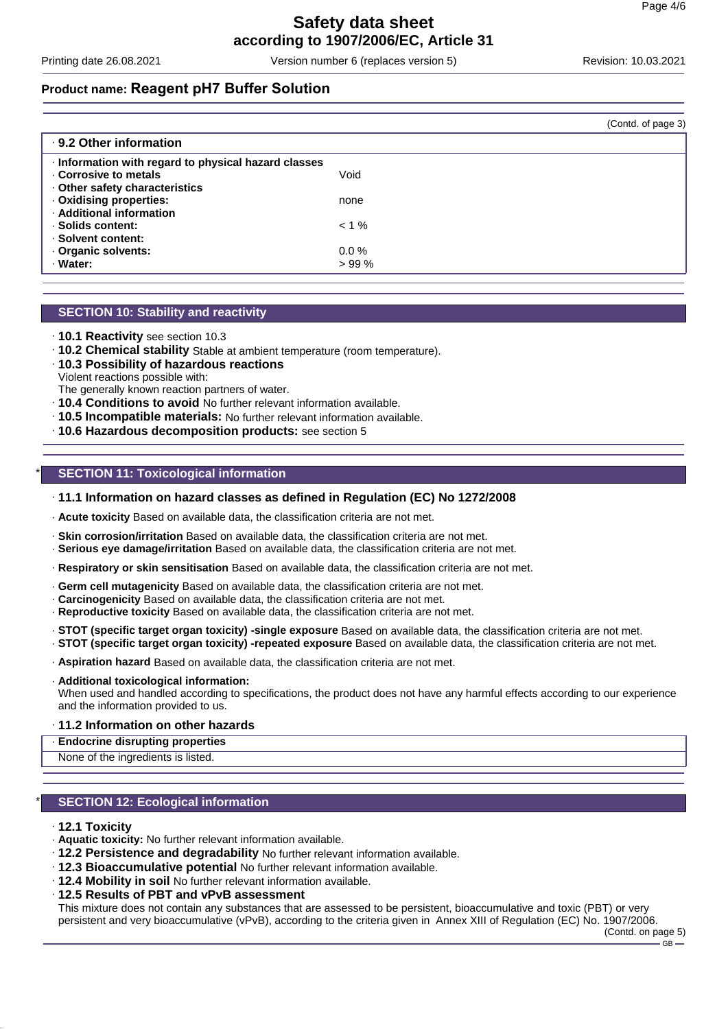Printing date 26.08.2021 Version number 6 (replaces version 5) Revision: 10.03.2021

### **Product name: Reagent pH7 Buffer Solution**

|                                                    |          | (Contd. of page 3) |
|----------------------------------------------------|----------|--------------------|
| ⋅ 9.2 Other information                            |          |                    |
| Information with regard to physical hazard classes |          |                    |
| Corrosive to metals                                | Void     |                    |
| Other safety characteristics                       |          |                    |
| · Oxidising properties:                            | none     |                    |
| · Additional information                           |          |                    |
| · Solids content:                                  | $< 1 \%$ |                    |
| · Solvent content:                                 |          |                    |
| Organic solvents:                                  | $0.0 \%$ |                    |
| · Water:                                           | >99%     |                    |
|                                                    |          |                    |

### **SECTION 10: Stability and reactivity**

- · **10.1 Reactivity** see section 10.3
- · **10.2 Chemical stability** Stable at ambient temperature (room temperature).
- · **10.3 Possibility of hazardous reactions**
- Violent reactions possible with: The generally known reaction partners of water.
- · **10.4 Conditions to avoid** No further relevant information available.
- · **10.5 Incompatible materials:** No further relevant information available.
- · **10.6 Hazardous decomposition products:** see section 5

### **SECTION 11: Toxicological information**

### · **11.1 Information on hazard classes as defined in Regulation (EC) No 1272/2008**

· **Acute toxicity** Based on available data, the classification criteria are not met.

- · **Skin corrosion/irritation** Based on available data, the classification criteria are not met.
- · **Serious eye damage/irritation** Based on available data, the classification criteria are not met.
- · **Respiratory or skin sensitisation** Based on available data, the classification criteria are not met.
- · **Germ cell mutagenicity** Based on available data, the classification criteria are not met.
- · **Carcinogenicity** Based on available data, the classification criteria are not met.
- · **Reproductive toxicity** Based on available data, the classification criteria are not met.
- · **STOT (specific target organ toxicity) -single exposure** Based on available data, the classification criteria are not met. · **STOT (specific target organ toxicity) -repeated exposure** Based on available data, the classification criteria are not met.
- · **Aspiration hazard** Based on available data, the classification criteria are not met.
- · **Additional toxicological information:**

When used and handled according to specifications, the product does not have any harmful effects according to our experience and the information provided to us.

#### · **11.2 Information on other hazards**

· **Endocrine disrupting properties**

None of the ingredients is listed.

### **SECTION 12: Ecological information**

#### · **12.1 Toxicity**

- · **Aquatic toxicity:** No further relevant information available.
- · **12.2 Persistence and degradability** No further relevant information available.
- · **12.3 Bioaccumulative potential** No further relevant information available.
- · **12.4 Mobility in soil** No further relevant information available.
- · **12.5 Results of PBT and vPvB assessment**

This mixture does not contain any substances that are assessed to be persistent, bioaccumulative and toxic (PBT) or very persistent and very bioaccumulative (vPvB), according to the criteria given in Annex XIII of Regulation (EC) No. 1907/2006.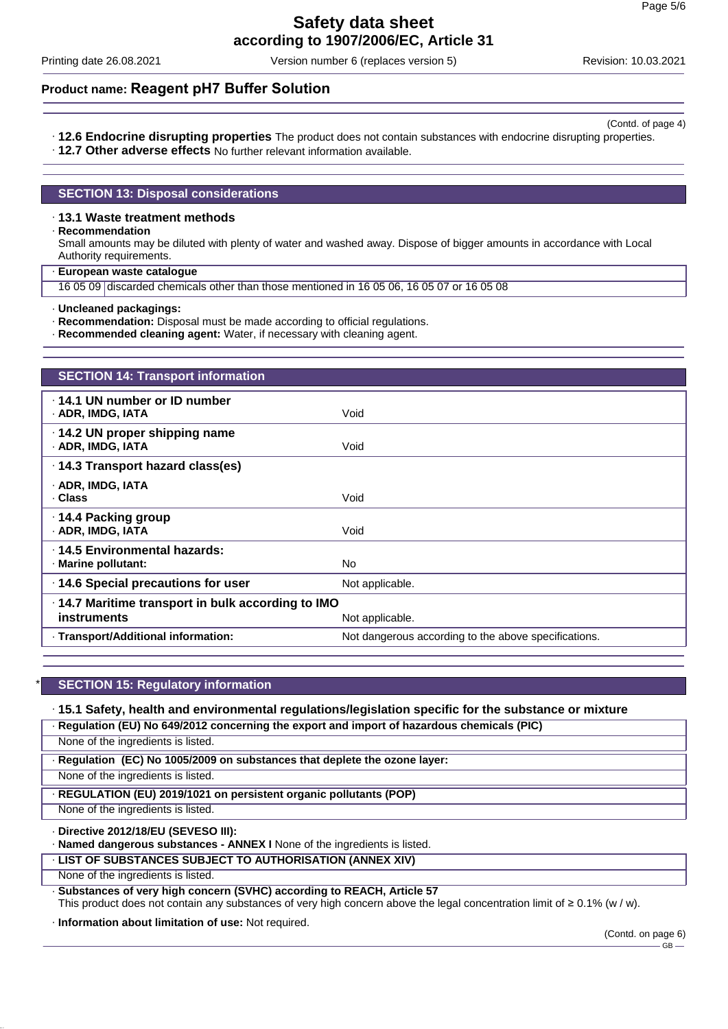Printing date 26.08.2021 Version number 6 (replaces version 5) Revision: 10.03.2021

### **Product name: Reagent pH7 Buffer Solution**

- (Contd. of page 4) · **12.6 Endocrine disrupting properties** The product does not contain substances with endocrine disrupting properties.
- · **12.7 Other adverse effects** No further relevant information available.

### **SECTION 13: Disposal considerations**

### · **13.1 Waste treatment methods**

#### · **Recommendation**

Small amounts may be diluted with plenty of water and washed away. Dispose of bigger amounts in accordance with Local Authority requirements.

· **European waste catalogue**

16 05 09 discarded chemicals other than those mentioned in 16 05 06, 16 05 07 or 16 05 08

· **Uncleaned packagings:**

- · **Recommendation:** Disposal must be made according to official regulations.
- · **Recommended cleaning agent:** Water, if necessary with cleaning agent.

| <b>SECTION 14: Transport information</b>                         |                                                      |
|------------------------------------------------------------------|------------------------------------------------------|
| $\cdot$ 14.1 UN number or ID number<br>· ADR, IMDG, IATA         | Void                                                 |
| $\cdot$ 14.2 UN proper shipping name<br>· ADR, IMDG, IATA        | Void                                                 |
| · 14.3 Transport hazard class(es)                                |                                                      |
| · ADR, IMDG, IATA<br>· Class                                     | Void                                                 |
| · 14.4 Packing group<br>· ADR, IMDG, IATA                        | Void                                                 |
| ⋅14.5 Environmental hazards:<br>· Marine pollutant:              | No.                                                  |
| 14.6 Special precautions for user                                | Not applicable.                                      |
| .14.7 Maritime transport in bulk according to IMO<br>instruments | Not applicable.                                      |
| · Transport/Additional information:                              | Not dangerous according to the above specifications. |

### **SECTION 15: Regulatory information**

· **15.1 Safety, health and environmental regulations/legislation specific for the substance or mixture**

· **Regulation (EU) No 649/2012 concerning the export and import of hazardous chemicals (PIC)**

None of the ingredients is listed.

· **Regulation (EC) No 1005/2009 on substances that deplete the ozone layer:**

None of the ingredients is listed.

### · **REGULATION (EU) 2019/1021 on persistent organic pollutants (POP)**

None of the ingredients is listed.

### · **Directive 2012/18/EU (SEVESO III):**

- · **Named dangerous substances ANNEX I** None of the ingredients is listed.
- · **LIST OF SUBSTANCES SUBJECT TO AUTHORISATION (ANNEX XIV)**

None of the ingredients is listed.

· **Substances of very high concern (SVHC) according to REACH, Article 57** This product does not contain any substances of very high concern above the legal concentration limit of ≥ 0.1% (w / w).

· **Information about limitation of use:** Not required.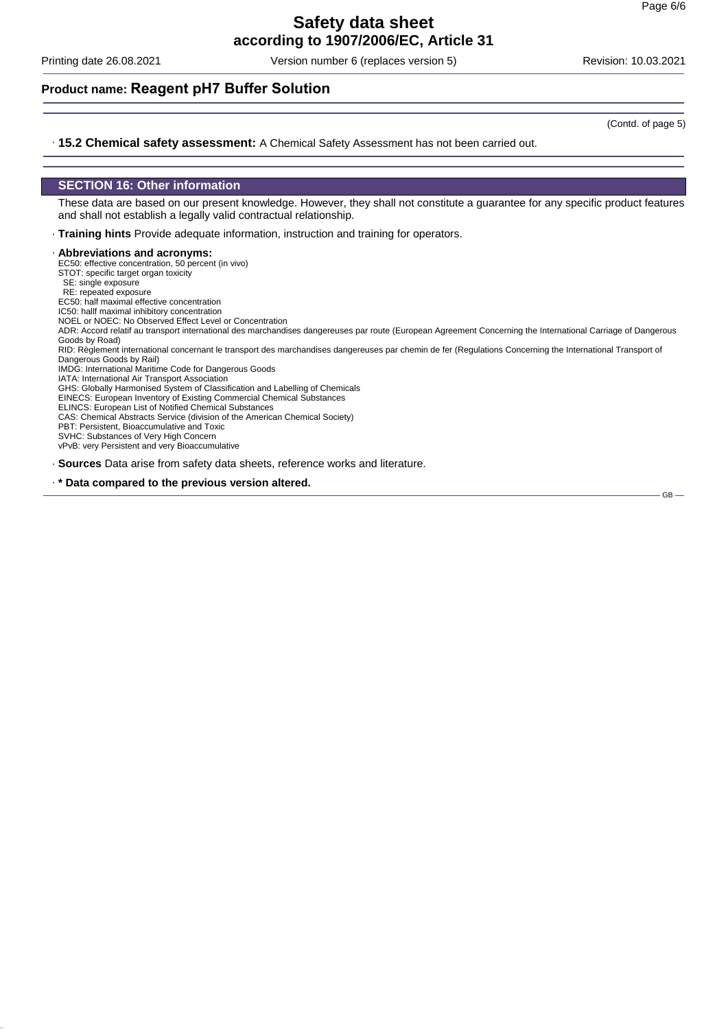Printing date 26.08.2021 Version number 6 (replaces version 5) Revision: 10.03.2021

### **Product name: Reagent pH7 Buffer Solution**

(Contd. of page 5)

GB

#### · **15.2 Chemical safety assessment:** A Chemical Safety Assessment has not been carried out.

### **SECTION 16: Other information**

These data are based on our present knowledge. However, they shall not constitute a guarantee for any specific product features and shall not establish a legally valid contractual relationship.

· **Training hints** Provide adequate information, instruction and training for operators.

#### · **Abbreviations and acronyms:**

EC50: effective concentration, 50 percent (in vivo)

STOT: specific target organ toxicity

SE: single exposure

RE: repeated exposure

EC50: half maximal effective concentration IC50: hallf maximal inhibitory concentration

NOEL or NOEC: No Observed Effect Level or Concentration

ADR: Accord relatif au transport international des marchandises dangereuses par route (European Agreement Concerning the International Carriage of Dangerous Goods by Road)

RID: Règlement international concernant le transport des marchandises dangereuses par chemin de fer (Regulations Concerning the International Transport of Dangerous Goods by Rail)

IMDG: International Maritime Code for Dangerous Goods

IATA: International Air Transport Association GHS: Globally Harmonised System of Classification and Labelling of Chemicals

EINECS: European Inventory of Existing Commercial Chemical Substances

ELINCS: European List of Notified Chemical Substances

CAS: Chemical Abstracts Service (division of the American Chemical Society)

PBT: Persistent, Bioaccumulative and Toxic

SVHC: Substances of Very High Concern

vPvB: very Persistent and very Bioaccumulative

· **Sources** Data arise from safety data sheets, reference works and literature.

· **\* Data compared to the previous version altered.**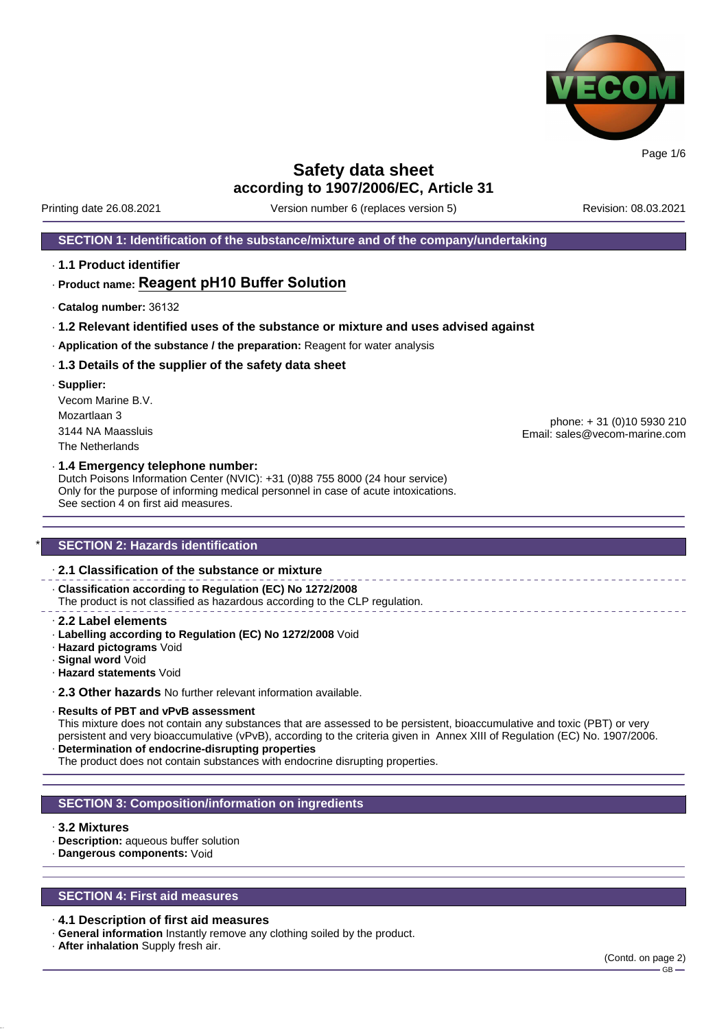

Printing date 26.08.2021 Version number 6 (replaces version 5) Revision: 08.03.2021

### **SECTION 1: Identification of the substance/mixture and of the company/undertaking**

· **1.1 Product identifier**

### · **Product name: Reagent pH10 Buffer Solution**

- · **Catalog number:** 36132
- · **1.2 Relevant identified uses of the substance or mixture and uses advised against**
- · **Application of the substance / the preparation:** Reagent for water analysis

#### · **1.3 Details of the supplier of the safety data sheet**

· **Supplier:** Vecom Marine B.V. Mozartlaan 3 3144 NA Maassluis The Netherlands

phone: + 31 (0)10 5930 210 Email: sales@vecom-marine.com

#### · **1.4 Emergency telephone number:**

Dutch Poisons Information Center (NVIC): +31 (0)88 755 8000 (24 hour service) Only for the purpose of informing medical personnel in case of acute intoxications. See section 4 on first aid measures.

### **SECTION 2: Hazards identification**

### · **2.1 Classification of the substance or mixture**

· **Classification according to Regulation (EC) No 1272/2008** The product is not classified as hazardous according to the CLP regulation.

- · **2.2 Label elements**
- · **Labelling according to Regulation (EC) No 1272/2008** Void
- · **Hazard pictograms** Void
- · **Signal word** Void
- · **Hazard statements** Void

· **2.3 Other hazards** No further relevant information available.

#### · **Results of PBT and vPvB assessment**

This mixture does not contain any substances that are assessed to be persistent, bioaccumulative and toxic (PBT) or very persistent and very bioaccumulative (vPvB), according to the criteria given in Annex XIII of Regulation (EC) No. 1907/2006. · **Determination of endocrine-disrupting properties**

The product does not contain substances with endocrine disrupting properties.

### **SECTION 3: Composition/information on ingredients**

#### · **3.2 Mixtures**

- · **Description:** aqueous buffer solution
- · **Dangerous components:** Void

### **SECTION 4: First aid measures**

#### · **4.1 Description of first aid measures**

- · **General information** Instantly remove any clothing soiled by the product.
- · **After inhalation** Supply fresh air.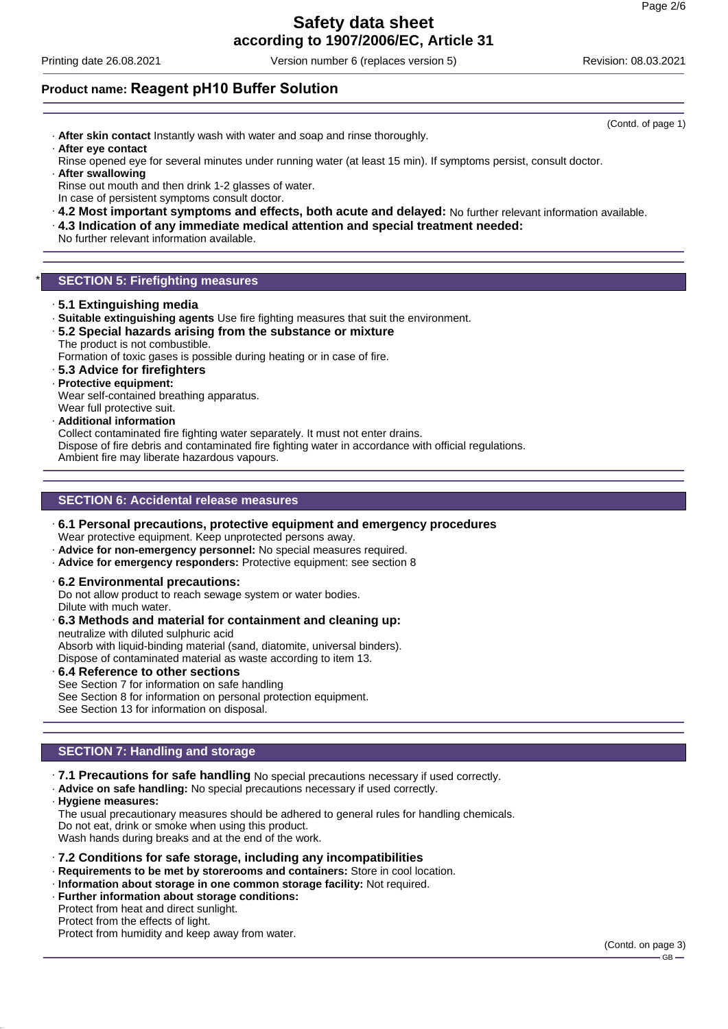## **Safety data sheet**

**according to 1907/2006/EC, Article 31**

Printing date 26.08.2021 Version number 6 (replaces version 5) Revision: 08.03.2021

### **Product name: Reagent pH10 Buffer Solution**

- · **After skin contact** Instantly wash with water and soap and rinse thoroughly. · **After eye contact**
- Rinse opened eye for several minutes under running water (at least 15 min). If symptoms persist, consult doctor.
- · **After swallowing** Rinse out mouth and then drink 1-2 glasses of water. In case of persistent symptoms consult doctor.
- · **4.2 Most important symptoms and effects, both acute and delayed:** No further relevant information available.
- · **4.3 Indication of any immediate medical attention and special treatment needed:**

No further relevant information available.

### **SECTION 5: Firefighting measures**

- · **5.1 Extinguishing media**
- · **Suitable extinguishing agents** Use fire fighting measures that suit the environment.
- · **5.2 Special hazards arising from the substance or mixture** The product is not combustible.

Formation of toxic gases is possible during heating or in case of fire.

- · **5.3 Advice for firefighters**
- · **Protective equipment:**
- Wear self-contained breathing apparatus.
- Wear full protective suit.
- · **Additional information**

Collect contaminated fire fighting water separately. It must not enter drains.

Dispose of fire debris and contaminated fire fighting water in accordance with official regulations. Ambient fire may liberate hazardous vapours.

### **SECTION 6: Accidental release measures**

- · **6.1 Personal precautions, protective equipment and emergency procedures** Wear protective equipment. Keep unprotected persons away.
- · **Advice for non-emergency personnel:** No special measures required.
- · **Advice for emergency responders:** Protective equipment: see section 8
- · **6.2 Environmental precautions:**
- Do not allow product to reach sewage system or water bodies.
- Dilute with much water.
- · **6.3 Methods and material for containment and cleaning up:** neutralize with diluted sulphuric acid Absorb with liquid-binding material (sand, diatomite, universal binders).

Dispose of contaminated material as waste according to item 13.

· **6.4 Reference to other sections** See Section 7 for information on safe handling See Section 8 for information on personal protection equipment.

### **SECTION 7: Handling and storage**

See Section 13 for information on disposal.

- · **7.1 Precautions for safe handling** No special precautions necessary if used correctly.
- · **Advice on safe handling:** No special precautions necessary if used correctly.
- · **Hygiene measures:**

The usual precautionary measures should be adhered to general rules for handling chemicals. Do not eat, drink or smoke when using this product. Wash hands during breaks and at the end of the work.

- · **7.2 Conditions for safe storage, including any incompatibilities**
- · **Requirements to be met by storerooms and containers:** Store in cool location.
- · **Information about storage in one common storage facility:** Not required.
- · **Further information about storage conditions:**
- Protect from heat and direct sunlight.

### Protect from the effects of light.

Protect from humidity and keep away from water.

(Contd. of page 1)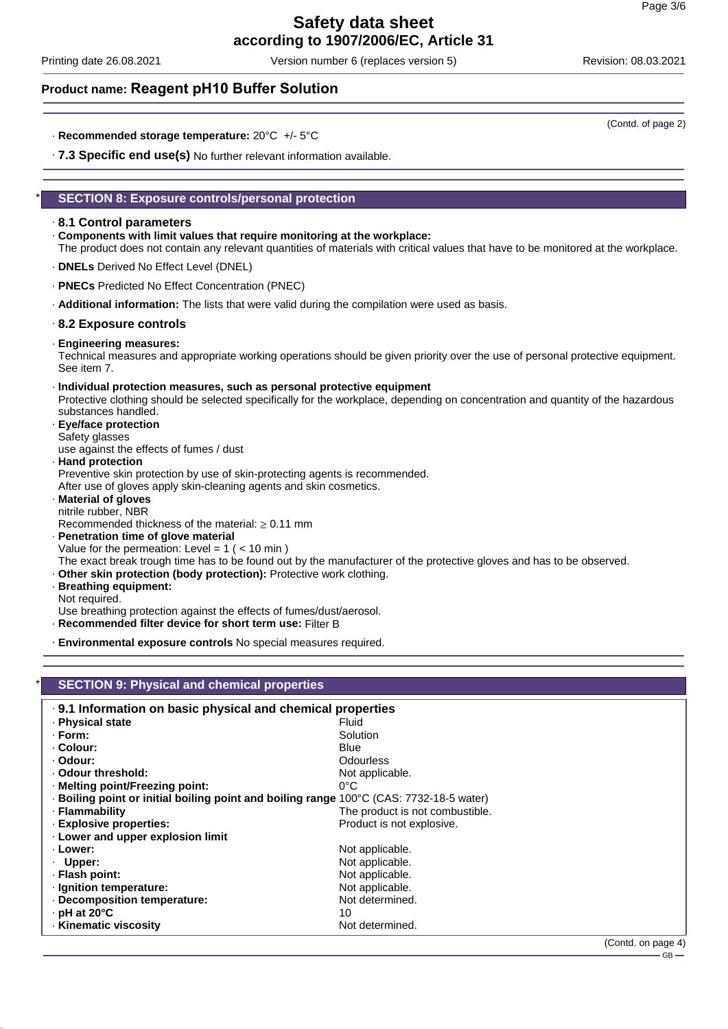Printing date 26.08.2021 Version number 6 (replaces version 5) Revision: 08.03.2021

### **Product name: Reagent pH10 Buffer Solution**

- · **Recommended storage temperature:** 20°C +/- 5°C
- · **7.3 Specific end use(s)** No further relevant information available.

### **SECTION 8: Exposure controls/personal protection**

### · **8.1 Control parameters**

- · **Components with limit values that require monitoring at the workplace:**
- The product does not contain any relevant quantities of materials with critical values that have to be monitored at the workplace.
- · **DNELs** Derived No Effect Level (DNEL)
- · **PNECs** Predicted No Effect Concentration (PNEC)
- · **Additional information:** The lists that were valid during the compilation were used as basis.

### · **8.2 Exposure controls**

· **Engineering measures:**

Technical measures and appropriate working operations should be given priority over the use of personal protective equipment. See item 7.

- · **Individual protection measures, such as personal protective equipment** Protective clothing should be selected specifically for the workplace, depending on concentration and quantity of the hazardous substances handled. · **Eye/face protection**
- Safety glasses use against the effects of fumes / dust

· **Hand protection** Preventive skin protection by use of skin-protecting agents is recommended. After use of gloves apply skin-cleaning agents and skin cosmetics.

- · **Material of gloves** nitrile rubber, NBR Recommended thickness of the material:  $\geq 0.11$  mm
- · **Penetration time of glove material** Value for the permeation: Level =  $1$  ( < 10 min)
- The exact break trough time has to be found out by the manufacturer of the protective gloves and has to be observed.
- · **Other skin protection (body protection):** Protective work clothing.
- · **Breathing equipment:**

Not required.

Use breathing protection against the effects of fumes/dust/aerosol.

- · **Recommended filter device for short term use:** Filter B
- · **Environmental exposure controls** No special measures required.

| <b>SECTION 9: Physical and chemical properties</b>                                      |                                                            |  |  |
|-----------------------------------------------------------------------------------------|------------------------------------------------------------|--|--|
|                                                                                         | .9.1 Information on basic physical and chemical properties |  |  |
| · Physical state                                                                        | Fluid                                                      |  |  |
| · Form:                                                                                 | Solution                                                   |  |  |
| · Colour:                                                                               | Blue                                                       |  |  |
| · Odour:                                                                                | Odourless                                                  |  |  |
| . Odour threshold:                                                                      | Not applicable.                                            |  |  |
| · Melting point/Freezing point:                                                         | $0^{\circ}$ C                                              |  |  |
| . Boiling point or initial boiling point and boiling range 100°C (CAS: 7732-18-5 water) |                                                            |  |  |
| · Flammability                                                                          | The product is not combustible.                            |  |  |
| · Explosive properties:                                                                 | Product is not explosive.                                  |  |  |
| . Lower and upper explosion limit                                                       |                                                            |  |  |
| · Lower:                                                                                | Not applicable.                                            |  |  |
| Upper:                                                                                  | Not applicable.                                            |  |  |
| · Flash point:                                                                          | Not applicable.                                            |  |  |
| · Ignition temperature:                                                                 | Not applicable.                                            |  |  |
| · Decomposition temperature:                                                            | Not determined.                                            |  |  |
| $\cdot$ pH at 20°C                                                                      | 10                                                         |  |  |
| · Kinematic viscosity                                                                   | Not determined.                                            |  |  |

(Contd. of page 2)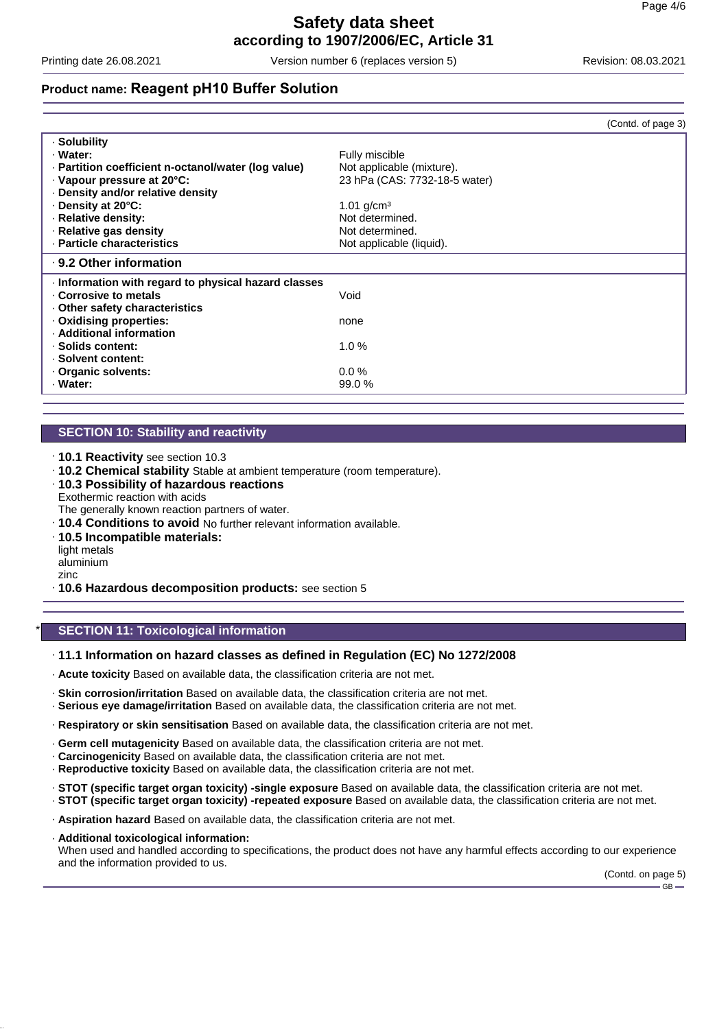Printing date 26.08.2021 Version number 6 (replaces version 5) Revision: 08.03.2021

### **Product name: Reagent pH10 Buffer Solution**

|                                                     | (Contd. of page 3)            |
|-----------------------------------------------------|-------------------------------|
| · Solubility                                        |                               |
| · Water:                                            | Fully miscible                |
| · Partition coefficient n-octanol/water (log value) | Not applicable (mixture).     |
| · Vapour pressure at 20°C:                          | 23 hPa (CAS: 7732-18-5 water) |
| Density and/or relative density                     |                               |
| Density at 20°C:                                    | 1.01 $q/cm^3$                 |
| · Relative density:                                 | Not determined.               |
| · Relative gas density                              | Not determined.               |
| · Particle characteristics                          | Not applicable (liquid).      |
| ⋅ 9.2 Other information                             |                               |
| Information with regard to physical hazard classes  |                               |
| . Corrosive to metals                               | Void                          |
| Other safety characteristics                        |                               |
| Oxidising properties:                               | none                          |
| · Additional information                            |                               |
| · Solids content:                                   | 1.0%                          |
| · Solvent content:                                  |                               |
| Organic solvents:                                   | $0.0\%$                       |
| · Water:                                            | 99.0%                         |

### **SECTION 10: Stability and reactivity**

- · **10.1 Reactivity** see section 10.3
- · **10.2 Chemical stability** Stable at ambient temperature (room temperature).
- · **10.3 Possibility of hazardous reactions**
- Exothermic reaction with acids The generally known reaction partners of water.
- · **10.4 Conditions to avoid** No further relevant information available.
- · **10.5 Incompatible materials:**
- light metals aluminium
- zinc
- · **10.6 Hazardous decomposition products:** see section 5

### **SECTION 11: Toxicological information**

### · **11.1 Information on hazard classes as defined in Regulation (EC) No 1272/2008**

- · **Acute toxicity** Based on available data, the classification criteria are not met.
- · **Skin corrosion/irritation** Based on available data, the classification criteria are not met.
- · **Serious eye damage/irritation** Based on available data, the classification criteria are not met.
- · **Respiratory or skin sensitisation** Based on available data, the classification criteria are not met.
- · **Germ cell mutagenicity** Based on available data, the classification criteria are not met.
- · **Carcinogenicity** Based on available data, the classification criteria are not met.
- · **Reproductive toxicity** Based on available data, the classification criteria are not met.
- · **STOT (specific target organ toxicity) -single exposure** Based on available data, the classification criteria are not met.
- · **STOT (specific target organ toxicity) -repeated exposure** Based on available data, the classification criteria are not met.
- · **Aspiration hazard** Based on available data, the classification criteria are not met.
- · **Additional toxicological information:** When used and handled according to specifications, the product does not have any harmful effects according to our experience and the information provided to us.

(Contd. on page 5)  $-$  GB  $-$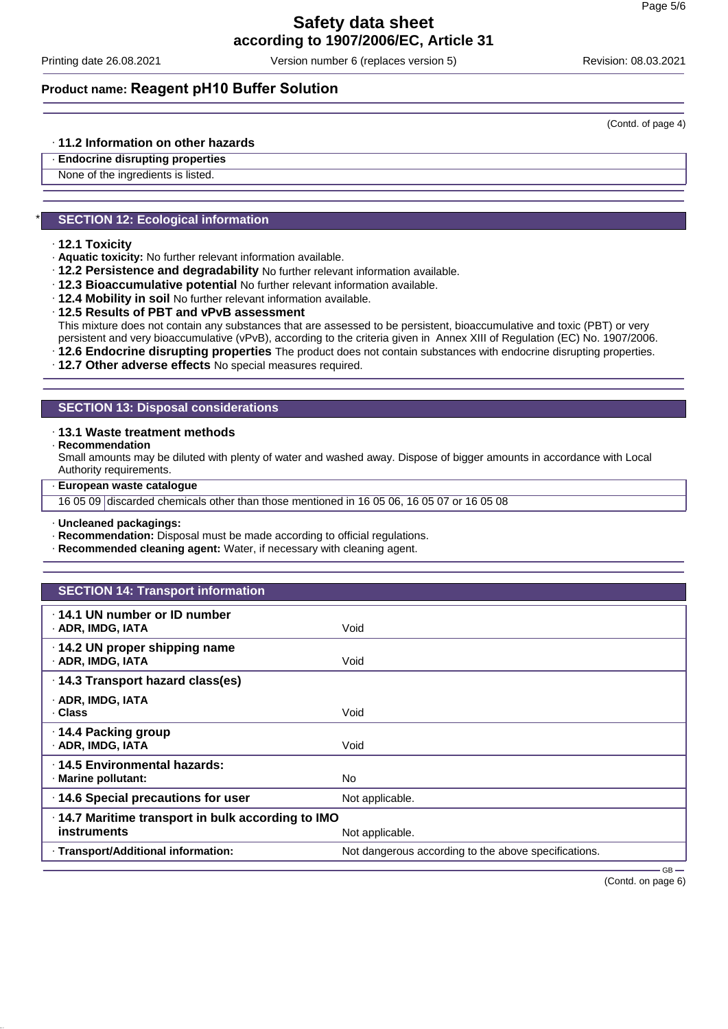Printing date 26.08.2021 Version number 6 (replaces version 5) Revision: 08.03.2021

### **Product name: Reagent pH10 Buffer Solution**

· **11.2 Information on other hazards**

· **Endocrine disrupting properties** None of the ingredients is listed.

### **SECTION 12: Ecological information**

- · **12.1 Toxicity**
- · **Aquatic toxicity:** No further relevant information available.
- · **12.2 Persistence and degradability** No further relevant information available.
- · **12.3 Bioaccumulative potential** No further relevant information available.
- · **12.4 Mobility in soil** No further relevant information available.
- · **12.5 Results of PBT and vPvB assessment**

This mixture does not contain any substances that are assessed to be persistent, bioaccumulative and toxic (PBT) or very persistent and very bioaccumulative (vPvB), according to the criteria given in Annex XIII of Regulation (EC) No. 1907/2006.

· **12.6 Endocrine disrupting properties** The product does not contain substances with endocrine disrupting properties.

· **12.7 Other adverse effects** No special measures required.

### **SECTION 13: Disposal considerations**

#### · **13.1 Waste treatment methods**

· **Recommendation**

Small amounts may be diluted with plenty of water and washed away. Dispose of bigger amounts in accordance with Local Authority requirements.

· **European waste catalogue**

16 05 09 discarded chemicals other than those mentioned in 16 05 06, 16 05 07 or 16 05 08

· **Uncleaned packagings:**

- · **Recommendation:** Disposal must be made according to official regulations.
- · **Recommended cleaning agent:** Water, if necessary with cleaning agent.

| <b>SECTION 14: Transport information</b>            |                                                      |        |
|-----------------------------------------------------|------------------------------------------------------|--------|
| .14.1 UN number or ID number<br>· ADR, IMDG, IATA   | Void                                                 |        |
| · 14.2 UN proper shipping name<br>· ADR, IMDG, IATA | Void                                                 |        |
| · 14.3 Transport hazard class(es)                   |                                                      |        |
| · ADR, IMDG, IATA<br>· Class                        | Void                                                 |        |
| ⋅ 14.4 Packing group<br>· ADR, IMDG, IATA           | Void                                                 |        |
| ⋅14.5 Environmental hazards:<br>· Marine pollutant: | No.                                                  |        |
| · 14.6 Special precautions for user                 | Not applicable.                                      |        |
| .14.7 Maritime transport in bulk according to IMO   |                                                      |        |
| instruments                                         | Not applicable.                                      |        |
| · Transport/Additional information:                 | Not dangerous according to the above specifications. |        |
|                                                     |                                                      | $-$ GB |

(Contd. on page 6)

(Contd. of page 4)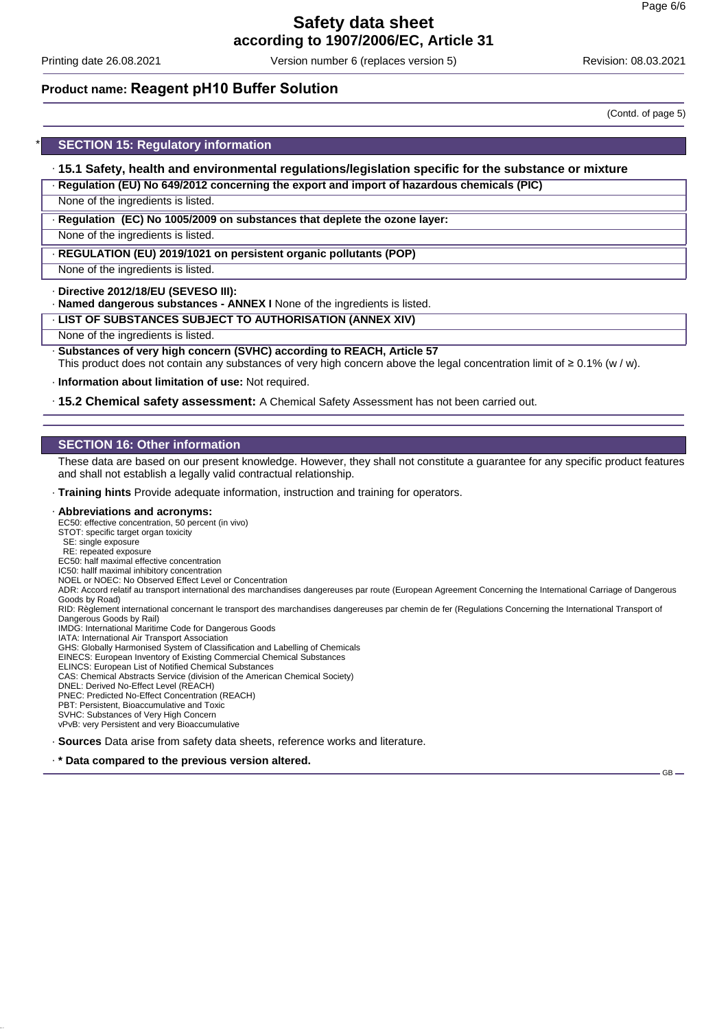Printing date 26.08.2021 Version number 6 (replaces version 5) Revision: 08.03.2021

### **Product name: Reagent pH10 Buffer Solution**

**SECTION 15: Regulatory information** 

· **15.1 Safety, health and environmental regulations/legislation specific for the substance or mixture**

· **Regulation (EU) No 649/2012 concerning the export and import of hazardous chemicals (PIC)**

None of the ingredients is listed.

· **Regulation (EC) No 1005/2009 on substances that deplete the ozone layer:**

None of the ingredients is listed.

· **REGULATION (EU) 2019/1021 on persistent organic pollutants (POP)**

None of the ingredients is listed.

· **Directive 2012/18/EU (SEVESO III):**

· **Named dangerous substances - ANNEX I** None of the ingredients is listed.

· **LIST OF SUBSTANCES SUBJECT TO AUTHORISATION (ANNEX XIV)**

None of the ingredients is listed.

· **Substances of very high concern (SVHC) according to REACH, Article 57** This product does not contain any substances of very high concern above the legal concentration limit of ≥ 0.1% (w / w).

· **Information about limitation of use:** Not required.

· **15.2 Chemical safety assessment:** A Chemical Safety Assessment has not been carried out.

### **SECTION 16: Other information**

These data are based on our present knowledge. However, they shall not constitute a guarantee for any specific product features and shall not establish a legally valid contractual relationship.

· **Training hints** Provide adequate information, instruction and training for operators.

#### · **Abbreviations and acronyms:**

EC50: effective concentration, 50 percent (in vivo)

STOT: specific target organ toxicity

SE: single exposure

RE: repeated exposure

EC50: half maximal effective concentration IC50: hallf maximal inhibitory concentration

NOEL or NOEC: No Observed Effect Level or Concentration

ADR: Accord relatif au transport international des marchandises dangereuses par route (European Agreement Concerning the International Carriage of Dangerous Goods by Road)

RID: Règlement international concernant le transport des marchandises dangereuses par chemin de fer (Regulations Concerning the International Transport of Dangerous Goods by Rail) IMDG: International Maritime Code for Dangerous Goods

IATA: International Air Transport Association

GHS: Globally Harmonised System of Classification and Labelling of Chemicals EINECS: European Inventory of Existing Commercial Chemical Substances

ELINCS: European List of Notified Chemical Substances

CAS: Chemical Abstracts Service (division of the American Chemical Society)

DNEL: Derived No-Effect Level (REACH)

PNEC: Predicted No-Effect Concentration (REACH)

PBT: Persistent, Bioaccumulative and Toxic

SVHC: Substances of Very High Concern

vPvB: very Persistent and very Bioaccumulative

· **Sources** Data arise from safety data sheets, reference works and literature.

· **\* Data compared to the previous version altered.**

(Contd. of page 5)

GB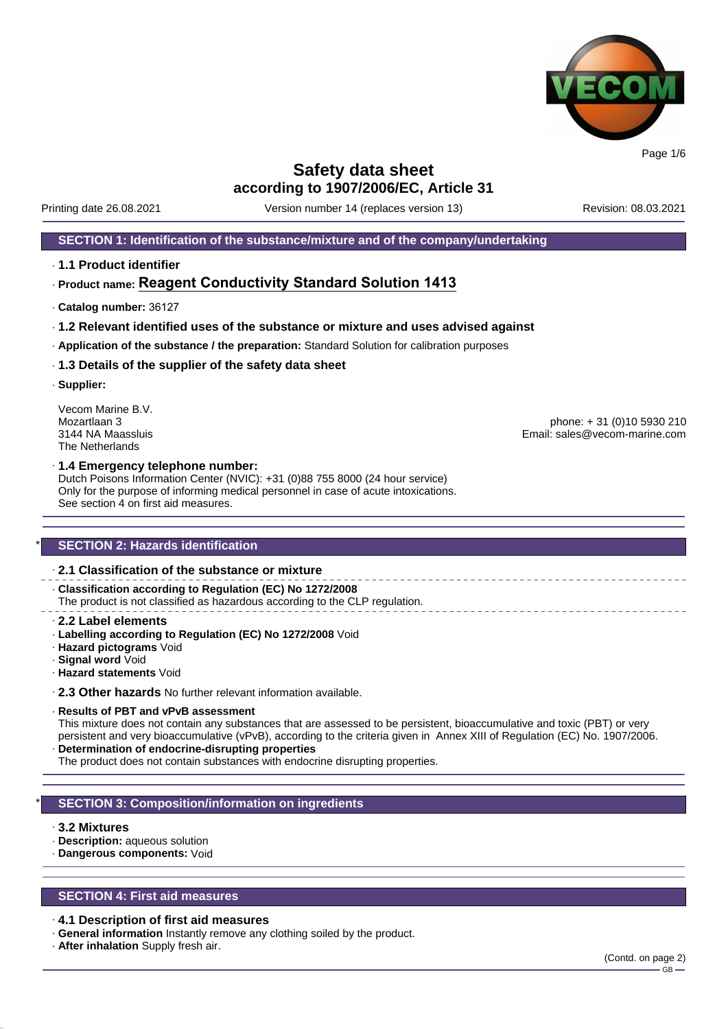

Printing date 26.08.2021 Version number 14 (replaces version 13) Revision: 08.03.2021

### **SECTION 1: Identification of the substance/mixture and of the company/undertaking**

· **1.1 Product identifier**

### · **Product name: Reagent Conductivity Standard Solution 1413**

- · **Catalog number:** 36127
- · **1.2 Relevant identified uses of the substance or mixture and uses advised against**
- · **Application of the substance / the preparation:** Standard Solution for calibration purposes
- · **1.3 Details of the supplier of the safety data sheet**
- · **Supplier:**

Vecom Marine B.V.<br>Mozartlaan 3 The Netherlands

Mozartlaan 3 phone: + 31 (0)10 5930 210 Email: sales@vecom-marine.com

#### · **1.4 Emergency telephone number:**

Dutch Poisons Information Center (NVIC): +31 (0)88 755 8000 (24 hour service) Only for the purpose of informing medical personnel in case of acute intoxications. See section 4 on first aid measures.

### **SECTION 2: Hazards identification**

### · **2.1 Classification of the substance or mixture**

· **Classification according to Regulation (EC) No 1272/2008** The product is not classified as hazardous according to the CLP regulation.

- · **2.2 Label elements**
- · **Labelling according to Regulation (EC) No 1272/2008** Void
- · **Hazard pictograms** Void
- · **Signal word** Void
- · **Hazard statements** Void

· **2.3 Other hazards** No further relevant information available.

#### · **Results of PBT and vPvB assessment**

This mixture does not contain any substances that are assessed to be persistent, bioaccumulative and toxic (PBT) or very persistent and very bioaccumulative (vPvB), according to the criteria given in Annex XIII of Regulation (EC) No. 1907/2006. · **Determination of endocrine-disrupting properties**

The product does not contain substances with endocrine disrupting properties.

### **SECTION 3: Composition/information on ingredients**

### · **3.2 Mixtures**

- · **Description:** aqueous solution
- · **Dangerous components:** Void

### **SECTION 4: First aid measures**

#### · **4.1 Description of first aid measures**

- · **General information** Instantly remove any clothing soiled by the product.
- · **After inhalation** Supply fresh air.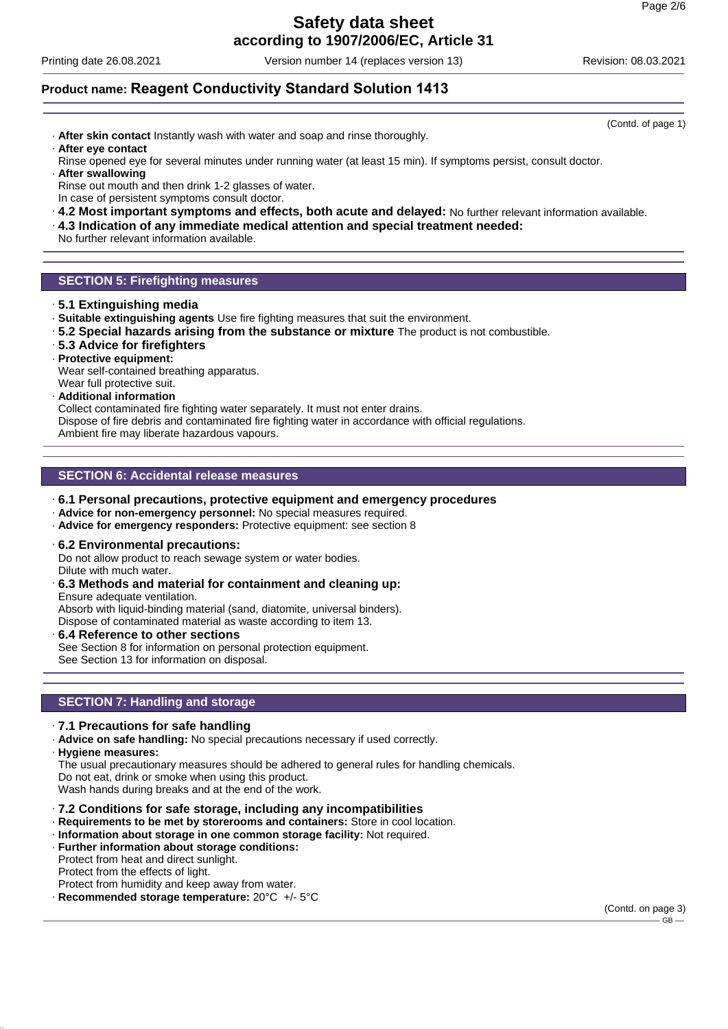# **Safety data sheet**

**according to 1907/2006/EC, Article 31**

Printing date 26.08.2021 Version number 14 (replaces version 13) Revision: 08.03.2021

### **Product name: Reagent Conductivity Standard Solution 1413**

· **After skin contact** Instantly wash with water and soap and rinse thoroughly. · **After eye contact**

Rinse opened eye for several minutes under running water (at least 15 min). If symptoms persist, consult doctor. · **After swallowing**

- Rinse out mouth and then drink 1-2 glasses of water. In case of persistent symptoms consult doctor.
- · **4.2 Most important symptoms and effects, both acute and delayed:** No further relevant information available.
- · **4.3 Indication of any immediate medical attention and special treatment needed:**

No further relevant information available.

### **SECTION 5: Firefighting measures**

- · **5.1 Extinguishing media**
- · **Suitable extinguishing agents** Use fire fighting measures that suit the environment.
- · **5.2 Special hazards arising from the substance or mixture** The product is not combustible.
- · **5.3 Advice for firefighters**
- · **Protective equipment:**

Wear self-contained breathing apparatus.

- Wear full protective suit.
- · **Additional information**

Collect contaminated fire fighting water separately. It must not enter drains.

Dispose of fire debris and contaminated fire fighting water in accordance with official regulations.

Ambient fire may liberate hazardous vapours.

### **SECTION 6: Accidental release measures**

- · **6.1 Personal precautions, protective equipment and emergency procedures**
- · **Advice for non-emergency personnel:** No special measures required.
- · **Advice for emergency responders:** Protective equipment: see section 8
- · **6.2 Environmental precautions:**

Do not allow product to reach sewage system or water bodies. Dilute with much water.

### · **6.3 Methods and material for containment and cleaning up:**

Ensure adequate ventilation. Absorb with liquid-binding material (sand, diatomite, universal binders). Dispose of contaminated material as waste according to item 13.

· **6.4 Reference to other sections** See Section 8 for information on personal protection equipment. See Section 13 for information on disposal.

### **SECTION 7: Handling and storage**

- · **7.1 Precautions for safe handling**
- · **Advice on safe handling:** No special precautions necessary if used correctly.
- · **Hygiene measures:**

The usual precautionary measures should be adhered to general rules for handling chemicals.

Do not eat, drink or smoke when using this product.

Wash hands during breaks and at the end of the work.

### · **7.2 Conditions for safe storage, including any incompatibilities**

- · **Requirements to be met by storerooms and containers:** Store in cool location.
- · **Information about storage in one common storage facility:** Not required.
- · **Further information about storage conditions:**

Protect from heat and direct sunlight.

Protect from the effects of light.

- Protect from humidity and keep away from water.
- · **Recommended storage temperature:** 20°C +/- 5°C

(Contd. of page 1)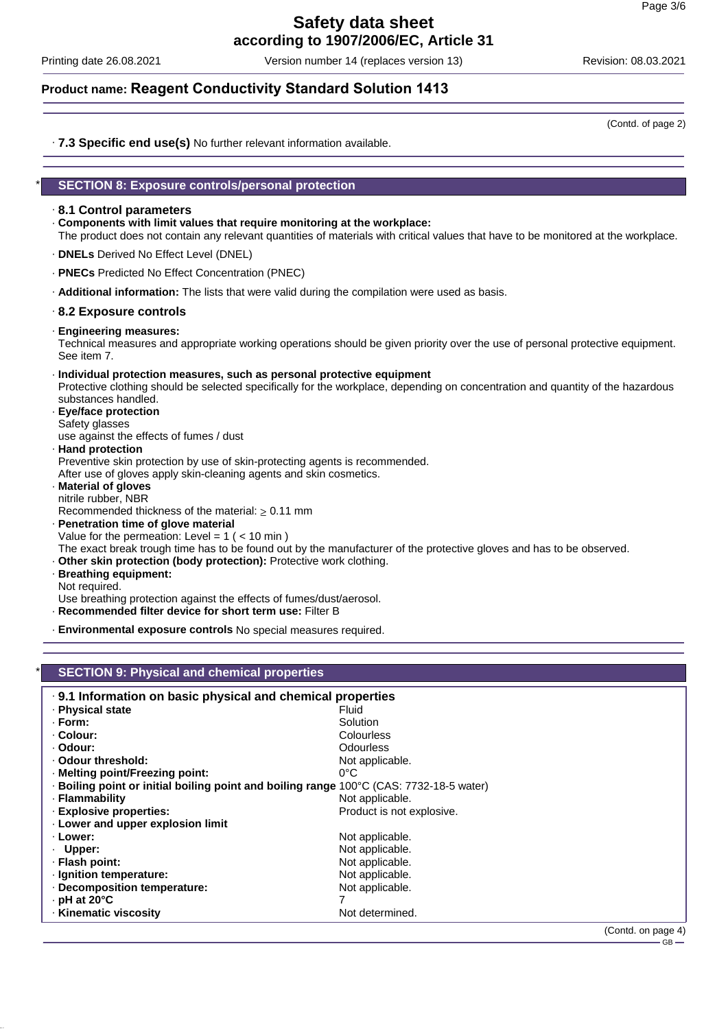Printing date 26.08.2021 Version number 14 (replaces version 13) Revision: 08.03.2021

### **Product name: Reagent Conductivity Standard Solution 1413**

(Contd. of page 2)

· **7.3 Specific end use(s)** No further relevant information available.

### \* **SECTION 8: Exposure controls/personal protection**

### · **8.1 Control parameters**

- · **Components with limit values that require monitoring at the workplace:** The product does not contain any relevant quantities of materials with critical values that have to be monitored at the workplace.
- · **DNELs** Derived No Effect Level (DNEL)
- · **PNECs** Predicted No Effect Concentration (PNEC)
- · **Additional information:** The lists that were valid during the compilation were used as basis.

### · **8.2 Exposure controls**

· **Engineering measures:**

Technical measures and appropriate working operations should be given priority over the use of personal protective equipment. See item 7.

- · **Individual protection measures, such as personal protective equipment** Protective clothing should be selected specifically for the workplace, depending on concentration and quantity of the hazardous substances handled.
- · **Eye/face protection** Safety glasses

use against the effects of fumes / dust

- · **Hand protection**
- Preventive skin protection by use of skin-protecting agents is recommended.

After use of gloves apply skin-cleaning agents and skin cosmetics.

· **Material of gloves**

nitrile rubber, NBR Recommended thickness of the material: ≥ 0.11 mm

· **Penetration time of glove material** Value for the permeation: Level =  $1$  ( <  $10$  min )

The exact break trough time has to be found out by the manufacturer of the protective gloves and has to be observed.

- · **Other skin protection (body protection):** Protective work clothing.
- · **Breathing equipment:**

Not required.

Use breathing protection against the effects of fumes/dust/aerosol.

- · **Recommended filter device for short term use:** Filter B
- · **Environmental exposure controls** No special measures required.

### **SECTION 9: Physical and chemical properties**

| .9.1 Information on basic physical and chemical properties                              |                           |                |
|-----------------------------------------------------------------------------------------|---------------------------|----------------|
| · Physical state                                                                        | Fluid                     |                |
| · Form:                                                                                 | Solution                  |                |
| · Colour:                                                                               | Colourless                |                |
| · Odour:                                                                                | <b>Odourless</b>          |                |
| . Odour threshold:                                                                      | Not applicable.           |                |
| · Melting point/Freezing point:                                                         | $0^{\circ}$ C             |                |
| · Boiling point or initial boiling point and boiling range 100°C (CAS: 7732-18-5 water) |                           |                |
| · Flammability                                                                          | Not applicable.           |                |
| · Explosive properties:                                                                 | Product is not explosive. |                |
| . Lower and upper explosion limit                                                       |                           |                |
| · Lower:                                                                                | Not applicable.           |                |
| · Upper:                                                                                | Not applicable.           |                |
| · Flash point:                                                                          | Not applicable.           |                |
| · Ignition temperature:                                                                 | Not applicable.           |                |
| Decomposition temperature:                                                              | Not applicable.           |                |
| $\cdot$ pH at 20°C                                                                      |                           |                |
| · Kinematic viscosity                                                                   | Not determined.           |                |
|                                                                                         |                           | (ContdonposeA) |

Contd. on page 4)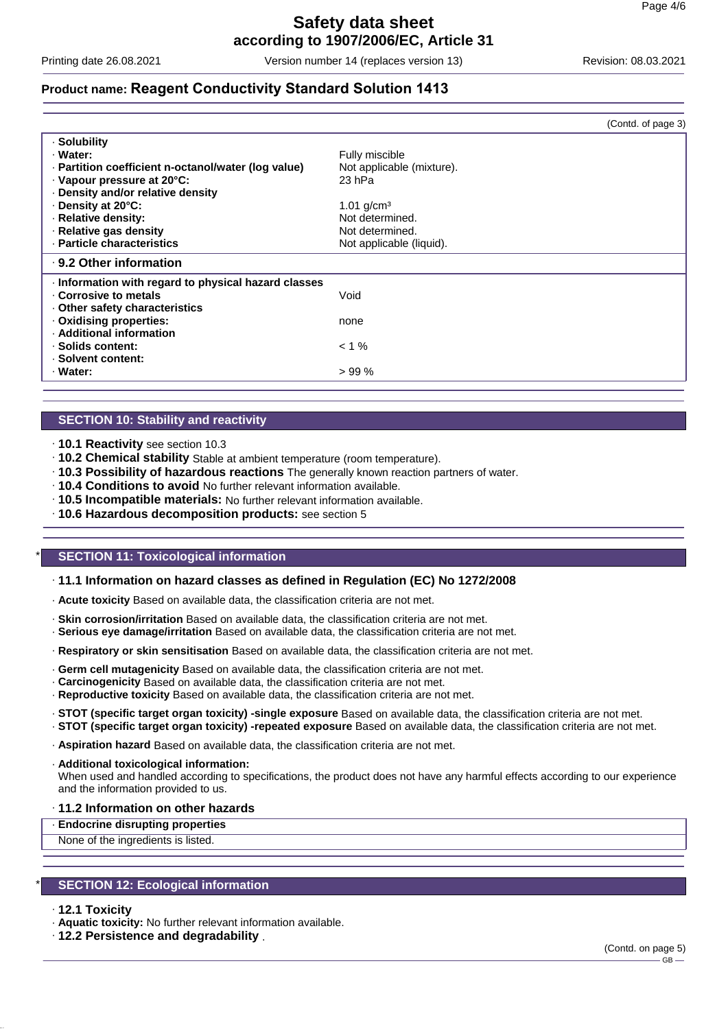Printing date 26.08.2021 Version number 14 (replaces version 13) Revision: 08.03.2021

 $(Contdot$  page  $3)$ 

### **Product name: Reagent Conductivity Standard Solution 1413**

|                                                     | (Ooma, or pago o)         |
|-----------------------------------------------------|---------------------------|
| · Solubility                                        |                           |
| · Water:                                            | Fully miscible            |
| · Partition coefficient n-octanol/water (log value) | Not applicable (mixture). |
| · Vapour pressure at 20°C:                          | 23 hPa                    |
| Density and/or relative density                     |                           |
| Density at 20°C:                                    | 1.01 $g/cm3$              |
| · Relative density:                                 | Not determined.           |
| · Relative gas density                              | Not determined.           |
| · Particle characteristics                          | Not applicable (liquid).  |
| ⋅ 9.2 Other information                             |                           |
| Information with regard to physical hazard classes  |                           |
| Corrosive to metals                                 | Void                      |
| Other safety characteristics                        |                           |
| . Oxidising properties:                             | none                      |
| · Additional information                            |                           |
| · Solids content:                                   | $< 1 \%$                  |
| · Solvent content:                                  |                           |
| · Water:                                            | >99%                      |
|                                                     |                           |

### **SECTION 10: Stability and reactivity**

- · **10.1 Reactivity** see section 10.3
- · **10.2 Chemical stability** Stable at ambient temperature (room temperature).
- · **10.3 Possibility of hazardous reactions** The generally known reaction partners of water.
- · **10.4 Conditions to avoid** No further relevant information available.
- · **10.5 Incompatible materials:** No further relevant information available.
- · **10.6 Hazardous decomposition products:** see section 5

### **SECTION 11: Toxicological information**

### · **11.1 Information on hazard classes as defined in Regulation (EC) No 1272/2008**

- · **Acute toxicity** Based on available data, the classification criteria are not met.
- · **Skin corrosion/irritation** Based on available data, the classification criteria are not met.
- · **Serious eye damage/irritation** Based on available data, the classification criteria are not met.
- · **Respiratory or skin sensitisation** Based on available data, the classification criteria are not met.
- · **Germ cell mutagenicity** Based on available data, the classification criteria are not met.
- · **Carcinogenicity** Based on available data, the classification criteria are not met.
- · **Reproductive toxicity** Based on available data, the classification criteria are not met.
- · **STOT (specific target organ toxicity) -single exposure** Based on available data, the classification criteria are not met.

· **STOT (specific target organ toxicity) -repeated exposure** Based on available data, the classification criteria are not met.

· **Aspiration hazard** Based on available data, the classification criteria are not met.

· **Additional toxicological information:**

When used and handled according to specifications, the product does not have any harmful effects according to our experience and the information provided to us.

· **11.2 Information on other hazards**

· **Endocrine disrupting properties**

None of the ingredients is listed.

### **SECTION 12: Ecological information**

#### · **12.1 Toxicity**

· **Aquatic toxicity:** No further relevant information available.

· **12.2 Persistence and degradability** .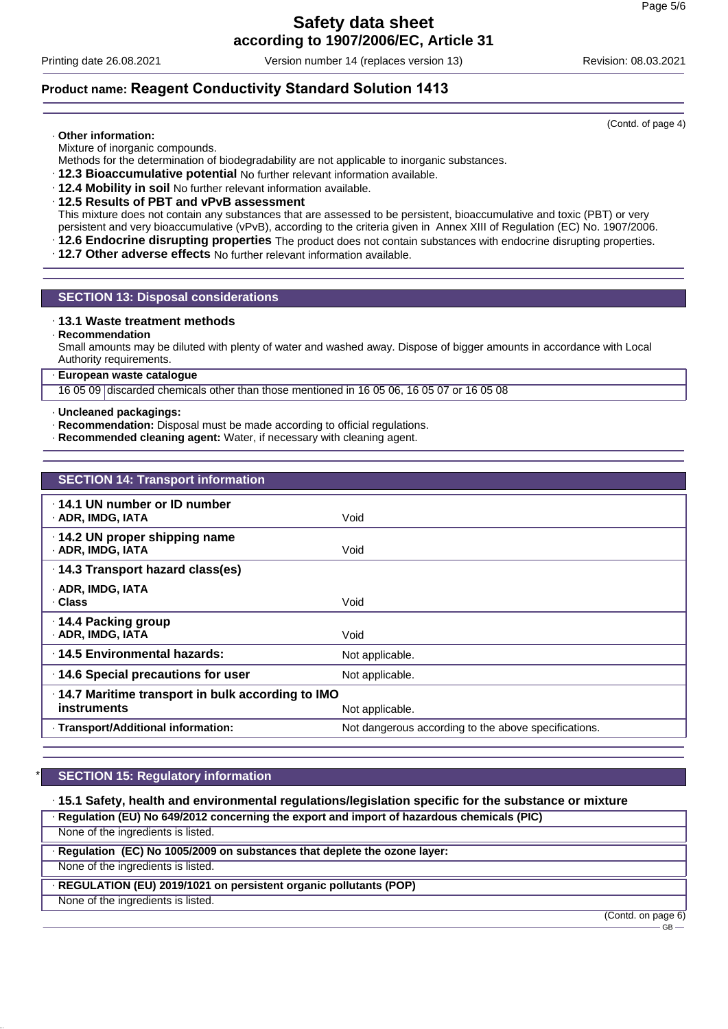Printing date 26.08.2021 Version number 14 (replaces version 13) Revision: 08.03.2021

### **Product name: Reagent Conductivity Standard Solution 1413**

### · **Other information:**

Mixture of inorganic compounds.

Methods for the determination of biodegradability are not applicable to inorganic substances.

- · **12.3 Bioaccumulative potential** No further relevant information available.
- · **12.4 Mobility in soil** No further relevant information available.
- · **12.5 Results of PBT and vPvB assessment**

This mixture does not contain any substances that are assessed to be persistent, bioaccumulative and toxic (PBT) or very persistent and very bioaccumulative (vPvB), according to the criteria given in Annex XIII of Regulation (EC) No. 1907/2006.

- · **12.6 Endocrine disrupting properties** The product does not contain substances with endocrine disrupting properties.
- · **12.7 Other adverse effects** No further relevant information available.

### **SECTION 13: Disposal considerations**

### · **13.1 Waste treatment methods**

· **Recommendation**

Small amounts may be diluted with plenty of water and washed away. Dispose of bigger amounts in accordance with Local Authority requirements.

#### · **European waste catalogue**

16 05 09 discarded chemicals other than those mentioned in 16 05 06, 16 05 07 or 16 05 08

#### · **Uncleaned packagings:**

- · **Recommendation:** Disposal must be made according to official regulations.
- · **Recommended cleaning agent:** Water, if necessary with cleaning agent.

| <b>SECTION 14: Transport information</b>                          |                                                      |
|-------------------------------------------------------------------|------------------------------------------------------|
| .14.1 UN number or ID number<br>· ADR, IMDG, IATA                 | Void                                                 |
| $\cdot$ 14.2 UN proper shipping name<br>· ADR, IMDG, IATA         | Void                                                 |
| · 14.3 Transport hazard class(es)                                 |                                                      |
| · ADR, IMDG, IATA<br>. Class                                      | Void                                                 |
| ⋅ 14.4 Packing group<br>· ADR, IMDG, IATA                         | Void                                                 |
| ⋅14.5 Environmental hazards:                                      | Not applicable.                                      |
| 14.6 Special precautions for user                                 | Not applicable.                                      |
| · 14.7 Maritime transport in bulk according to IMO<br>instruments | Not applicable.                                      |
| · Transport/Additional information:                               | Not dangerous according to the above specifications. |

### **SECTION 15: Regulatory information**

· **15.1 Safety, health and environmental regulations/legislation specific for the substance or mixture**

· **Regulation (EU) No 649/2012 concerning the export and import of hazardous chemicals (PIC)**

None of the ingredients is listed.

· **Regulation (EC) No 1005/2009 on substances that deplete the ozone layer:**

None of the ingredients is listed.

· **REGULATION (EU) 2019/1021 on persistent organic pollutants (POP)**

None of the ingredients is listed.

(Contd. on page 6)

GB

(Contd. of page 4)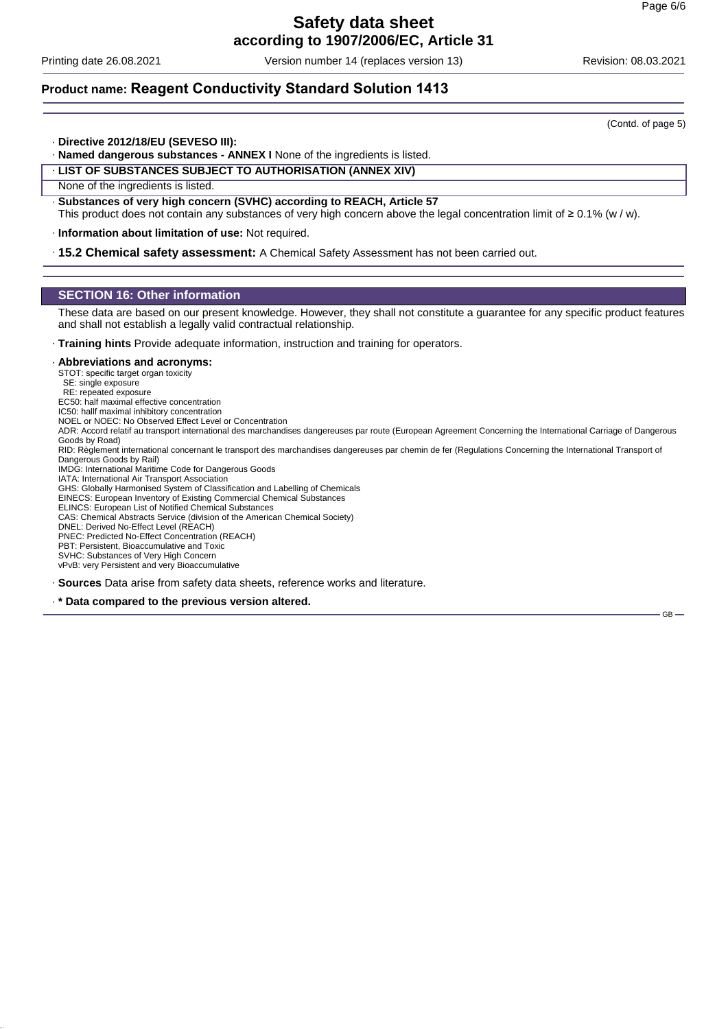Printing date 26.08.2021 Version number 14 (replaces version 13) Revision: 08.03.2021

### **Product name: Reagent Conductivity Standard Solution 1413**

(Contd. of page 5)

GB

- · **Directive 2012/18/EU (SEVESO III):**
- · **Named dangerous substances ANNEX I** None of the ingredients is listed.

### · **LIST OF SUBSTANCES SUBJECT TO AUTHORISATION (ANNEX XIV)**

None of the ingredients is listed.

· **Substances of very high concern (SVHC) according to REACH, Article 57** This product does not contain any substances of very high concern above the legal concentration limit of ≥ 0.1% (w / w).

· **Information about limitation of use:** Not required.

· **15.2 Chemical safety assessment:** A Chemical Safety Assessment has not been carried out.

### **SECTION 16: Other information**

These data are based on our present knowledge. However, they shall not constitute a guarantee for any specific product features and shall not establish a legally valid contractual relationship.

· **Training hints** Provide adequate information, instruction and training for operators.

#### · **Abbreviations and acronyms:**

STOT: specific target organ toxicity

SE: single exposure

RE: repeated exposure EC50: half maximal effective concentration

IC50: hallf maximal inhibitory concentration

NOEL or NOEC: No Observed Effect Level or Concentration

ADR: Accord relatif au transport international des marchandises dangereuses par route (European Agreement Concerning the International Carriage of Dangerous Goods by Road)

RID: Règlement international concernant le transport des marchandises dangereuses par chemin de fer (Regulations Concerning the International Transport of Dangerous Goods by Rail)

IMDG: International Maritime Code for Dangerous Goods IATA: International Air Transport Association

GHS: Globally Harmonised System of Classification and Labelling of Chemicals

EINECS: European Inventory of Existing Commercial Chemical Substances

ELINCS: European List of Notified Chemical Substances

CAS: Chemical Abstracts Service (division of the American Chemical Society)

DNEL: Derived No-Effect Level (REACH) PNEC: Predicted No-Effect Concentration (REACH)

PBT: Persistent, Bioaccumulative and Toxic

SVHC: Substances of Very High Concern

vPvB: very Persistent and very Bioaccumulative

· **Sources** Data arise from safety data sheets, reference works and literature.

· **\* Data compared to the previous version altered.**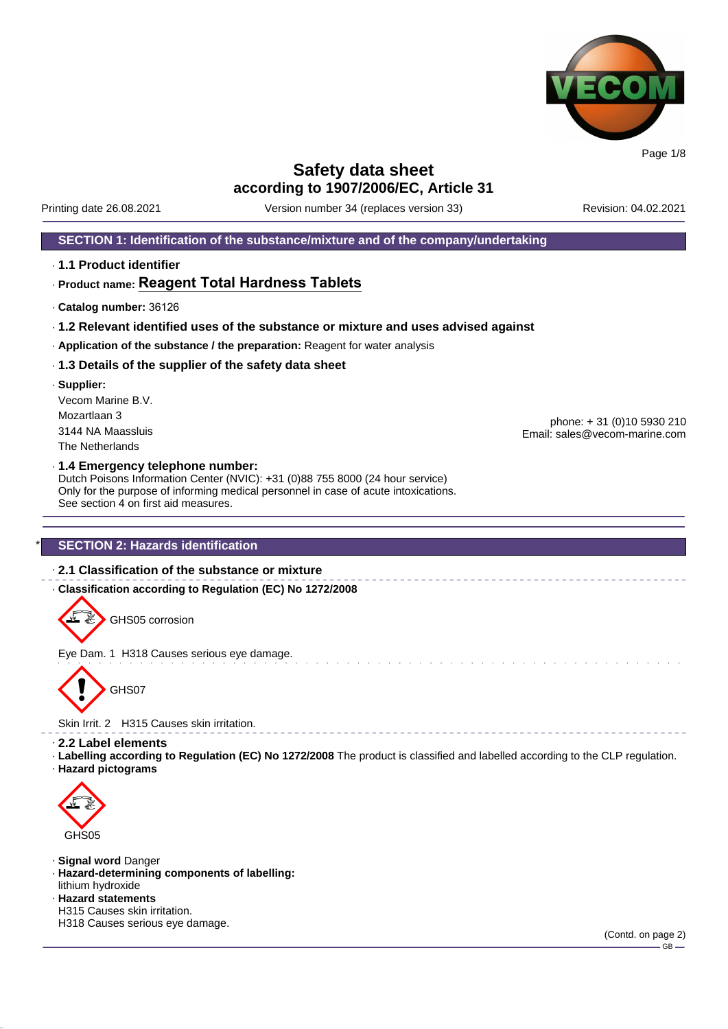

Printing date 26.08.2021 Version number 34 (replaces version 33) Revision: 04.02.2021

**SECTION 1: Identification of the substance/mixture and of the company/undertaking**

· **1.1 Product identifier**

### · **Product name: Reagent Total Hardness Tablets**

- · **Catalog number:** 36126
- · **1.2 Relevant identified uses of the substance or mixture and uses advised against**
- · **Application of the substance / the preparation:** Reagent for water analysis
- · **1.3 Details of the supplier of the safety data sheet**
- · **Supplier:** Vecom Marine B.V. Mozartlaan 3 3144 NA Maassluis The Netherlands

phone: + 31 (0)10 5930 210 Email: sales@vecom-marine.com

#### · **1.4 Emergency telephone number:**

Dutch Poisons Information Center (NVIC): +31 (0)88 755 8000 (24 hour service) Only for the purpose of informing medical personnel in case of acute intoxications. See section 4 on first aid measures.

### **SECTION 2: Hazards identification**

### · **2.1 Classification of the substance or mixture**

· **Classification according to Regulation (EC) No 1272/2008**

GHS05 corrosion

Eye Dam. 1 H318 Causes serious eye damage.



Skin Irrit. 2 H315 Causes skin irritation.

- · **2.2 Label elements**
- · **Labelling according to Regulation (EC) No 1272/2008** The product is classified and labelled according to the CLP regulation. · **Hazard pictograms**



- · **Signal word** Danger
- · **Hazard-determining components of labelling:** lithium hydroxide
- · **Hazard statements**
- H315 Causes skin irritation.

H318 Causes serious eye damage.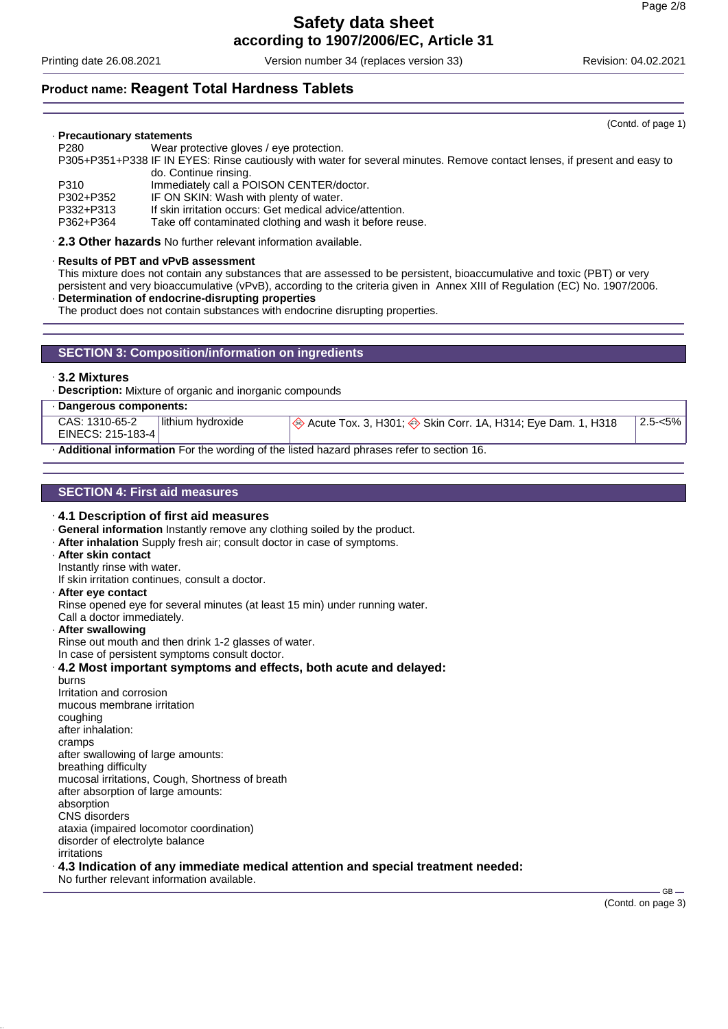Printing date 26.08.2021 Version number 34 (replaces version 33) Revision: 04.02.2021

### **Product name: Reagent Total Hardness Tablets**

#### · **Precautionary statements**

P280 Wear protective gloves / eye protection.

P305+P351+P338 IF IN EYES: Rinse cautiously with water for several minutes. Remove contact lenses, if present and easy to do. Continue rinsing.

P310 Immediately call a POISON CENTER/doctor.

P302+P352 IF ON SKIN: Wash with plenty of water.

If skin irritation occurs: Get medical advice/attention.

P362+P364 Take off contaminated clothing and wash it before reuse.

· **2.3 Other hazards** No further relevant information available.

### · **Results of PBT and vPvB assessment**

This mixture does not contain any substances that are assessed to be persistent, bioaccumulative and toxic (PBT) or very persistent and very bioaccumulative (vPvB), according to the criteria given in Annex XIII of Regulation (EC) No. 1907/2006.

· **Determination of endocrine-disrupting properties**

The product does not contain substances with endocrine disrupting properties.

### **SECTION 3: Composition/information on ingredients**

#### · **3.2 Mixtures**

· **Description:** Mixture of organic and inorganic compounds

| Dangerous components:                                                                    |                    |                                                                                                     |         |  |
|------------------------------------------------------------------------------------------|--------------------|-----------------------------------------------------------------------------------------------------|---------|--|
| CAS: 1310-65-2<br>EINECS: 215-183-4                                                      | Ilithium hvdroxide | $\ket{\textcircled{*}}$ Acute Tox. 3, H301; $\textcircled{*}$ Skin Corr. 1A, H314; Eye Dam. 1, H318 | 2.5-<5% |  |
| Additional information For the wording of the listed hazard phrases refer to section 16. |                    |                                                                                                     |         |  |

### **SECTION 4: First aid measures**

### · **4.1 Description of first aid measures** · **General information** Instantly remove any clothing soiled by the product.

- · **After inhalation** Supply fresh air; consult doctor in case of symptoms.
- · **After skin contact**
- Instantly rinse with water.
- If skin irritation continues, consult a doctor.

#### · **After eye contact**

Rinse opened eye for several minutes (at least 15 min) under running water.

Call a doctor immediately.

#### · **After swallowing**

Rinse out mouth and then drink 1-2 glasses of water.

In case of persistent symptoms consult doctor.

· **4.2 Most important symptoms and effects, both acute and delayed:** burns

Irritation and corrosion mucous membrane irritation coughing after inhalation: cramps after swallowing of large amounts: breathing difficulty mucosal irritations, Cough, Shortness of breath after absorption of large amounts: absorption CNS disorders ataxia (impaired locomotor coordination) disorder of electrolyte balance irritations

### · **4.3 Indication of any immediate medical attention and special treatment needed:**

No further relevant information available.

GB

(Contd. of page 1)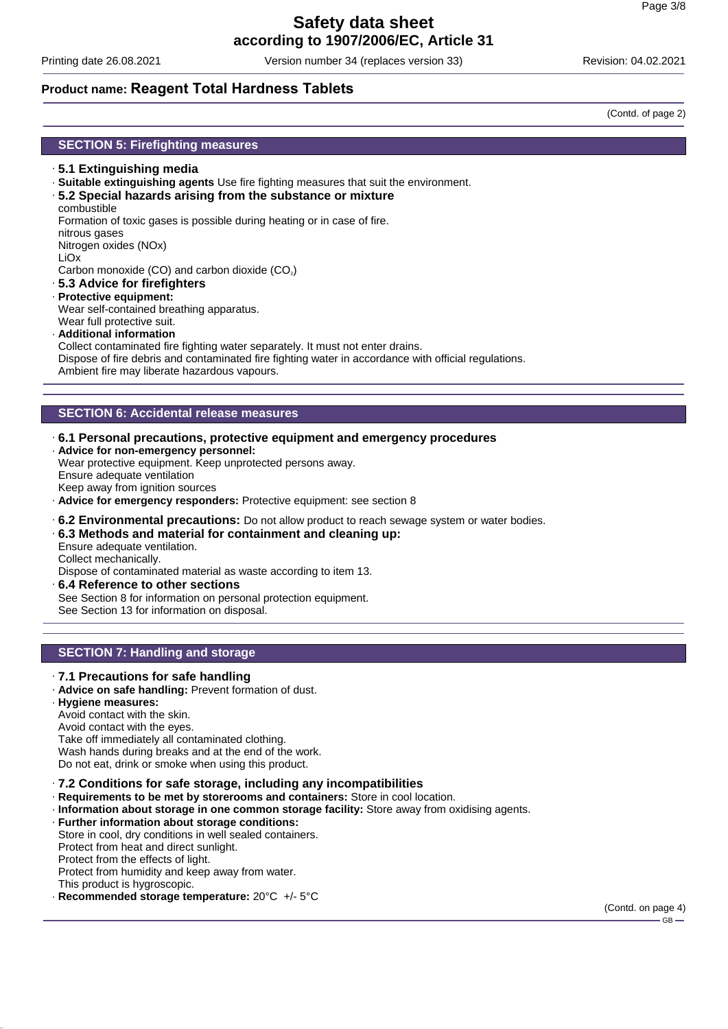Printing date 26.08.2021 Version number 34 (replaces version 33) Revision: 04.02.2021

### **Product name: Reagent Total Hardness Tablets**

(Contd. of page 2)

### **SECTION 5: Firefighting measures**

- · **5.1 Extinguishing media**
- · **Suitable extinguishing agents** Use fire fighting measures that suit the environment.
- · **5.2 Special hazards arising from the substance or mixture**
- combustible

Formation of toxic gases is possible during heating or in case of fire.

- nitrous gases
- Nitrogen oxides (NOx)
- LiOx

Carbon monoxide (CO) and carbon dioxide  $(CO<sub>2</sub>)$ 

- · **5.3 Advice for firefighters**
- · **Protective equipment:** Wear self-contained breathing apparatus.
- Wear full protective suit.
- · **Additional information**

Collect contaminated fire fighting water separately. It must not enter drains. Dispose of fire debris and contaminated fire fighting water in accordance with official regulations. Ambient fire may liberate hazardous vapours.

### **SECTION 6: Accidental release measures**

- · **6.1 Personal precautions, protective equipment and emergency procedures**
- · **Advice for non-emergency personnel:** Wear protective equipment. Keep unprotected persons away. Ensure adequate ventilation

Keep away from ignition sources

- · **Advice for emergency responders:** Protective equipment: see section 8
- · **6.2 Environmental precautions:** Do not allow product to reach sewage system or water bodies.

### · **6.3 Methods and material for containment and cleaning up:**

Ensure adequate ventilation. Collect mechanically.

Dispose of contaminated material as waste according to item 13.

· **6.4 Reference to other sections** See Section 8 for information on personal protection equipment. See Section 13 for information on disposal.

### **SECTION 7: Handling and storage**

### · **7.1 Precautions for safe handling**

- · **Advice on safe handling:** Prevent formation of dust.
- · **Hygiene measures:**

Avoid contact with the skin.

#### Avoid contact with the eyes.

Take off immediately all contaminated clothing.

Wash hands during breaks and at the end of the work.

Do not eat, drink or smoke when using this product.

### · **7.2 Conditions for safe storage, including any incompatibilities**

- · **Requirements to be met by storerooms and containers:** Store in cool location.
- · **Information about storage in one common storage facility:** Store away from oxidising agents.
- · **Further information about storage conditions:**

Store in cool, dry conditions in well sealed containers.

Protect from heat and direct sunlight.

Protect from the effects of light.

- Protect from humidity and keep away from water.
- This product is hygroscopic. · **Recommended storage temperature:** 20°C +/- 5°C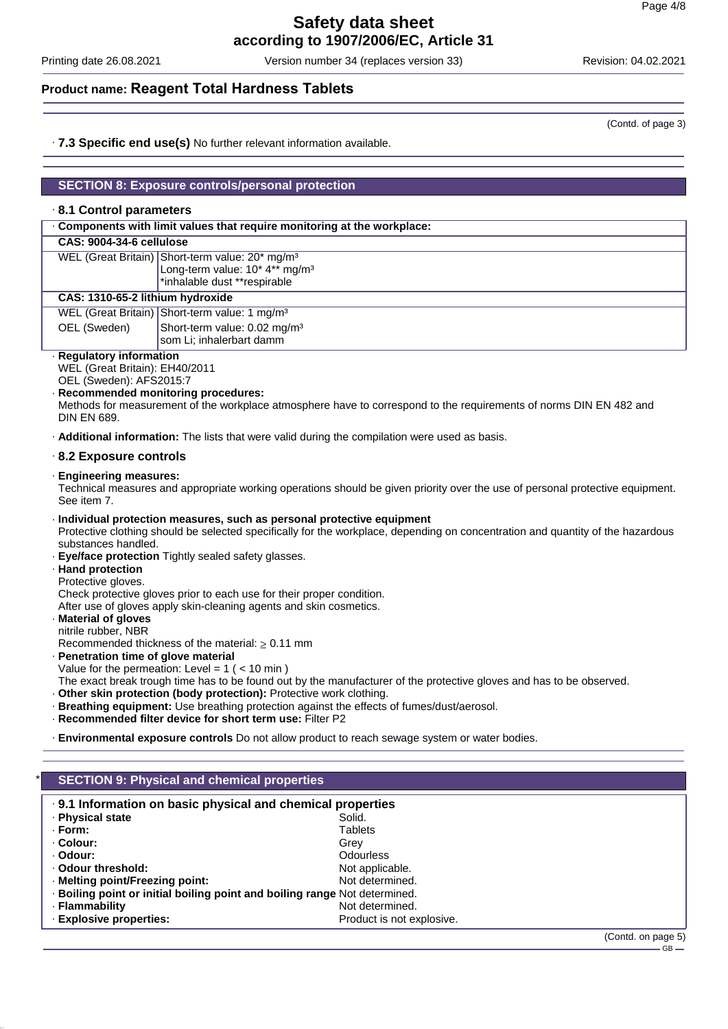Printing date 26.08.2021 Version number 34 (replaces version 33) Revision: 04.02.2021

### **Product name: Reagent Total Hardness Tablets**

· **7.3 Specific end use(s)** No further relevant information available.

### **SECTION 8: Exposure controls/personal protection**

### · **8.1 Control parameters**

| . Components with limit values that require monitoring at the workplace:                                                                 |                                                                                                                                           |  |  |
|------------------------------------------------------------------------------------------------------------------------------------------|-------------------------------------------------------------------------------------------------------------------------------------------|--|--|
| CAS: 9004-34-6 cellulose                                                                                                                 |                                                                                                                                           |  |  |
|                                                                                                                                          | WEL (Great Britain) Short-term value: 20* mg/m <sup>3</sup><br>Long-term value: 10* 4** mg/m <sup>3</sup><br>*inhalable dust **respirable |  |  |
| CAS: 1310-65-2 lithium hydroxide                                                                                                         |                                                                                                                                           |  |  |
|                                                                                                                                          | WEL (Great Britain) Short-term value: 1 mg/m <sup>3</sup>                                                                                 |  |  |
| OEL (Sweden)                                                                                                                             | Short-term value: 0.02 mg/m <sup>3</sup><br>som Li; inhalerbart damm                                                                      |  |  |
| · Regulatory information<br>WEL (Great Britain): EH40/2011<br>OEL (Sweden): AFS2015:7<br>· Recommended monitoring procedures:            |                                                                                                                                           |  |  |
| Methods for measurement of the workplace atmosphere have to correspond to the requirements of norms DIN EN 482 and<br><b>DIN EN 689.</b> |                                                                                                                                           |  |  |
|                                                                                                                                          | <b>Additional information:</b> The lists that were valid during the compilation were used as basis.                                       |  |  |

### · **8.2 Exposure controls**

#### · **Engineering measures:**

Technical measures and appropriate working operations should be given priority over the use of personal protective equipment. See item 7.

- · **Individual protection measures, such as personal protective equipment** Protective clothing should be selected specifically for the workplace, depending on concentration and quantity of the hazardous substances handled.
- · **Eye/face protection** Tightly sealed safety glasses.
- · **Hand protection**
- Protective gloves.

Check protective gloves prior to each use for their proper condition.

After use of gloves apply skin-cleaning agents and skin cosmetics.

· **Material of gloves** nitrile rubber, NBR

Recommended thickness of the material:  $\geq 0.11$  mm

- · **Penetration time of glove material**
- Value for the permeation: Level =  $1$  ( <  $10$  min )

The exact break trough time has to be found out by the manufacturer of the protective gloves and has to be observed.

- · **Other skin protection (body protection):** Protective work clothing.
- · **Breathing equipment:** Use breathing protection against the effects of fumes/dust/aerosol.
- · **Recommended filter device for short term use:** Filter P2

· **Environmental exposure controls** Do not allow product to reach sewage system or water bodies.

| $\cdot$ 9.1 Information on basic physical and chemical properties          |                           |                    |
|----------------------------------------------------------------------------|---------------------------|--------------------|
| · Physical state                                                           | Solid.                    |                    |
| · Form:                                                                    | <b>Tablets</b>            |                    |
| · Colour:                                                                  | Grev                      |                    |
| · Odour:                                                                   | <b>Odourless</b>          |                    |
| · Odour threshold:                                                         | Not applicable.           |                    |
| · Melting point/Freezing point:                                            | Not determined.           |                    |
| · Boiling point or initial boiling point and boiling range Not determined. |                           |                    |
| · Flammability                                                             | Not determined.           |                    |
| · Explosive properties:                                                    | Product is not explosive. |                    |
|                                                                            |                           | (Contd. on page 5) |

(Contd. of page 3)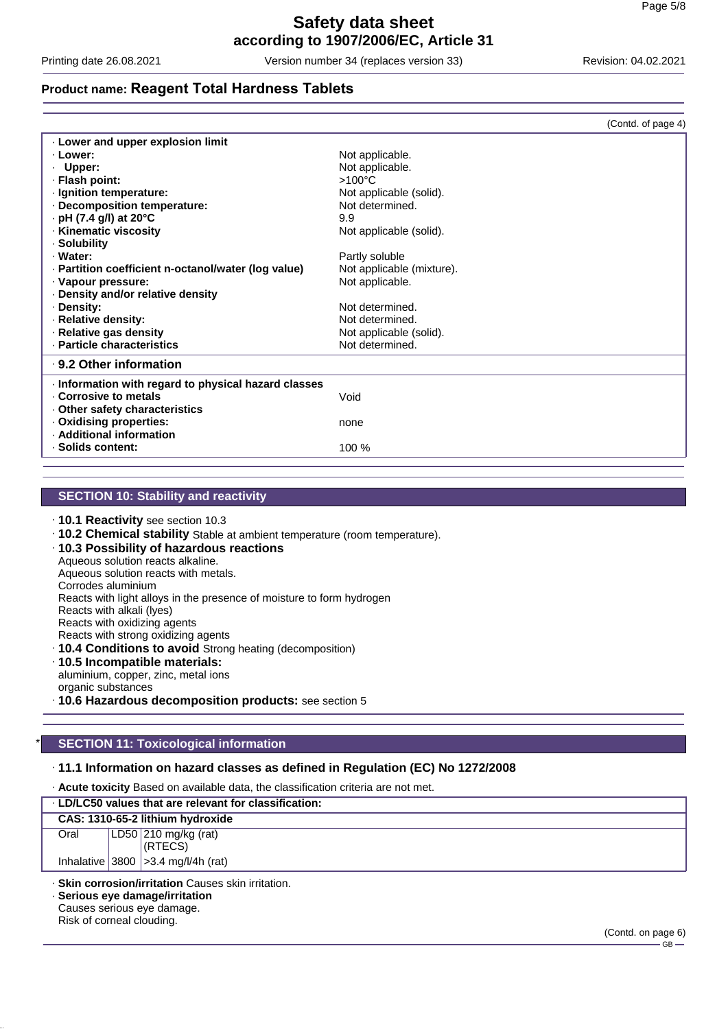Printing date 26.08.2021 Version number 34 (replaces version 33) Revision: 04.02.2021

### **Product name: Reagent Total Hardness Tablets**

|                                                      | (Contd. of page 4)        |
|------------------------------------------------------|---------------------------|
| . Lower and upper explosion limit                    |                           |
| · Lower:                                             | Not applicable.           |
| Upper:                                               | Not applicable.           |
| · Flash point:                                       | $>100^{\circ}$ C          |
| · Ignition temperature:                              | Not applicable (solid).   |
| Decomposition temperature:                           | Not determined.           |
| $\cdot$ pH (7.4 g/l) at 20 $^{\circ}$ C              | 9.9                       |
| · Kinematic viscosity                                | Not applicable (solid).   |
| · Solubility                                         |                           |
| · Water:                                             | Partly soluble            |
| · Partition coefficient n-octanol/water (log value)  | Not applicable (mixture). |
| · Vapour pressure:                                   | Not applicable.           |
| . Density and/or relative density                    |                           |
| · Density:                                           | Not determined.           |
| · Relative density:                                  | Not determined.           |
| · Relative gas density                               | Not applicable (solid).   |
| · Particle characteristics                           | Not determined.           |
| ⋅ 9.2 Other information                              |                           |
| · Information with regard to physical hazard classes |                           |
| . Corrosive to metals                                | Void                      |
| Other safety characteristics                         |                           |
| · Oxidising properties:                              | none                      |
| · Additional information                             |                           |
| · Solids content:                                    | 100 %                     |
|                                                      |                           |

### **SECTION 10: Stability and reactivity**

· **10.1 Reactivity** see section 10.3

· **10.2 Chemical stability** Stable at ambient temperature (room temperature).

- · **10.3 Possibility of hazardous reactions**
- Aqueous solution reacts alkaline.
- Aqueous solution reacts with metals.
- Corrodes aluminium

Reacts with light alloys in the presence of moisture to form hydrogen

Reacts with alkali (lyes)

Reacts with oxidizing agents

- Reacts with strong oxidizing agents
- · **10.4 Conditions to avoid** Strong heating (decomposition)
- · **10.5 Incompatible materials:**

aluminium, copper, zinc, metal ions organic substances

· **10.6 Hazardous decomposition products:** see section 5

### **SECTION 11: Toxicological information**

### · **11.1 Information on hazard classes as defined in Regulation (EC) No 1272/2008**

· **Acute toxicity** Based on available data, the classification criteria are not met.

| . LD/LC50 values that are relevant for classification: |  |                                         |  |
|--------------------------------------------------------|--|-----------------------------------------|--|
|                                                        |  | CAS: 1310-65-2 lithium hydroxide        |  |
| Oral                                                   |  | $ LD50 210$ mg/kg (rat)                 |  |
|                                                        |  | (RTECS)                                 |  |
|                                                        |  | Inhalative $ 3800 $ > 3.4 mg/l/4h (rat) |  |

· **Skin corrosion/irritation** Causes skin irritation.

· **Serious eye damage/irritation** Causes serious eye damage.

Risk of corneal clouding.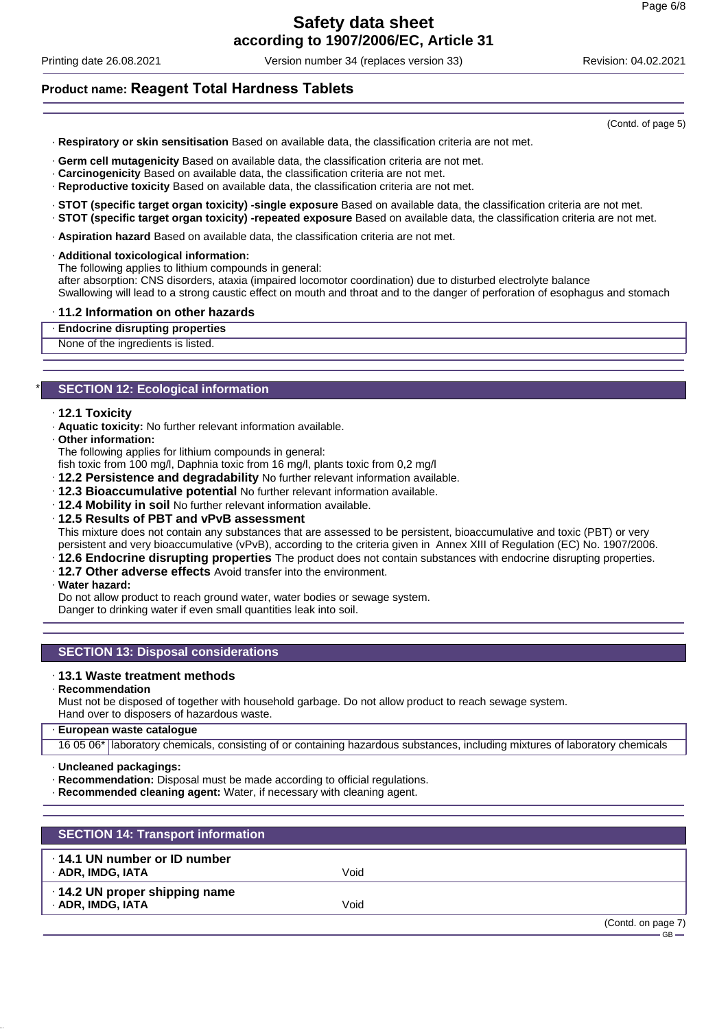Printing date 26.08.2021 Version number 34 (replaces version 33) Revision: 04.02.2021

### **Product name: Reagent Total Hardness Tablets**

- · **Respiratory or skin sensitisation** Based on available data, the classification criteria are not met.
- · **Germ cell mutagenicity** Based on available data, the classification criteria are not met.
- · **Carcinogenicity** Based on available data, the classification criteria are not met.
- · **Reproductive toxicity** Based on available data, the classification criteria are not met.
- · **STOT (specific target organ toxicity) -single exposure** Based on available data, the classification criteria are not met.
- · **STOT (specific target organ toxicity) -repeated exposure** Based on available data, the classification criteria are not met.
- · **Aspiration hazard** Based on available data, the classification criteria are not met.
- · **Additional toxicological information:**
- The following applies to lithium compounds in general:

after absorption: CNS disorders, ataxia (impaired locomotor coordination) due to disturbed electrolyte balance Swallowing will lead to a strong caustic effect on mouth and throat and to the danger of perforation of esophagus and stomach

#### · **11.2 Information on other hazards**

· **Endocrine disrupting properties**

None of the ingredients is listed.

### **SECTION 12: Ecological information**

- · **12.1 Toxicity**
- · **Aquatic toxicity:** No further relevant information available.
- · **Other information:**

The following applies for lithium compounds in general:

- fish toxic from 100 mg/l, Daphnia toxic from 16 mg/l, plants toxic from 0,2 mg/l
- · **12.2 Persistence and degradability** No further relevant information available.
- · **12.3 Bioaccumulative potential** No further relevant information available.
- · **12.4 Mobility in soil** No further relevant information available.
- · **12.5 Results of PBT and vPvB assessment**

This mixture does not contain any substances that are assessed to be persistent, bioaccumulative and toxic (PBT) or very persistent and very bioaccumulative (vPvB), according to the criteria given in Annex XIII of Regulation (EC) No. 1907/2006.

- · **12.6 Endocrine disrupting properties** The product does not contain substances with endocrine disrupting properties.
- · **12.7 Other adverse effects** Avoid transfer into the environment.
- · **Water hazard:**

Do not allow product to reach ground water, water bodies or sewage system.

Danger to drinking water if even small quantities leak into soil.

### **SECTION 13: Disposal considerations**

### · **13.1 Waste treatment methods**

### · **Recommendation**

Must not be disposed of together with household garbage. Do not allow product to reach sewage system. Hand over to disposers of hazardous waste.

### · **European waste catalogue**

16 05 06\* laboratory chemicals, consisting of or containing hazardous substances, including mixtures of laboratory chemicals

· **Uncleaned packagings:**

- · **Recommendation:** Disposal must be made according to official regulations.
- · **Recommended cleaning agent:** Water, if necessary with cleaning agent.

| <b>SECTION 14: Transport information</b>                 |      |                    |
|----------------------------------------------------------|------|--------------------|
| $\cdot$ 14.1 UN number or ID number<br>· ADR, IMDG, IATA | Void |                    |
| 14.2 UN proper shipping name<br>· ADR, IMDG, IATA        | Void |                    |
|                                                          |      | (Contd. on page 7) |

(Contd. of page 5)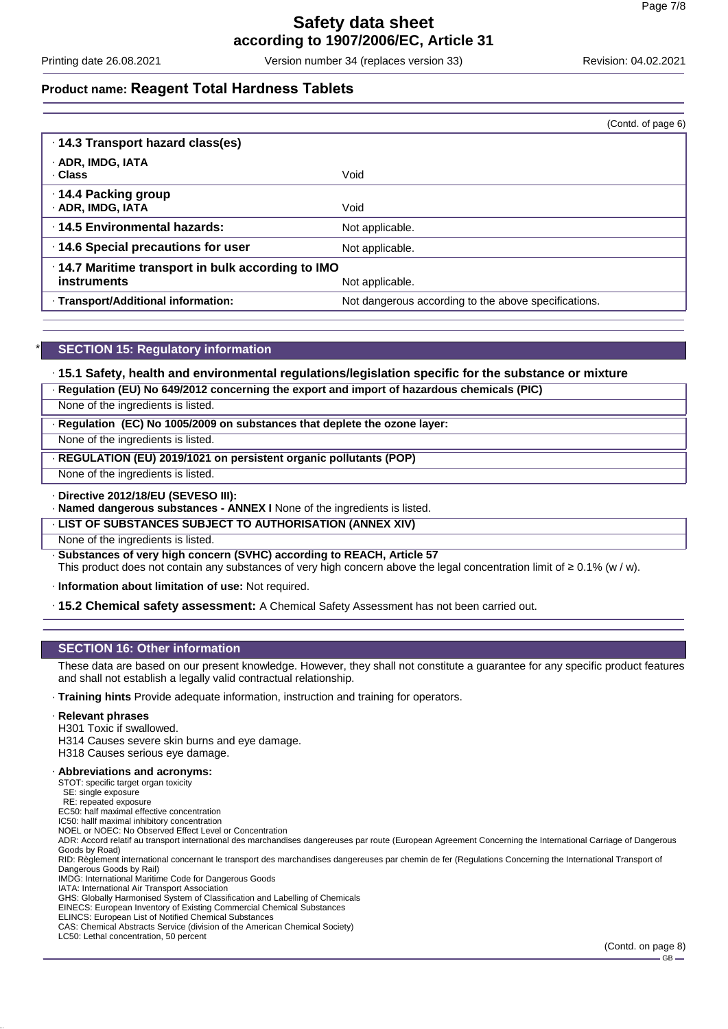Printing date 26.08.2021 Version number 34 (replaces version 33) Revision: 04.02.2021

### **Product name: Reagent Total Hardness Tablets**

|                                                                   | (Contd. of page 6)                                   |
|-------------------------------------------------------------------|------------------------------------------------------|
| · 14.3 Transport hazard class(es)                                 |                                                      |
| · ADR, IMDG, IATA<br>. Class                                      | Void                                                 |
| 14.4 Packing group<br>· ADR, IMDG, IATA                           | Void                                                 |
| 14.5 Environmental hazards:                                       | Not applicable.                                      |
| 14.6 Special precautions for user                                 | Not applicable.                                      |
| · 14.7 Maritime transport in bulk according to IMO<br>instruments | Not applicable.                                      |
| · Transport/Additional information:                               | Not dangerous according to the above specifications. |

### **SECTION 15: Regulatory information**

### · **15.1 Safety, health and environmental regulations/legislation specific for the substance or mixture**

| · Regulation (EU) No 649/2012 concerning the export and import of hazardous chemicals (PIC) |  |  |
|---------------------------------------------------------------------------------------------|--|--|
|                                                                                             |  |  |

None of the ingredients is listed.

· **Regulation (EC) No 1005/2009 on substances that deplete the ozone layer:**

None of the ingredients is listed.

· **REGULATION (EU) 2019/1021 on persistent organic pollutants (POP)**

None of the ingredients is listed.

#### · **Directive 2012/18/EU (SEVESO III):**

· **Named dangerous substances - ANNEX I** None of the ingredients is listed.

#### · **LIST OF SUBSTANCES SUBJECT TO AUTHORISATION (ANNEX XIV)**

None of the ingredients is listed.

· **Substances of very high concern (SVHC) according to REACH, Article 57**

This product does not contain any substances of very high concern above the legal concentration limit of ≥ 0.1% (w / w).

· **Information about limitation of use:** Not required.

· **15.2 Chemical safety assessment:** A Chemical Safety Assessment has not been carried out.

### **SECTION 16: Other information**

These data are based on our present knowledge. However, they shall not constitute a guarantee for any specific product features and shall not establish a legally valid contractual relationship.

· **Training hints** Provide adequate information, instruction and training for operators.

### · **Relevant phrases**

H301 Toxic if swallowed.

H314 Causes severe skin burns and eye damage.

H318 Causes serious eye damage.

#### · **Abbreviations and acronyms:**

STOT: specific target organ toxicity

SE: single exposure RE: repeated exposure

EC50: half maximal effective concentration

IC50: hallf maximal inhibitory concentration

NOEL or NOEC: No Observed Effect Level or Concentration

ADR: Accord relatif au transport international des marchandises dangereuses par route (European Agreement Concerning the International Carriage of Dangerous Goods by Road)

RID: Règlement international concernant le transport des marchandises dangereuses par chemin de fer (Regulations Concerning the International Transport of Dangerous Goods by Rail)

IMDG: International Maritime Code for Dangerous Goods

IATA: International Air Transport Association GHS: Globally Harmonised System of Classification and Labelling of Chemicals

EINECS: European Inventory of Existing Commercial Chemical Substances

ELINCS: European List of Notified Chemical Substances

CAS: Chemical Abstracts Service (division of the American Chemical Society)

LC50: Lethal concentration, 50 percent